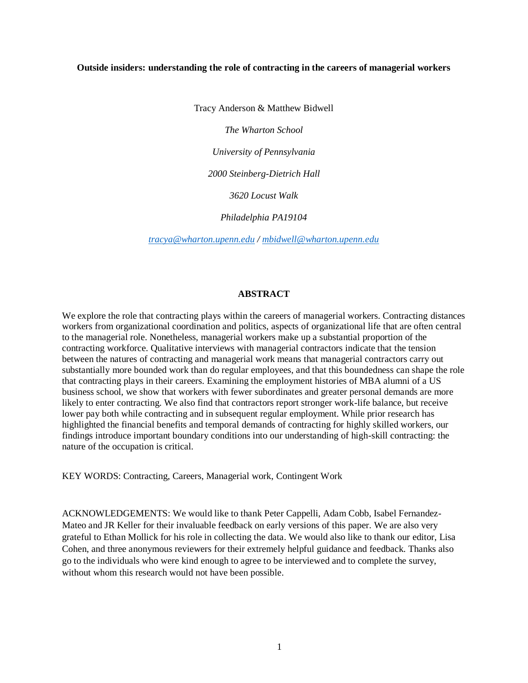#### **Outside insiders: understanding the role of contracting in the careers of managerial workers**

Tracy Anderson & Matthew Bidwell

*The Wharton School*

*University of Pennsylvania*

*2000 Steinberg-Dietrich Hall*

*3620 Locust Walk*

*Philadelphia PA19104*

*[tracya@wharton.upenn.edu](mailto:tracya@wharton.upenn.edu) / [mbidwell@wharton.upenn.edu](mailto:mbidwell@wharton.upenn.edu)*

## **ABSTRACT**

We explore the role that contracting plays within the careers of managerial workers. Contracting distances workers from organizational coordination and politics, aspects of organizational life that are often central to the managerial role. Nonetheless, managerial workers make up a substantial proportion of the contracting workforce. Qualitative interviews with managerial contractors indicate that the tension between the natures of contracting and managerial work means that managerial contractors carry out substantially more bounded work than do regular employees, and that this boundedness can shape the role that contracting plays in their careers. Examining the employment histories of MBA alumni of a US business school, we show that workers with fewer subordinates and greater personal demands are more likely to enter contracting. We also find that contractors report stronger work-life balance, but receive lower pay both while contracting and in subsequent regular employment. While prior research has highlighted the financial benefits and temporal demands of contracting for highly skilled workers, our findings introduce important boundary conditions into our understanding of high-skill contracting: the nature of the occupation is critical.

KEY WORDS: Contracting, Careers, Managerial work, Contingent Work

ACKNOWLEDGEMENTS: We would like to thank Peter Cappelli, Adam Cobb, Isabel Fernandez-Mateo and JR Keller for their invaluable feedback on early versions of this paper. We are also very grateful to Ethan Mollick for his role in collecting the data. We would also like to thank our editor, Lisa Cohen, and three anonymous reviewers for their extremely helpful guidance and feedback. Thanks also go to the individuals who were kind enough to agree to be interviewed and to complete the survey, without whom this research would not have been possible.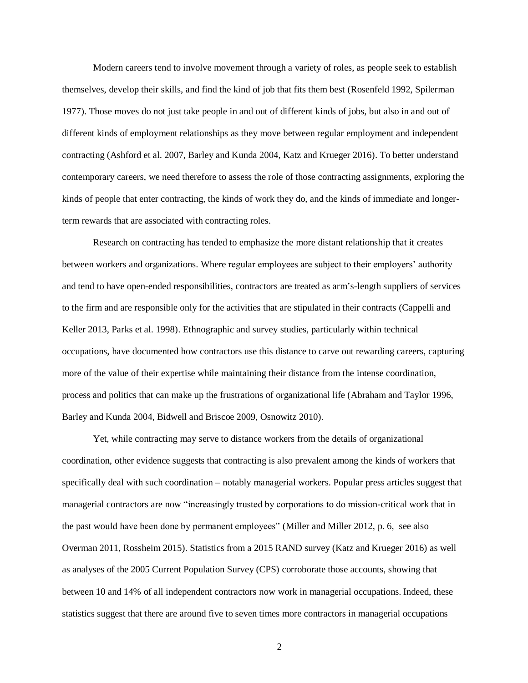Modern careers tend to involve movement through a variety of roles, as people seek to establish themselves, develop their skills, and find the kind of job that fits them best (Rosenfeld 1992, Spilerman 1977). Those moves do not just take people in and out of different kinds of jobs, but also in and out of different kinds of employment relationships as they move between regular employment and independent contracting (Ashford et al. 2007, Barley and Kunda 2004, Katz and Krueger 2016). To better understand contemporary careers, we need therefore to assess the role of those contracting assignments, exploring the kinds of people that enter contracting, the kinds of work they do, and the kinds of immediate and longerterm rewards that are associated with contracting roles.

Research on contracting has tended to emphasize the more distant relationship that it creates between workers and organizations. Where regular employees are subject to their employers' authority and tend to have open-ended responsibilities, contractors are treated as arm's-length suppliers of services to the firm and are responsible only for the activities that are stipulated in their contracts (Cappelli and Keller 2013, Parks et al. 1998). Ethnographic and survey studies, particularly within technical occupations, have documented how contractors use this distance to carve out rewarding careers, capturing more of the value of their expertise while maintaining their distance from the intense coordination, process and politics that can make up the frustrations of organizational life (Abraham and Taylor 1996, Barley and Kunda 2004, Bidwell and Briscoe 2009, Osnowitz 2010).

Yet, while contracting may serve to distance workers from the details of organizational coordination, other evidence suggests that contracting is also prevalent among the kinds of workers that specifically deal with such coordination – notably managerial workers. Popular press articles suggest that managerial contractors are now "increasingly trusted by corporations to do mission-critical work that in the past would have been done by permanent employees" (Miller and Miller 2012, p. 6, see also Overman 2011, Rossheim 2015). Statistics from a 2015 RAND survey (Katz and Krueger 2016) as well as analyses of the 2005 Current Population Survey (CPS) corroborate those accounts, showing that between 10 and 14% of all independent contractors now work in managerial occupations. Indeed, these statistics suggest that there are around five to seven times more contractors in managerial occupations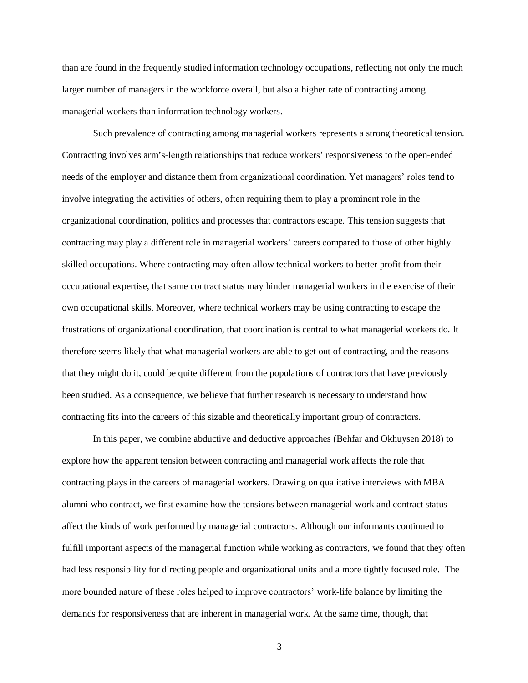than are found in the frequently studied information technology occupations, reflecting not only the much larger number of managers in the workforce overall, but also a higher rate of contracting among managerial workers than information technology workers.

Such prevalence of contracting among managerial workers represents a strong theoretical tension. Contracting involves arm's-length relationships that reduce workers' responsiveness to the open-ended needs of the employer and distance them from organizational coordination. Yet managers' roles tend to involve integrating the activities of others, often requiring them to play a prominent role in the organizational coordination, politics and processes that contractors escape. This tension suggests that contracting may play a different role in managerial workers' careers compared to those of other highly skilled occupations. Where contracting may often allow technical workers to better profit from their occupational expertise, that same contract status may hinder managerial workers in the exercise of their own occupational skills. Moreover, where technical workers may be using contracting to escape the frustrations of organizational coordination, that coordination is central to what managerial workers do. It therefore seems likely that what managerial workers are able to get out of contracting, and the reasons that they might do it, could be quite different from the populations of contractors that have previously been studied. As a consequence, we believe that further research is necessary to understand how contracting fits into the careers of this sizable and theoretically important group of contractors.

In this paper, we combine abductive and deductive approaches (Behfar and Okhuysen 2018) to explore how the apparent tension between contracting and managerial work affects the role that contracting plays in the careers of managerial workers. Drawing on qualitative interviews with MBA alumni who contract, we first examine how the tensions between managerial work and contract status affect the kinds of work performed by managerial contractors. Although our informants continued to fulfill important aspects of the managerial function while working as contractors, we found that they often had less responsibility for directing people and organizational units and a more tightly focused role. The more bounded nature of these roles helped to improve contractors' work-life balance by limiting the demands for responsiveness that are inherent in managerial work. At the same time, though, that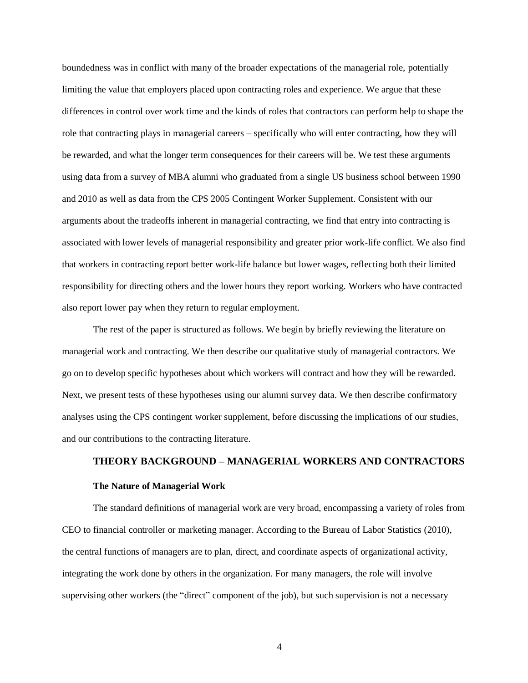boundedness was in conflict with many of the broader expectations of the managerial role, potentially limiting the value that employers placed upon contracting roles and experience. We argue that these differences in control over work time and the kinds of roles that contractors can perform help to shape the role that contracting plays in managerial careers – specifically who will enter contracting, how they will be rewarded, and what the longer term consequences for their careers will be. We test these arguments using data from a survey of MBA alumni who graduated from a single US business school between 1990 and 2010 as well as data from the CPS 2005 Contingent Worker Supplement. Consistent with our arguments about the tradeoffs inherent in managerial contracting, we find that entry into contracting is associated with lower levels of managerial responsibility and greater prior work-life conflict. We also find that workers in contracting report better work-life balance but lower wages, reflecting both their limited responsibility for directing others and the lower hours they report working. Workers who have contracted also report lower pay when they return to regular employment.

The rest of the paper is structured as follows. We begin by briefly reviewing the literature on managerial work and contracting. We then describe our qualitative study of managerial contractors. We go on to develop specific hypotheses about which workers will contract and how they will be rewarded. Next, we present tests of these hypotheses using our alumni survey data. We then describe confirmatory analyses using the CPS contingent worker supplement, before discussing the implications of our studies, and our contributions to the contracting literature.

## **THEORY BACKGROUND – MANAGERIAL WORKERS AND CONTRACTORS**

#### **The Nature of Managerial Work**

The standard definitions of managerial work are very broad, encompassing a variety of roles from CEO to financial controller or marketing manager. According to the Bureau of Labor Statistics (2010), the central functions of managers are to plan, direct, and coordinate aspects of organizational activity, integrating the work done by others in the organization. For many managers, the role will involve supervising other workers (the "direct" component of the job), but such supervision is not a necessary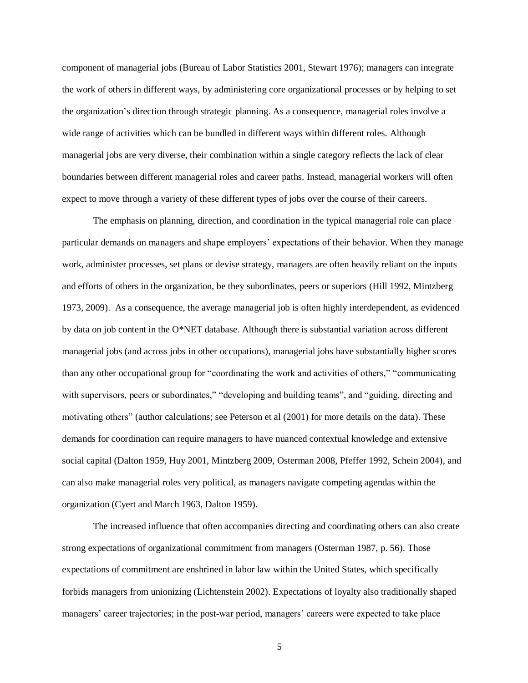component of managerial jobs (Bureau of Labor Statistics 2001, Stewart 1976); managers can integrate the work of others in different ways, by administering core organizational processes or by helping to set the organization's direction through strategic planning. As a consequence, managerial roles involve a wide range of activities which can be bundled in different ways within different roles. Although managerial jobs are very diverse, their combination within a single category reflects the lack of clear boundaries between different managerial roles and career paths. Instead, managerial workers will often expect to move through a variety of these different types of jobs over the course of their careers.

The emphasis on planning, direction, and coordination in the typical managerial role can place particular demands on managers and shape employers' expectations of their behavior. When they manage work, administer processes, set plans or devise strategy, managers are often heavily reliant on the inputs and efforts of others in the organization, be they subordinates, peers or superiors (Hill 1992, Mintzberg 1973, 2009). As a consequence, the average managerial job is often highly interdependent, as evidenced by data on job content in the O\*NET database. Although there is substantial variation across different managerial jobs (and across jobs in other occupations), managerial jobs have substantially higher scores than any other occupational group for "coordinating the work and activities of others," "communicating with supervisors, peers or subordinates," "developing and building teams", and "guiding, directing and motivating others" (author calculations; see Peterson et al (2001) for more details on the data). These demands for coordination can require managers to have nuanced contextual knowledge and extensive social capital (Dalton 1959, Huy 2001, Mintzberg 2009, Osterman 2008, Pfeffer 1992, Schein 2004), and can also make managerial roles very political, as managers navigate competing agendas within the organization (Cyert and March 1963, Dalton 1959).

The increased influence that often accompanies directing and coordinating others can also create strong expectations of organizational commitment from managers (Osterman 1987, p. 56). Those expectations of commitment are enshrined in labor law within the United States, which specifically forbids managers from unionizing (Lichtenstein 2002). Expectations of loyalty also traditionally shaped managers' career trajectories; in the post-war period, managers' careers were expected to take place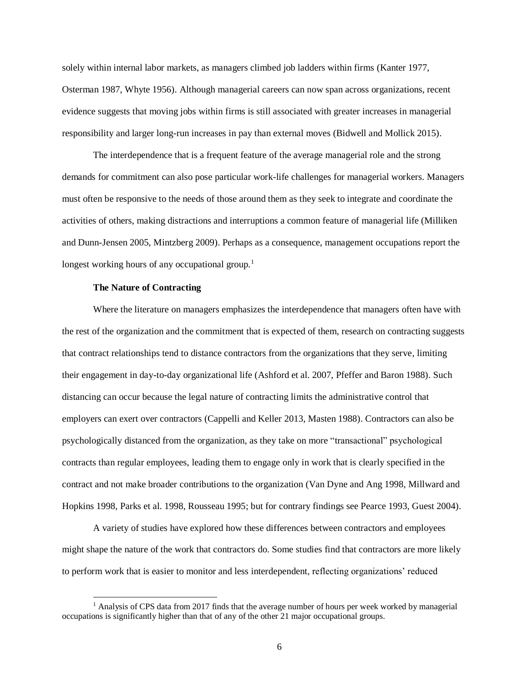solely within internal labor markets, as managers climbed job ladders within firms (Kanter 1977, Osterman 1987, Whyte 1956). Although managerial careers can now span across organizations, recent evidence suggests that moving jobs within firms is still associated with greater increases in managerial responsibility and larger long-run increases in pay than external moves (Bidwell and Mollick 2015).

The interdependence that is a frequent feature of the average managerial role and the strong demands for commitment can also pose particular work-life challenges for managerial workers. Managers must often be responsive to the needs of those around them as they seek to integrate and coordinate the activities of others, making distractions and interruptions a common feature of managerial life (Milliken and Dunn-Jensen 2005, Mintzberg 2009). Perhaps as a consequence, management occupations report the longest working hours of any occupational group.<sup>1</sup>

#### **The Nature of Contracting**

 $\overline{\phantom{a}}$ 

Where the literature on managers emphasizes the interdependence that managers often have with the rest of the organization and the commitment that is expected of them, research on contracting suggests that contract relationships tend to distance contractors from the organizations that they serve, limiting their engagement in day-to-day organizational life (Ashford et al. 2007, Pfeffer and Baron 1988). Such distancing can occur because the legal nature of contracting limits the administrative control that employers can exert over contractors (Cappelli and Keller 2013, Masten 1988). Contractors can also be psychologically distanced from the organization, as they take on more "transactional" psychological contracts than regular employees, leading them to engage only in work that is clearly specified in the contract and not make broader contributions to the organization (Van Dyne and Ang 1998, Millward and Hopkins 1998, Parks et al. 1998, Rousseau 1995; but for contrary findings see Pearce 1993, Guest 2004).

A variety of studies have explored how these differences between contractors and employees might shape the nature of the work that contractors do. Some studies find that contractors are more likely to perform work that is easier to monitor and less interdependent, reflecting organizations' reduced

<sup>&</sup>lt;sup>1</sup> Analysis of CPS data from 2017 finds that the average number of hours per week worked by managerial occupations is significantly higher than that of any of the other 21 major occupational groups.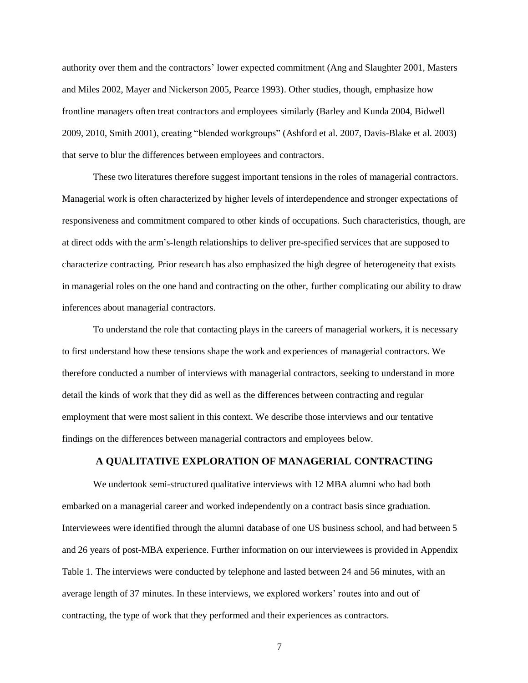authority over them and the contractors' lower expected commitment (Ang and Slaughter 2001, Masters and Miles 2002, Mayer and Nickerson 2005, Pearce 1993). Other studies, though, emphasize how frontline managers often treat contractors and employees similarly (Barley and Kunda 2004, Bidwell 2009, 2010, Smith 2001), creating "blended workgroups" (Ashford et al. 2007, Davis-Blake et al. 2003) that serve to blur the differences between employees and contractors.

These two literatures therefore suggest important tensions in the roles of managerial contractors. Managerial work is often characterized by higher levels of interdependence and stronger expectations of responsiveness and commitment compared to other kinds of occupations. Such characteristics, though, are at direct odds with the arm's-length relationships to deliver pre-specified services that are supposed to characterize contracting. Prior research has also emphasized the high degree of heterogeneity that exists in managerial roles on the one hand and contracting on the other, further complicating our ability to draw inferences about managerial contractors.

To understand the role that contacting plays in the careers of managerial workers, it is necessary to first understand how these tensions shape the work and experiences of managerial contractors. We therefore conducted a number of interviews with managerial contractors, seeking to understand in more detail the kinds of work that they did as well as the differences between contracting and regular employment that were most salient in this context. We describe those interviews and our tentative findings on the differences between managerial contractors and employees below.

## **A QUALITATIVE EXPLORATION OF MANAGERIAL CONTRACTING**

We undertook semi-structured qualitative interviews with 12 MBA alumni who had both embarked on a managerial career and worked independently on a contract basis since graduation. Interviewees were identified through the alumni database of one US business school, and had between 5 and 26 years of post-MBA experience. Further information on our interviewees is provided in Appendix Table 1. The interviews were conducted by telephone and lasted between 24 and 56 minutes, with an average length of 37 minutes. In these interviews, we explored workers' routes into and out of contracting, the type of work that they performed and their experiences as contractors.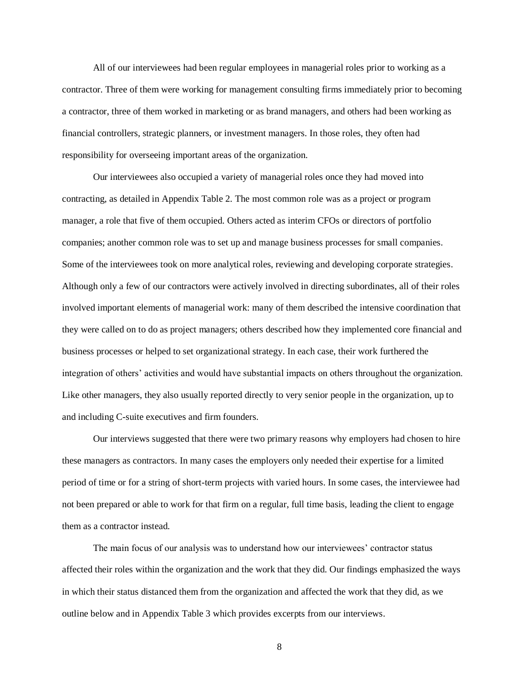All of our interviewees had been regular employees in managerial roles prior to working as a contractor. Three of them were working for management consulting firms immediately prior to becoming a contractor, three of them worked in marketing or as brand managers, and others had been working as financial controllers, strategic planners, or investment managers. In those roles, they often had responsibility for overseeing important areas of the organization.

Our interviewees also occupied a variety of managerial roles once they had moved into contracting, as detailed in Appendix Table 2. The most common role was as a project or program manager, a role that five of them occupied. Others acted as interim CFOs or directors of portfolio companies; another common role was to set up and manage business processes for small companies. Some of the interviewees took on more analytical roles, reviewing and developing corporate strategies. Although only a few of our contractors were actively involved in directing subordinates, all of their roles involved important elements of managerial work: many of them described the intensive coordination that they were called on to do as project managers; others described how they implemented core financial and business processes or helped to set organizational strategy. In each case, their work furthered the integration of others' activities and would have substantial impacts on others throughout the organization. Like other managers, they also usually reported directly to very senior people in the organization, up to and including C-suite executives and firm founders.

Our interviews suggested that there were two primary reasons why employers had chosen to hire these managers as contractors. In many cases the employers only needed their expertise for a limited period of time or for a string of short-term projects with varied hours. In some cases, the interviewee had not been prepared or able to work for that firm on a regular, full time basis, leading the client to engage them as a contractor instead.

The main focus of our analysis was to understand how our interviewees' contractor status affected their roles within the organization and the work that they did. Our findings emphasized the ways in which their status distanced them from the organization and affected the work that they did, as we outline below and in Appendix Table 3 which provides excerpts from our interviews.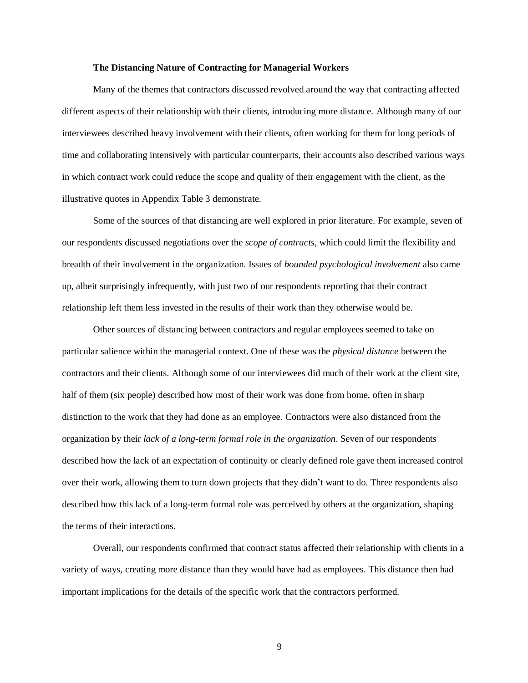#### **The Distancing Nature of Contracting for Managerial Workers**

Many of the themes that contractors discussed revolved around the way that contracting affected different aspects of their relationship with their clients, introducing more distance. Although many of our interviewees described heavy involvement with their clients, often working for them for long periods of time and collaborating intensively with particular counterparts, their accounts also described various ways in which contract work could reduce the scope and quality of their engagement with the client, as the illustrative quotes in Appendix Table 3 demonstrate.

Some of the sources of that distancing are well explored in prior literature. For example, seven of our respondents discussed negotiations over the *scope of contracts,* which could limit the flexibility and breadth of their involvement in the organization. Issues of *bounded psychological involvement* also came up, albeit surprisingly infrequently, with just two of our respondents reporting that their contract relationship left them less invested in the results of their work than they otherwise would be.

Other sources of distancing between contractors and regular employees seemed to take on particular salience within the managerial context. One of these was the *physical distance* between the contractors and their clients. Although some of our interviewees did much of their work at the client site, half of them (six people) described how most of their work was done from home, often in sharp distinction to the work that they had done as an employee. Contractors were also distanced from the organization by their *lack of a long-term formal role in the organization*. Seven of our respondents described how the lack of an expectation of continuity or clearly defined role gave them increased control over their work, allowing them to turn down projects that they didn't want to do. Three respondents also described how this lack of a long-term formal role was perceived by others at the organization, shaping the terms of their interactions.

Overall, our respondents confirmed that contract status affected their relationship with clients in a variety of ways, creating more distance than they would have had as employees. This distance then had important implications for the details of the specific work that the contractors performed.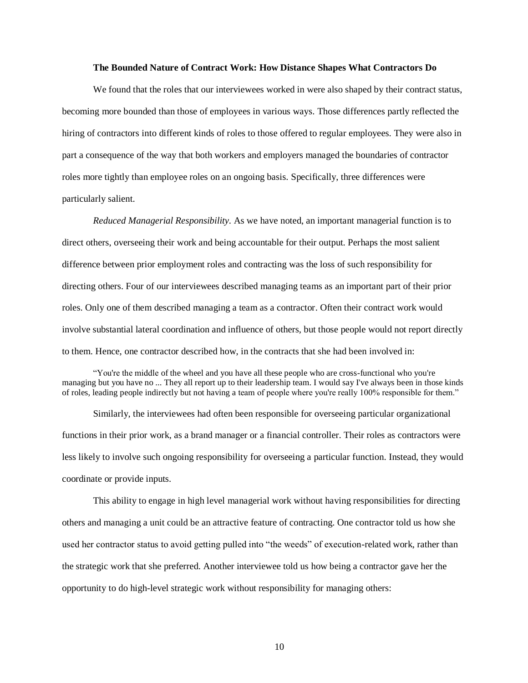#### **The Bounded Nature of Contract Work: How Distance Shapes What Contractors Do**

We found that the roles that our interviewees worked in were also shaped by their contract status, becoming more bounded than those of employees in various ways. Those differences partly reflected the hiring of contractors into different kinds of roles to those offered to regular employees. They were also in part a consequence of the way that both workers and employers managed the boundaries of contractor roles more tightly than employee roles on an ongoing basis. Specifically, three differences were particularly salient.

*Reduced Managerial Responsibility.* As we have noted, an important managerial function is to direct others, overseeing their work and being accountable for their output. Perhaps the most salient difference between prior employment roles and contracting was the loss of such responsibility for directing others. Four of our interviewees described managing teams as an important part of their prior roles. Only one of them described managing a team as a contractor. Often their contract work would involve substantial lateral coordination and influence of others, but those people would not report directly to them. Hence, one contractor described how, in the contracts that she had been involved in:

"You're the middle of the wheel and you have all these people who are cross-functional who you're managing but you have no ... They all report up to their leadership team. I would say I've always been in those kinds of roles, leading people indirectly but not having a team of people where you're really 100% responsible for them."

Similarly, the interviewees had often been responsible for overseeing particular organizational functions in their prior work, as a brand manager or a financial controller. Their roles as contractors were less likely to involve such ongoing responsibility for overseeing a particular function. Instead, they would coordinate or provide inputs.

This ability to engage in high level managerial work without having responsibilities for directing others and managing a unit could be an attractive feature of contracting. One contractor told us how she used her contractor status to avoid getting pulled into "the weeds" of execution-related work, rather than the strategic work that she preferred. Another interviewee told us how being a contractor gave her the opportunity to do high-level strategic work without responsibility for managing others: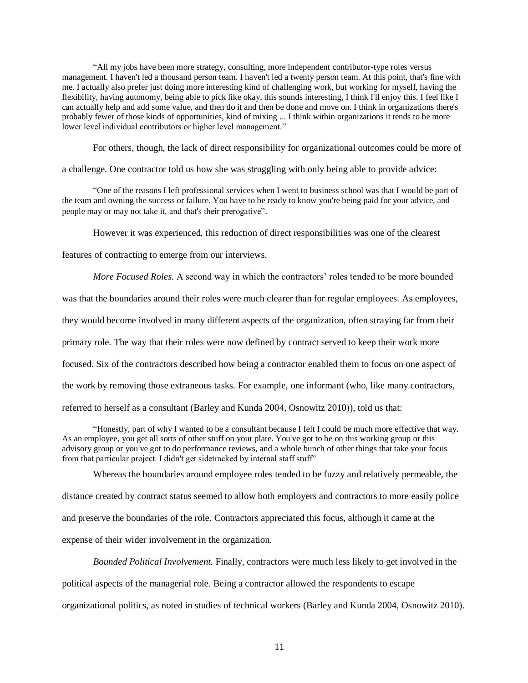"All my jobs have been more strategy, consulting, more independent contributor-type roles versus management. I haven't led a thousand person team. I haven't led a twenty person team. At this point, that's fine with me. I actually also prefer just doing more interesting kind of challenging work, but working for myself, having the flexibility, having autonomy, being able to pick like okay, this sounds interesting, I think I'll enjoy this. I feel like I can actually help and add some value, and then do it and then be done and move on. I think in organizations there's probably fewer of those kinds of opportunities, kind of mixing ... I think within organizations it tends to be more lower level individual contributors or higher level management."

For others, though, the lack of direct responsibility for organizational outcomes could be more of

a challenge. One contractor told us how she was struggling with only being able to provide advice:

"One of the reasons I left professional services when I went to business school was that I would be part of the team and owning the success or failure. You have to be ready to know you're being paid for your advice, and people may or may not take it, and that's their prerogative".

However it was experienced, this reduction of direct responsibilities was one of the clearest

features of contracting to emerge from our interviews.

*More Focused Roles.* A second way in which the contractors' roles tended to be more bounded

was that the boundaries around their roles were much clearer than for regular employees. As employees,

they would become involved in many different aspects of the organization, often straying far from their

primary role. The way that their roles were now defined by contract served to keep their work more

focused. Six of the contractors described how being a contractor enabled them to focus on one aspect of

the work by removing those extraneous tasks. For example, one informant (who, like many contractors,

referred to herself as a consultant (Barley and Kunda 2004, Osnowitz 2010)), told us that:

"Honestly, part of why I wanted to be a consultant because I felt I could be much more effective that way. As an employee, you get all sorts of other stuff on your plate. You've got to be on this working group or this advisory group or you've got to do performance reviews, and a whole bunch of other things that take your focus from that particular project. I didn't get sidetracked by internal staff stuff"

Whereas the boundaries around employee roles tended to be fuzzy and relatively permeable, the distance created by contract status seemed to allow both employers and contractors to more easily police and preserve the boundaries of the role. Contractors appreciated this focus, although it came at the expense of their wider involvement in the organization.

*Bounded Political Involvement.* Finally, contractors were much less likely to get involved in the political aspects of the managerial role. Being a contractor allowed the respondents to escape organizational politics, as noted in studies of technical workers (Barley and Kunda 2004, Osnowitz 2010).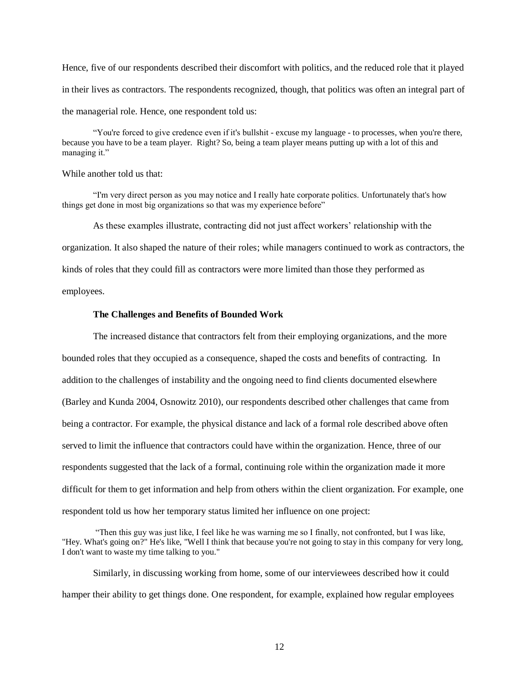Hence, five of our respondents described their discomfort with politics, and the reduced role that it played in their lives as contractors. The respondents recognized, though, that politics was often an integral part of the managerial role. Hence, one respondent told us:

"You're forced to give credence even if it's bullshit - excuse my language - to processes, when you're there, because you have to be a team player. Right? So, being a team player means putting up with a lot of this and managing it."

#### While another told us that:

"I'm very direct person as you may notice and I really hate corporate politics. Unfortunately that's how things get done in most big organizations so that was my experience before"

As these examples illustrate, contracting did not just affect workers' relationship with the

organization. It also shaped the nature of their roles; while managers continued to work as contractors, the

kinds of roles that they could fill as contractors were more limited than those they performed as

employees.

#### **The Challenges and Benefits of Bounded Work**

The increased distance that contractors felt from their employing organizations, and the more bounded roles that they occupied as a consequence, shaped the costs and benefits of contracting. In addition to the challenges of instability and the ongoing need to find clients documented elsewhere (Barley and Kunda 2004, Osnowitz 2010), our respondents described other challenges that came from being a contractor. For example, the physical distance and lack of a formal role described above often served to limit the influence that contractors could have within the organization. Hence, three of our respondents suggested that the lack of a formal, continuing role within the organization made it more difficult for them to get information and help from others within the client organization. For example, one respondent told us how her temporary status limited her influence on one project:

"Then this guy was just like, I feel like he was warning me so I finally, not confronted, but I was like, "Hey. What's going on?" He's like, "Well I think that because you're not going to stay in this company for very long, I don't want to waste my time talking to you."

Similarly, in discussing working from home, some of our interviewees described how it could hamper their ability to get things done. One respondent, for example, explained how regular employees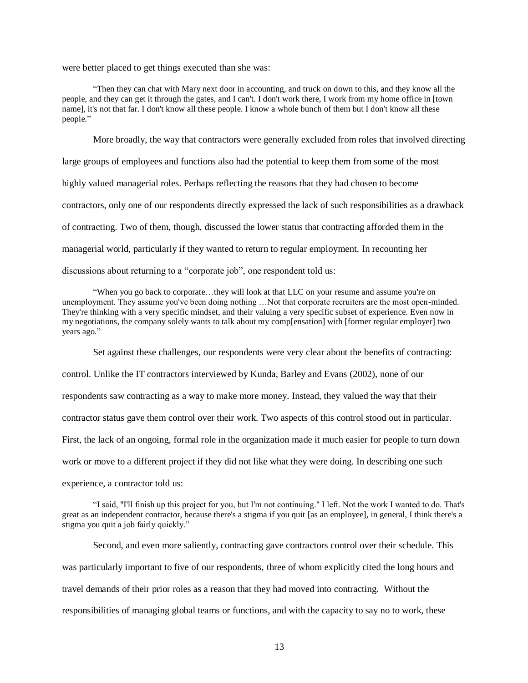were better placed to get things executed than she was:

"Then they can chat with Mary next door in accounting, and truck on down to this, and they know all the people, and they can get it through the gates, and I can't. I don't work there, I work from my home office in [town name], it's not that far. I don't know all these people. I know a whole bunch of them but I don't know all these people."

More broadly, the way that contractors were generally excluded from roles that involved directing large groups of employees and functions also had the potential to keep them from some of the most highly valued managerial roles. Perhaps reflecting the reasons that they had chosen to become contractors, only one of our respondents directly expressed the lack of such responsibilities as a drawback of contracting. Two of them, though, discussed the lower status that contracting afforded them in the managerial world, particularly if they wanted to return to regular employment. In recounting her discussions about returning to a "corporate job", one respondent told us:

"When you go back to corporate…they will look at that LLC on your resume and assume you're on unemployment. They assume you've been doing nothing …Not that corporate recruiters are the most open-minded. They're thinking with a very specific mindset, and their valuing a very specific subset of experience. Even now in my negotiations, the company solely wants to talk about my comp[ensation] with [former regular employer] two years ago."

Set against these challenges, our respondents were very clear about the benefits of contracting:

control. Unlike the IT contractors interviewed by Kunda, Barley and Evans (2002), none of our

respondents saw contracting as a way to make more money. Instead, they valued the way that their

contractor status gave them control over their work. Two aspects of this control stood out in particular.

First, the lack of an ongoing, formal role in the organization made it much easier for people to turn down

work or move to a different project if they did not like what they were doing. In describing one such

experience, a contractor told us:

"I said, "I'll finish up this project for you, but I'm not continuing." I left. Not the work I wanted to do. That's great as an independent contractor, because there's a stigma if you quit [as an employee], in general, I think there's a stigma you quit a job fairly quickly."

Second, and even more saliently, contracting gave contractors control over their schedule. This was particularly important to five of our respondents, three of whom explicitly cited the long hours and travel demands of their prior roles as a reason that they had moved into contracting. Without the responsibilities of managing global teams or functions, and with the capacity to say no to work, these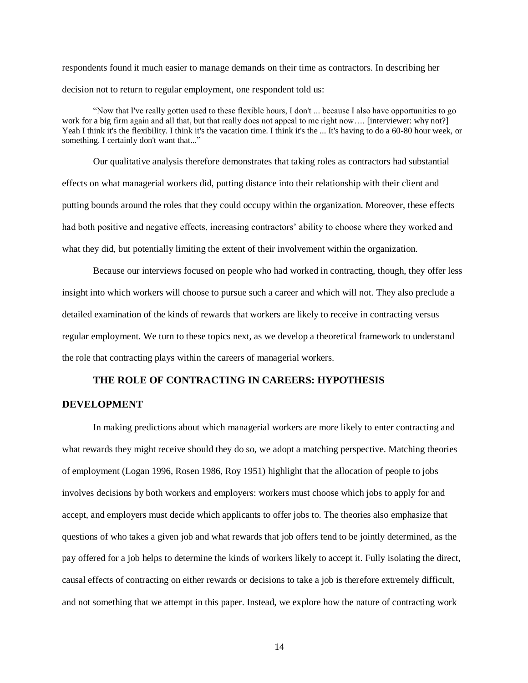respondents found it much easier to manage demands on their time as contractors. In describing her decision not to return to regular employment, one respondent told us:

"Now that I've really gotten used to these flexible hours, I don't ... because I also have opportunities to go work for a big firm again and all that, but that really does not appeal to me right now.... [interviewer: why not?] Yeah I think it's the flexibility. I think it's the vacation time. I think it's the ... It's having to do a 60-80 hour week, or something. I certainly don't want that..."

Our qualitative analysis therefore demonstrates that taking roles as contractors had substantial effects on what managerial workers did, putting distance into their relationship with their client and putting bounds around the roles that they could occupy within the organization. Moreover, these effects had both positive and negative effects, increasing contractors' ability to choose where they worked and what they did, but potentially limiting the extent of their involvement within the organization.

Because our interviews focused on people who had worked in contracting, though, they offer less insight into which workers will choose to pursue such a career and which will not. They also preclude a detailed examination of the kinds of rewards that workers are likely to receive in contracting versus regular employment. We turn to these topics next, as we develop a theoretical framework to understand the role that contracting plays within the careers of managerial workers.

## **THE ROLE OF CONTRACTING IN CAREERS: HYPOTHESIS**

## **DEVELOPMENT**

In making predictions about which managerial workers are more likely to enter contracting and what rewards they might receive should they do so, we adopt a matching perspective. Matching theories of employment (Logan 1996, Rosen 1986, Roy 1951) highlight that the allocation of people to jobs involves decisions by both workers and employers: workers must choose which jobs to apply for and accept, and employers must decide which applicants to offer jobs to. The theories also emphasize that questions of who takes a given job and what rewards that job offers tend to be jointly determined, as the pay offered for a job helps to determine the kinds of workers likely to accept it. Fully isolating the direct, causal effects of contracting on either rewards or decisions to take a job is therefore extremely difficult, and not something that we attempt in this paper. Instead, we explore how the nature of contracting work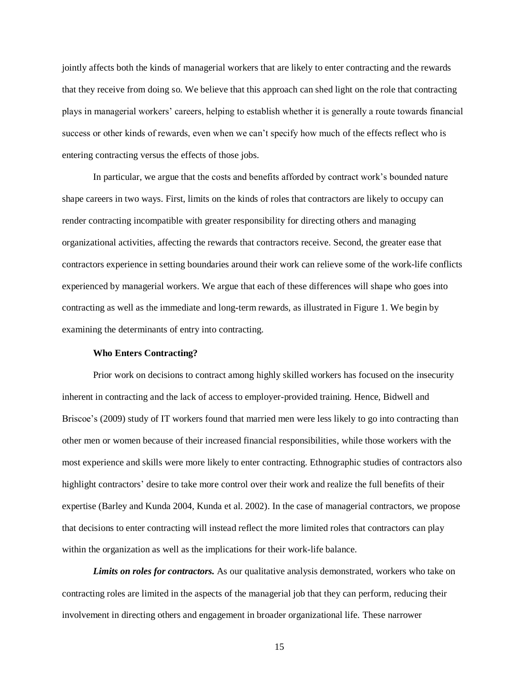jointly affects both the kinds of managerial workers that are likely to enter contracting and the rewards that they receive from doing so. We believe that this approach can shed light on the role that contracting plays in managerial workers' careers, helping to establish whether it is generally a route towards financial success or other kinds of rewards, even when we can't specify how much of the effects reflect who is entering contracting versus the effects of those jobs.

In particular, we argue that the costs and benefits afforded by contract work's bounded nature shape careers in two ways. First, limits on the kinds of roles that contractors are likely to occupy can render contracting incompatible with greater responsibility for directing others and managing organizational activities, affecting the rewards that contractors receive. Second, the greater ease that contractors experience in setting boundaries around their work can relieve some of the work-life conflicts experienced by managerial workers. We argue that each of these differences will shape who goes into contracting as well as the immediate and long-term rewards, as illustrated in Figure 1. We begin by examining the determinants of entry into contracting.

#### **Who Enters Contracting?**

Prior work on decisions to contract among highly skilled workers has focused on the insecurity inherent in contracting and the lack of access to employer-provided training. Hence, Bidwell and Briscoe's (2009) study of IT workers found that married men were less likely to go into contracting than other men or women because of their increased financial responsibilities, while those workers with the most experience and skills were more likely to enter contracting. Ethnographic studies of contractors also highlight contractors' desire to take more control over their work and realize the full benefits of their expertise (Barley and Kunda 2004, Kunda et al. 2002). In the case of managerial contractors, we propose that decisions to enter contracting will instead reflect the more limited roles that contractors can play within the organization as well as the implications for their work-life balance.

*Limits on roles for contractors.* As our qualitative analysis demonstrated, workers who take on contracting roles are limited in the aspects of the managerial job that they can perform, reducing their involvement in directing others and engagement in broader organizational life. These narrower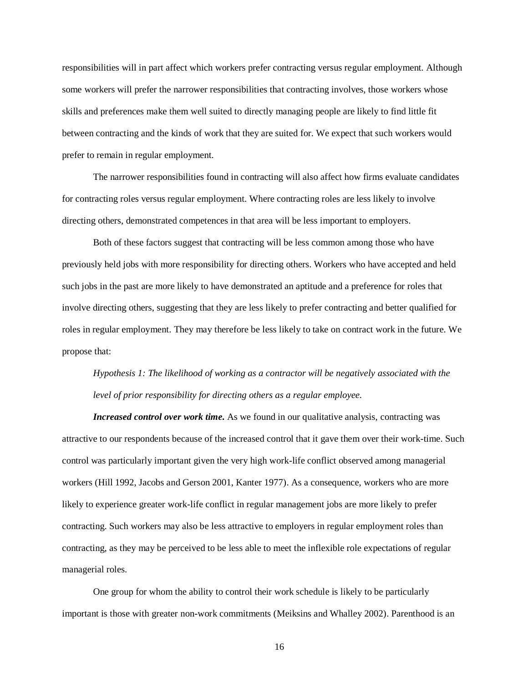responsibilities will in part affect which workers prefer contracting versus regular employment. Although some workers will prefer the narrower responsibilities that contracting involves, those workers whose skills and preferences make them well suited to directly managing people are likely to find little fit between contracting and the kinds of work that they are suited for. We expect that such workers would prefer to remain in regular employment.

The narrower responsibilities found in contracting will also affect how firms evaluate candidates for contracting roles versus regular employment. Where contracting roles are less likely to involve directing others, demonstrated competences in that area will be less important to employers.

Both of these factors suggest that contracting will be less common among those who have previously held jobs with more responsibility for directing others. Workers who have accepted and held such jobs in the past are more likely to have demonstrated an aptitude and a preference for roles that involve directing others, suggesting that they are less likely to prefer contracting and better qualified for roles in regular employment. They may therefore be less likely to take on contract work in the future. We propose that:

# *Hypothesis 1: The likelihood of working as a contractor will be negatively associated with the level of prior responsibility for directing others as a regular employee.*

*Increased control over work time.* As we found in our qualitative analysis, contracting was attractive to our respondents because of the increased control that it gave them over their work-time. Such control was particularly important given the very high work-life conflict observed among managerial workers (Hill 1992, Jacobs and Gerson 2001, Kanter 1977). As a consequence, workers who are more likely to experience greater work-life conflict in regular management jobs are more likely to prefer contracting. Such workers may also be less attractive to employers in regular employment roles than contracting, as they may be perceived to be less able to meet the inflexible role expectations of regular managerial roles.

One group for whom the ability to control their work schedule is likely to be particularly important is those with greater non-work commitments (Meiksins and Whalley 2002). Parenthood is an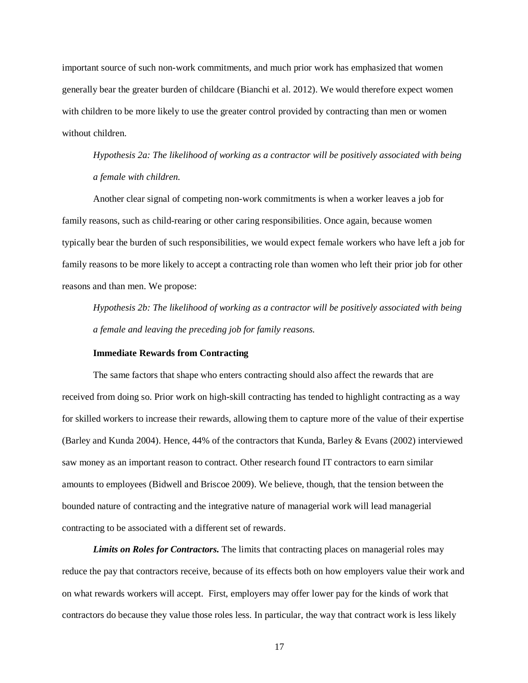important source of such non-work commitments, and much prior work has emphasized that women generally bear the greater burden of childcare (Bianchi et al. 2012). We would therefore expect women with children to be more likely to use the greater control provided by contracting than men or women without children.

*Hypothesis 2a: The likelihood of working as a contractor will be positively associated with being a female with children.* 

Another clear signal of competing non-work commitments is when a worker leaves a job for family reasons, such as child-rearing or other caring responsibilities. Once again, because women typically bear the burden of such responsibilities, we would expect female workers who have left a job for family reasons to be more likely to accept a contracting role than women who left their prior job for other reasons and than men. We propose:

*Hypothesis 2b: The likelihood of working as a contractor will be positively associated with being a female and leaving the preceding job for family reasons.* 

#### **Immediate Rewards from Contracting**

The same factors that shape who enters contracting should also affect the rewards that are received from doing so. Prior work on high-skill contracting has tended to highlight contracting as a way for skilled workers to increase their rewards, allowing them to capture more of the value of their expertise (Barley and Kunda 2004). Hence, 44% of the contractors that Kunda, Barley & Evans (2002) interviewed saw money as an important reason to contract. Other research found IT contractors to earn similar amounts to employees (Bidwell and Briscoe 2009). We believe, though, that the tension between the bounded nature of contracting and the integrative nature of managerial work will lead managerial contracting to be associated with a different set of rewards.

*Limits on Roles for Contractors.* The limits that contracting places on managerial roles may reduce the pay that contractors receive, because of its effects both on how employers value their work and on what rewards workers will accept. First, employers may offer lower pay for the kinds of work that contractors do because they value those roles less. In particular, the way that contract work is less likely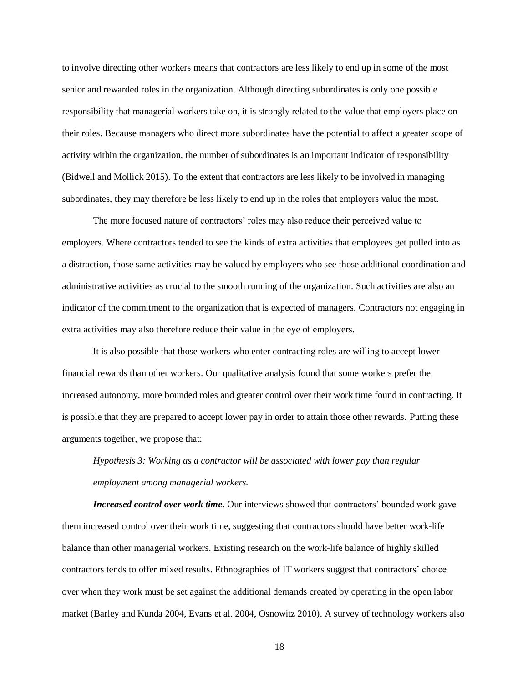to involve directing other workers means that contractors are less likely to end up in some of the most senior and rewarded roles in the organization. Although directing subordinates is only one possible responsibility that managerial workers take on, it is strongly related to the value that employers place on their roles. Because managers who direct more subordinates have the potential to affect a greater scope of activity within the organization, the number of subordinates is an important indicator of responsibility (Bidwell and Mollick 2015). To the extent that contractors are less likely to be involved in managing subordinates, they may therefore be less likely to end up in the roles that employers value the most.

The more focused nature of contractors' roles may also reduce their perceived value to employers. Where contractors tended to see the kinds of extra activities that employees get pulled into as a distraction, those same activities may be valued by employers who see those additional coordination and administrative activities as crucial to the smooth running of the organization. Such activities are also an indicator of the commitment to the organization that is expected of managers. Contractors not engaging in extra activities may also therefore reduce their value in the eye of employers.

It is also possible that those workers who enter contracting roles are willing to accept lower financial rewards than other workers. Our qualitative analysis found that some workers prefer the increased autonomy, more bounded roles and greater control over their work time found in contracting. It is possible that they are prepared to accept lower pay in order to attain those other rewards. Putting these arguments together, we propose that:

*Hypothesis 3: Working as a contractor will be associated with lower pay than regular employment among managerial workers.*

*Increased control over work time.* Our interviews showed that contractors' bounded work gave them increased control over their work time, suggesting that contractors should have better work-life balance than other managerial workers. Existing research on the work-life balance of highly skilled contractors tends to offer mixed results. Ethnographies of IT workers suggest that contractors' choice over when they work must be set against the additional demands created by operating in the open labor market (Barley and Kunda 2004, Evans et al. 2004, Osnowitz 2010). A survey of technology workers also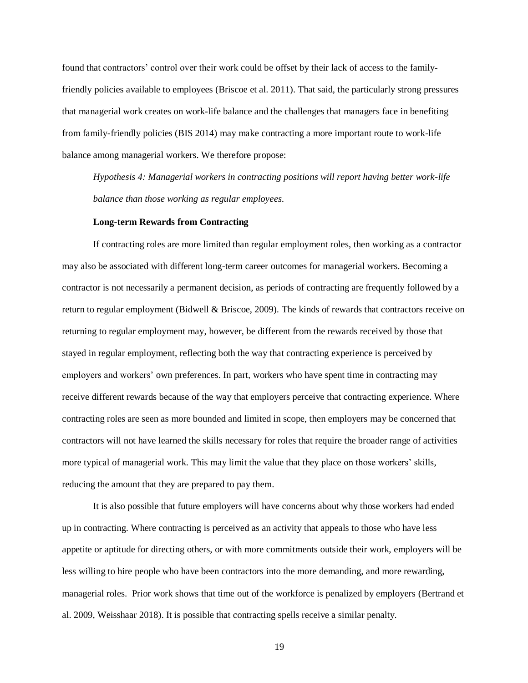found that contractors' control over their work could be offset by their lack of access to the familyfriendly policies available to employees (Briscoe et al. 2011). That said, the particularly strong pressures that managerial work creates on work-life balance and the challenges that managers face in benefiting from family-friendly policies (BIS 2014) may make contracting a more important route to work-life balance among managerial workers. We therefore propose:

*Hypothesis 4: Managerial workers in contracting positions will report having better work-life balance than those working as regular employees.*

#### **Long-term Rewards from Contracting**

If contracting roles are more limited than regular employment roles, then working as a contractor may also be associated with different long-term career outcomes for managerial workers. Becoming a contractor is not necessarily a permanent decision, as periods of contracting are frequently followed by a return to regular employment (Bidwell & Briscoe, 2009). The kinds of rewards that contractors receive on returning to regular employment may, however, be different from the rewards received by those that stayed in regular employment, reflecting both the way that contracting experience is perceived by employers and workers' own preferences. In part, workers who have spent time in contracting may receive different rewards because of the way that employers perceive that contracting experience. Where contracting roles are seen as more bounded and limited in scope, then employers may be concerned that contractors will not have learned the skills necessary for roles that require the broader range of activities more typical of managerial work. This may limit the value that they place on those workers' skills, reducing the amount that they are prepared to pay them.

It is also possible that future employers will have concerns about why those workers had ended up in contracting. Where contracting is perceived as an activity that appeals to those who have less appetite or aptitude for directing others, or with more commitments outside their work, employers will be less willing to hire people who have been contractors into the more demanding, and more rewarding, managerial roles. Prior work shows that time out of the workforce is penalized by employers (Bertrand et al. 2009, Weisshaar 2018). It is possible that contracting spells receive a similar penalty.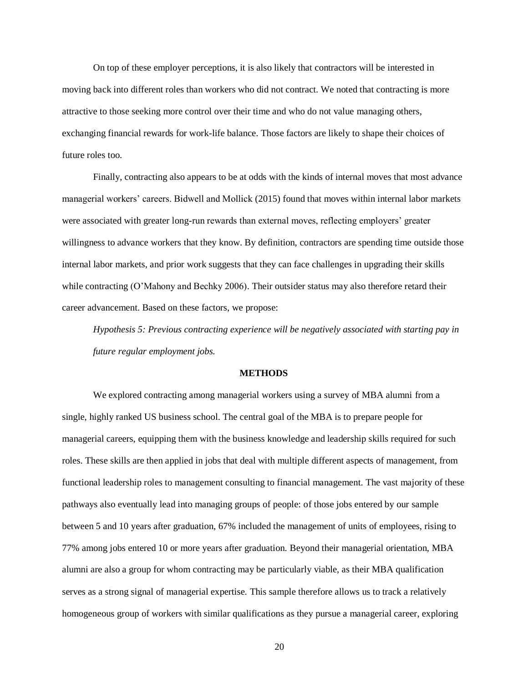On top of these employer perceptions, it is also likely that contractors will be interested in moving back into different roles than workers who did not contract. We noted that contracting is more attractive to those seeking more control over their time and who do not value managing others, exchanging financial rewards for work-life balance. Those factors are likely to shape their choices of future roles too.

Finally, contracting also appears to be at odds with the kinds of internal moves that most advance managerial workers' careers. Bidwell and Mollick (2015) found that moves within internal labor markets were associated with greater long-run rewards than external moves, reflecting employers' greater willingness to advance workers that they know. By definition, contractors are spending time outside those internal labor markets, and prior work suggests that they can face challenges in upgrading their skills while contracting (O'Mahony and Bechky 2006). Their outsider status may also therefore retard their career advancement. Based on these factors, we propose:

*Hypothesis 5: Previous contracting experience will be negatively associated with starting pay in future regular employment jobs.*

#### **METHODS**

We explored contracting among managerial workers using a survey of MBA alumni from a single, highly ranked US business school. The central goal of the MBA is to prepare people for managerial careers, equipping them with the business knowledge and leadership skills required for such roles. These skills are then applied in jobs that deal with multiple different aspects of management, from functional leadership roles to management consulting to financial management. The vast majority of these pathways also eventually lead into managing groups of people: of those jobs entered by our sample between 5 and 10 years after graduation, 67% included the management of units of employees, rising to 77% among jobs entered 10 or more years after graduation. Beyond their managerial orientation, MBA alumni are also a group for whom contracting may be particularly viable, as their MBA qualification serves as a strong signal of managerial expertise. This sample therefore allows us to track a relatively homogeneous group of workers with similar qualifications as they pursue a managerial career, exploring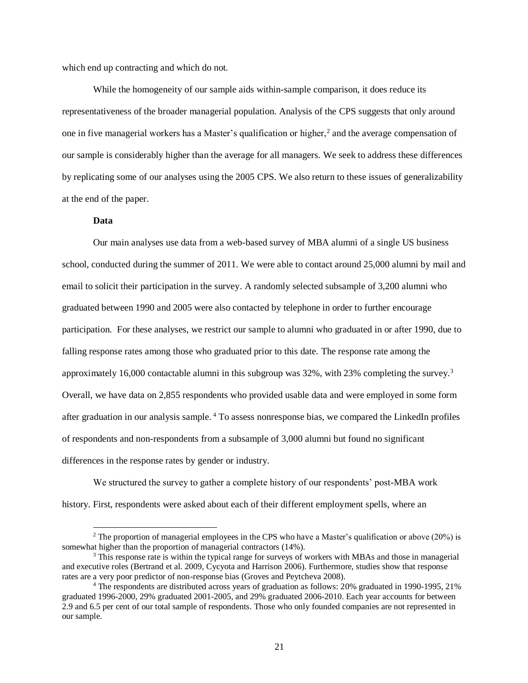which end up contracting and which do not.

While the homogeneity of our sample aids within-sample comparison, it does reduce its representativeness of the broader managerial population. Analysis of the CPS suggests that only around one in five managerial workers has a Master's qualification or higher,<sup>2</sup> and the average compensation of our sample is considerably higher than the average for all managers. We seek to address these differences by replicating some of our analyses using the 2005 CPS. We also return to these issues of generalizability at the end of the paper.

#### **Data**

l

Our main analyses use data from a web-based survey of MBA alumni of a single US business school, conducted during the summer of 2011. We were able to contact around 25,000 alumni by mail and email to solicit their participation in the survey. A randomly selected subsample of 3,200 alumni who graduated between 1990 and 2005 were also contacted by telephone in order to further encourage participation. For these analyses, we restrict our sample to alumni who graduated in or after 1990, due to falling response rates among those who graduated prior to this date. The response rate among the approximately 16,000 contactable alumni in this subgroup was 32%, with 23% completing the survey.<sup>3</sup> Overall, we have data on 2,855 respondents who provided usable data and were employed in some form after graduation in our analysis sample. <sup>4</sup> To assess nonresponse bias, we compared the LinkedIn profiles of respondents and non-respondents from a subsample of 3,000 alumni but found no significant differences in the response rates by gender or industry.

We structured the survey to gather a complete history of our respondents' post-MBA work history. First, respondents were asked about each of their different employment spells, where an

 $2$  The proportion of managerial employees in the CPS who have a Master's qualification or above (20%) is somewhat higher than the proportion of managerial contractors (14%).

<sup>&</sup>lt;sup>3</sup> This response rate is within the typical range for surveys of workers with MBAs and those in managerial and executive roles (Bertrand et al. 2009, Cycyota and Harrison 2006). Furthermore, studies show that response rates are a very poor predictor of non-response bias (Groves and Peytcheva 2008).

<sup>4</sup> The respondents are distributed across years of graduation as follows: 20% graduated in 1990-1995, 21% graduated 1996-2000, 29% graduated 2001-2005, and 29% graduated 2006-2010. Each year accounts for between 2.9 and 6.5 per cent of our total sample of respondents. Those who only founded companies are not represented in our sample.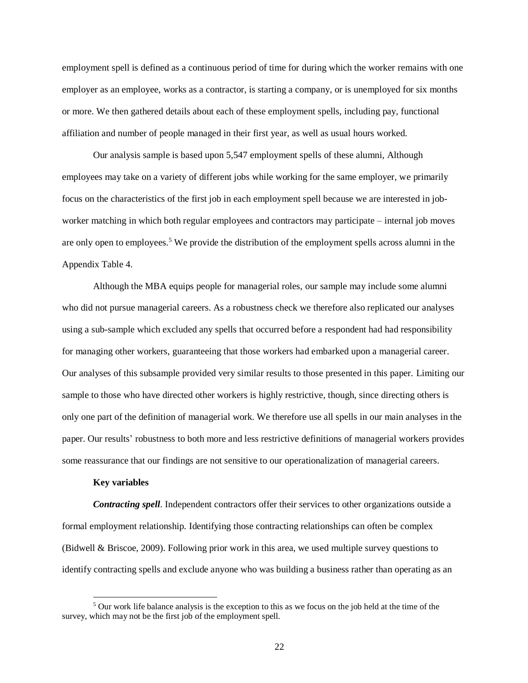employment spell is defined as a continuous period of time for during which the worker remains with one employer as an employee, works as a contractor, is starting a company, or is unemployed for six months or more. We then gathered details about each of these employment spells, including pay, functional affiliation and number of people managed in their first year, as well as usual hours worked.

Our analysis sample is based upon 5,547 employment spells of these alumni, Although employees may take on a variety of different jobs while working for the same employer, we primarily focus on the characteristics of the first job in each employment spell because we are interested in jobworker matching in which both regular employees and contractors may participate – internal job moves are only open to employees.<sup>5</sup> We provide the distribution of the employment spells across alumni in the Appendix Table 4.

Although the MBA equips people for managerial roles, our sample may include some alumni who did not pursue managerial careers. As a robustness check we therefore also replicated our analyses using a sub-sample which excluded any spells that occurred before a respondent had had responsibility for managing other workers, guaranteeing that those workers had embarked upon a managerial career. Our analyses of this subsample provided very similar results to those presented in this paper. Limiting our sample to those who have directed other workers is highly restrictive, though, since directing others is only one part of the definition of managerial work. We therefore use all spells in our main analyses in the paper. Our results' robustness to both more and less restrictive definitions of managerial workers provides some reassurance that our findings are not sensitive to our operationalization of managerial careers.

#### **Key variables**

 $\overline{\phantom{a}}$ 

*Contracting spell*. Independent contractors offer their services to other organizations outside a formal employment relationship. Identifying those contracting relationships can often be complex (Bidwell & Briscoe, 2009). Following prior work in this area, we used multiple survey questions to identify contracting spells and exclude anyone who was building a business rather than operating as an

<sup>5</sup> Our work life balance analysis is the exception to this as we focus on the job held at the time of the survey, which may not be the first job of the employment spell.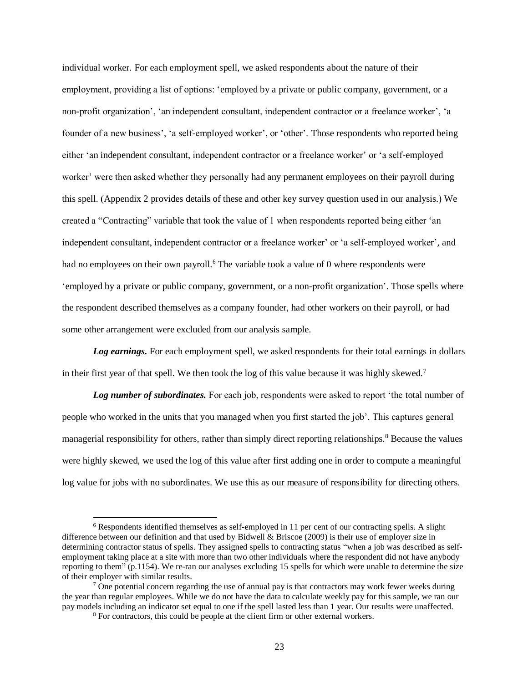individual worker. For each employment spell, we asked respondents about the nature of their employment, providing a list of options: 'employed by a private or public company, government, or a non-profit organization', 'an independent consultant, independent contractor or a freelance worker', 'a founder of a new business', 'a self-employed worker', or 'other'. Those respondents who reported being either 'an independent consultant, independent contractor or a freelance worker' or 'a self-employed worker' were then asked whether they personally had any permanent employees on their payroll during this spell. (Appendix 2 provides details of these and other key survey question used in our analysis.) We created a "Contracting" variable that took the value of 1 when respondents reported being either 'an independent consultant, independent contractor or a freelance worker' or 'a self-employed worker', and had no employees on their own payroll.<sup>6</sup> The variable took a value of 0 where respondents were 'employed by a private or public company, government, or a non-profit organization'. Those spells where the respondent described themselves as a company founder, had other workers on their payroll, or had some other arrangement were excluded from our analysis sample.

*Log earnings.* For each employment spell, we asked respondents for their total earnings in dollars in their first year of that spell. We then took the log of this value because it was highly skewed.<sup>7</sup>

Log number of subordinates. For each job, respondents were asked to report 'the total number of people who worked in the units that you managed when you first started the job'. This captures general managerial responsibility for others, rather than simply direct reporting relationships.<sup>8</sup> Because the values were highly skewed, we used the log of this value after first adding one in order to compute a meaningful log value for jobs with no subordinates. We use this as our measure of responsibility for directing others.

<sup>6</sup> Respondents identified themselves as self-employed in 11 per cent of our contracting spells. A slight difference between our definition and that used by Bidwell & Briscoe (2009) is their use of employer size in determining contractor status of spells. They assigned spells to contracting status "when a job was described as selfemployment taking place at a site with more than two other individuals where the respondent did not have anybody reporting to them" (p.1154). We re-ran our analyses excluding 15 spells for which were unable to determine the size of their employer with similar results.

 $7$  One potential concern regarding the use of annual pay is that contractors may work fewer weeks during the year than regular employees. While we do not have the data to calculate weekly pay for this sample, we ran our pay models including an indicator set equal to one if the spell lasted less than 1 year. Our results were unaffected.

<sup>8</sup> For contractors, this could be people at the client firm or other external workers.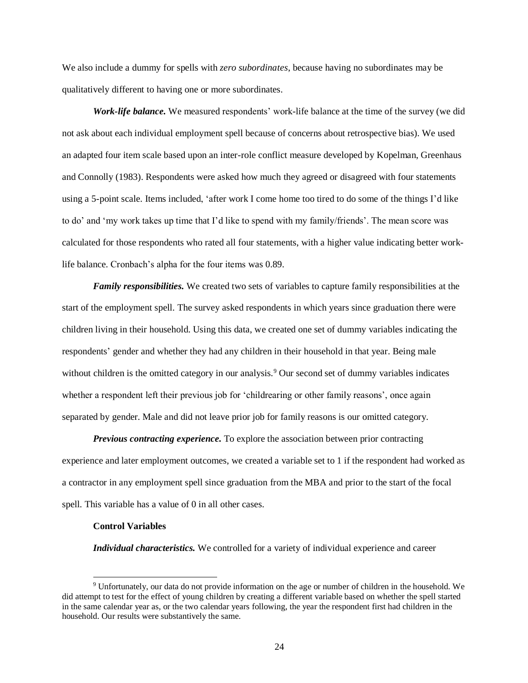We also include a dummy for spells with *zero subordinates*, because having no subordinates may be qualitatively different to having one or more subordinates.

*Work-life balance.* We measured respondents' work-life balance at the time of the survey (we did not ask about each individual employment spell because of concerns about retrospective bias). We used an adapted four item scale based upon an inter-role conflict measure developed by Kopelman, Greenhaus and Connolly (1983). Respondents were asked how much they agreed or disagreed with four statements using a 5-point scale. Items included, 'after work I come home too tired to do some of the things I'd like to do' and 'my work takes up time that I'd like to spend with my family/friends'. The mean score was calculated for those respondents who rated all four statements, with a higher value indicating better worklife balance. Cronbach's alpha for the four items was 0.89.

*Family responsibilities.* We created two sets of variables to capture family responsibilities at the start of the employment spell. The survey asked respondents in which years since graduation there were children living in their household. Using this data, we created one set of dummy variables indicating the respondents' gender and whether they had any children in their household in that year. Being male without children is the omitted category in our analysis.<sup>9</sup> Our second set of dummy variables indicates whether a respondent left their previous job for 'childrearing or other family reasons', once again separated by gender. Male and did not leave prior job for family reasons is our omitted category.

*Previous contracting experience.* To explore the association between prior contracting experience and later employment outcomes, we created a variable set to 1 if the respondent had worked as a contractor in any employment spell since graduation from the MBA and prior to the start of the focal spell. This variable has a value of 0 in all other cases.

#### **Control Variables**

*Individual characteristics.* We controlled for a variety of individual experience and career

<sup>9</sup> Unfortunately, our data do not provide information on the age or number of children in the household. We did attempt to test for the effect of young children by creating a different variable based on whether the spell started in the same calendar year as, or the two calendar years following, the year the respondent first had children in the household. Our results were substantively the same.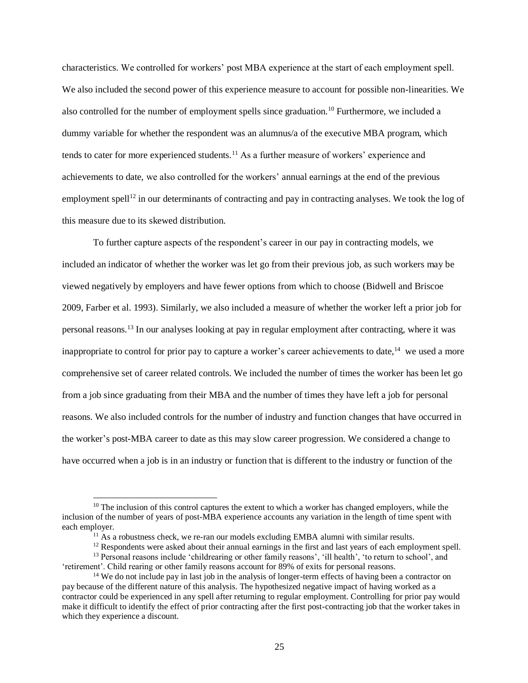characteristics. We controlled for workers' post MBA experience at the start of each employment spell. We also included the second power of this experience measure to account for possible non-linearities. We also controlled for the number of employment spells since graduation.<sup>10</sup> Furthermore, we included a dummy variable for whether the respondent was an alumnus/a of the executive MBA program, which tends to cater for more experienced students.<sup>11</sup> As a further measure of workers' experience and achievements to date, we also controlled for the workers' annual earnings at the end of the previous employment spell<sup>12</sup> in our determinants of contracting and pay in contracting analyses. We took the log of this measure due to its skewed distribution.

To further capture aspects of the respondent's career in our pay in contracting models, we included an indicator of whether the worker was let go from their previous job, as such workers may be viewed negatively by employers and have fewer options from which to choose (Bidwell and Briscoe 2009, Farber et al. 1993). Similarly, we also included a measure of whether the worker left a prior job for personal reasons.<sup>13</sup> In our analyses looking at pay in regular employment after contracting, where it was inappropriate to control for prior pay to capture a worker's career achievements to date,<sup>14</sup> we used a more comprehensive set of career related controls. We included the number of times the worker has been let go from a job since graduating from their MBA and the number of times they have left a job for personal reasons. We also included controls for the number of industry and function changes that have occurred in the worker's post-MBA career to date as this may slow career progression. We considered a change to have occurred when a job is in an industry or function that is different to the industry or function of the

l

 $10$  The inclusion of this control captures the extent to which a worker has changed employers, while the inclusion of the number of years of post-MBA experience accounts any variation in the length of time spent with each employer.

 $11$  As a robustness check, we re-ran our models excluding EMBA alumni with similar results.

<sup>&</sup>lt;sup>12</sup> Respondents were asked about their annual earnings in the first and last years of each employment spell.

<sup>&</sup>lt;sup>13</sup> Personal reasons include 'childrearing or other family reasons', 'ill health', 'to return to school', and 'retirement'. Child rearing or other family reasons account for 89% of exits for personal reasons.

<sup>&</sup>lt;sup>14</sup> We do not include pay in last job in the analysis of longer-term effects of having been a contractor on pay because of the different nature of this analysis. The hypothesized negative impact of having worked as a contractor could be experienced in any spell after returning to regular employment. Controlling for prior pay would make it difficult to identify the effect of prior contracting after the first post-contracting job that the worker takes in which they experience a discount.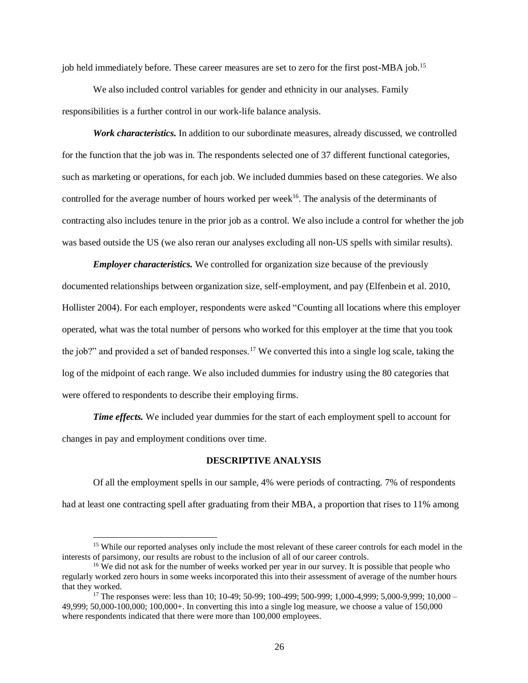job held immediately before. These career measures are set to zero for the first post-MBA job.<sup>15</sup>

We also included control variables for gender and ethnicity in our analyses. Family responsibilities is a further control in our work-life balance analysis.

*Work characteristics.* In addition to our subordinate measures, already discussed, we controlled for the function that the job was in. The respondents selected one of 37 different functional categories, such as marketing or operations, for each job. We included dummies based on these categories. We also controlled for the average number of hours worked per week<sup>16</sup>. The analysis of the determinants of contracting also includes tenure in the prior job as a control. We also include a control for whether the job was based outside the US (we also reran our analyses excluding all non-US spells with similar results).

*Employer characteristics.* We controlled for organization size because of the previously documented relationships between organization size, self-employment, and pay (Elfenbein et al. 2010, Hollister 2004). For each employer, respondents were asked "Counting all locations where this employer operated, what was the total number of persons who worked for this employer at the time that you took the job?" and provided a set of banded responses.<sup>17</sup> We converted this into a single log scale, taking the log of the midpoint of each range. We also included dummies for industry using the 80 categories that were offered to respondents to describe their employing firms.

*Time effects.* We included year dummies for the start of each employment spell to account for changes in pay and employment conditions over time.

#### **DESCRIPTIVE ANALYSIS**

Of all the employment spells in our sample, 4% were periods of contracting. 7% of respondents had at least one contracting spell after graduating from their MBA, a proportion that rises to 11% among

 $\overline{a}$ 

<sup>&</sup>lt;sup>15</sup> While our reported analyses only include the most relevant of these career controls for each model in the interests of parsimony, our results are robust to the inclusion of all of our career controls.

<sup>&</sup>lt;sup>16</sup> We did not ask for the number of weeks worked per year in our survey. It is possible that people who regularly worked zero hours in some weeks incorporated this into their assessment of average of the number hours that they worked.

<sup>&</sup>lt;sup>17</sup> The responses were: less than 10; 10-49; 50-99; 100-499; 500-999; 1,000-4,999; 5,000-9,999; 10,000 – 49,999; 50,000-100,000; 100,000+. In converting this into a single log measure, we choose a value of 150,000 where respondents indicated that there were more than 100,000 employees.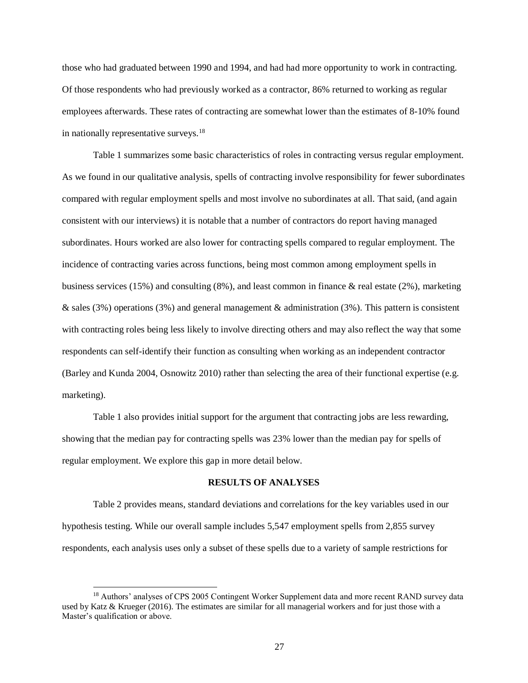those who had graduated between 1990 and 1994, and had had more opportunity to work in contracting. Of those respondents who had previously worked as a contractor, 86% returned to working as regular employees afterwards. These rates of contracting are somewhat lower than the estimates of 8-10% found in nationally representative surveys.<sup>18</sup>

Table 1 summarizes some basic characteristics of roles in contracting versus regular employment. As we found in our qualitative analysis, spells of contracting involve responsibility for fewer subordinates compared with regular employment spells and most involve no subordinates at all. That said, (and again consistent with our interviews) it is notable that a number of contractors do report having managed subordinates. Hours worked are also lower for contracting spells compared to regular employment. The incidence of contracting varies across functions, being most common among employment spells in business services (15%) and consulting (8%), and least common in finance & real estate (2%), marketing & sales (3%) operations (3%) and general management & administration (3%). This pattern is consistent with contracting roles being less likely to involve directing others and may also reflect the way that some respondents can self-identify their function as consulting when working as an independent contractor (Barley and Kunda 2004, Osnowitz 2010) rather than selecting the area of their functional expertise (e.g. marketing).

Table 1 also provides initial support for the argument that contracting jobs are less rewarding, showing that the median pay for contracting spells was 23% lower than the median pay for spells of regular employment. We explore this gap in more detail below.

#### **RESULTS OF ANALYSES**

Table 2 provides means, standard deviations and correlations for the key variables used in our hypothesis testing. While our overall sample includes 5,547 employment spells from 2,855 survey respondents, each analysis uses only a subset of these spells due to a variety of sample restrictions for

l

<sup>&</sup>lt;sup>18</sup> Authors' analyses of CPS 2005 Contingent Worker Supplement data and more recent RAND survey data used by Katz & Krueger (2016). The estimates are similar for all managerial workers and for just those with a Master's qualification or above.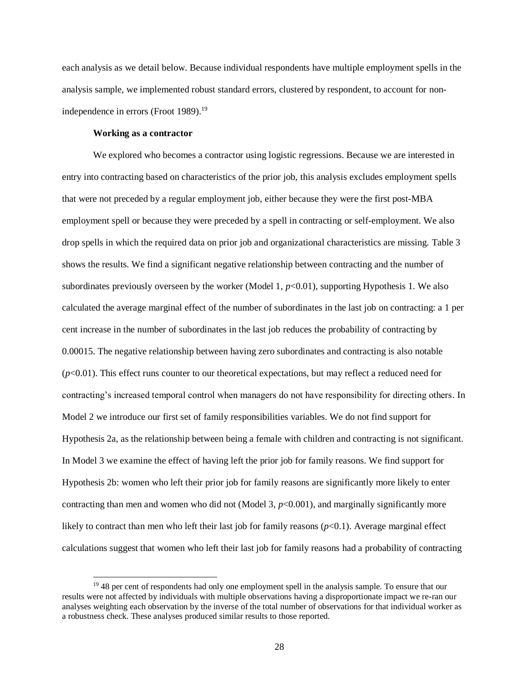each analysis as we detail below. Because individual respondents have multiple employment spells in the analysis sample, we implemented robust standard errors, clustered by respondent, to account for nonindependence in errors (Froot 1989). 19

## **Working as a contractor**

We explored who becomes a contractor using logistic regressions. Because we are interested in entry into contracting based on characteristics of the prior job, this analysis excludes employment spells that were not preceded by a regular employment job, either because they were the first post-MBA employment spell or because they were preceded by a spell in contracting or self-employment. We also drop spells in which the required data on prior job and organizational characteristics are missing. Table 3 shows the results. We find a significant negative relationship between contracting and the number of subordinates previously overseen by the worker (Model 1,  $p<0.01$ ), supporting Hypothesis 1. We also calculated the average marginal effect of the number of subordinates in the last job on contracting: a 1 per cent increase in the number of subordinates in the last job reduces the probability of contracting by 0.00015. The negative relationship between having zero subordinates and contracting is also notable  $(p<0.01)$ . This effect runs counter to our theoretical expectations, but may reflect a reduced need for contracting's increased temporal control when managers do not have responsibility for directing others. In Model 2 we introduce our first set of family responsibilities variables. We do not find support for Hypothesis 2a, as the relationship between being a female with children and contracting is not significant. In Model 3 we examine the effect of having left the prior job for family reasons. We find support for Hypothesis 2b: women who left their prior job for family reasons are significantly more likely to enter contracting than men and women who did not (Model 3,  $p<0.001$ ), and marginally significantly more likely to contract than men who left their last job for family reasons  $(p<0.1)$ . Average marginal effect calculations suggest that women who left their last job for family reasons had a probability of contracting

<sup>&</sup>lt;sup>19</sup> 48 per cent of respondents had only one employment spell in the analysis sample. To ensure that our results were not affected by individuals with multiple observations having a disproportionate impact we re-ran our analyses weighting each observation by the inverse of the total number of observations for that individual worker as a robustness check. These analyses produced similar results to those reported.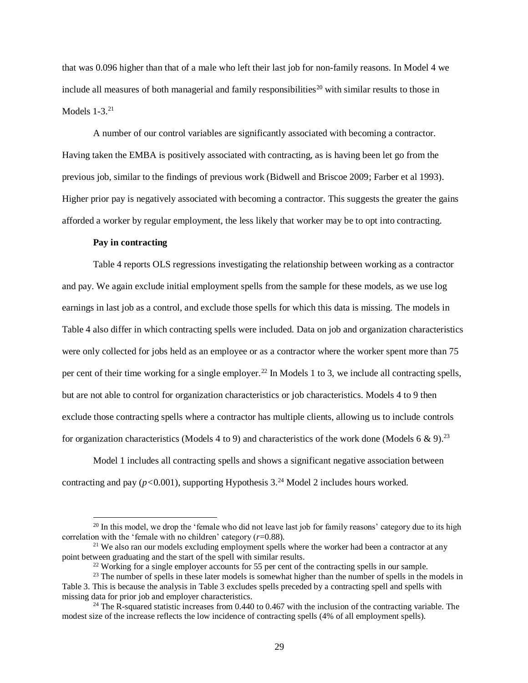that was 0.096 higher than that of a male who left their last job for non-family reasons. In Model 4 we include all measures of both managerial and family responsibilities<sup>20</sup> with similar results to those in Models  $1-3.21$ 

A number of our control variables are significantly associated with becoming a contractor. Having taken the EMBA is positively associated with contracting, as is having been let go from the previous job, similar to the findings of previous work (Bidwell and Briscoe 2009; Farber et al 1993). Higher prior pay is negatively associated with becoming a contractor. This suggests the greater the gains afforded a worker by regular employment, the less likely that worker may be to opt into contracting.

### **Pay in contracting**

Table 4 reports OLS regressions investigating the relationship between working as a contractor and pay. We again exclude initial employment spells from the sample for these models, as we use log earnings in last job as a control, and exclude those spells for which this data is missing. The models in Table 4 also differ in which contracting spells were included. Data on job and organization characteristics were only collected for jobs held as an employee or as a contractor where the worker spent more than 75 per cent of their time working for a single employer.<sup>22</sup> In Models 1 to 3, we include all contracting spells, but are not able to control for organization characteristics or job characteristics. Models 4 to 9 then exclude those contracting spells where a contractor has multiple clients, allowing us to include controls for organization characteristics (Models 4 to 9) and characteristics of the work done (Models 6 & 9).<sup>23</sup>

Model 1 includes all contracting spells and shows a significant negative association between contracting and pay  $(p<0.001)$ , supporting Hypothesis 3.<sup>24</sup> Model 2 includes hours worked.

<sup>&</sup>lt;sup>20</sup> In this model, we drop the 'female who did not leave last job for family reasons' category due to its high correlation with the 'female with no children' category (*r*=0.88).

 $21$  We also ran our models excluding employment spells where the worker had been a contractor at any point between graduating and the start of the spell with similar results.

<sup>&</sup>lt;sup>22</sup> Working for a single employer accounts for 55 per cent of the contracting spells in our sample.

<sup>&</sup>lt;sup>23</sup> The number of spells in these later models is somewhat higher than the number of spells in the models in Table 3. This is because the analysis in Table 3 excludes spells preceded by a contracting spell and spells with missing data for prior job and employer characteristics.

 $^{24}$  The R-squared statistic increases from 0.440 to 0.467 with the inclusion of the contracting variable. The modest size of the increase reflects the low incidence of contracting spells (4% of all employment spells).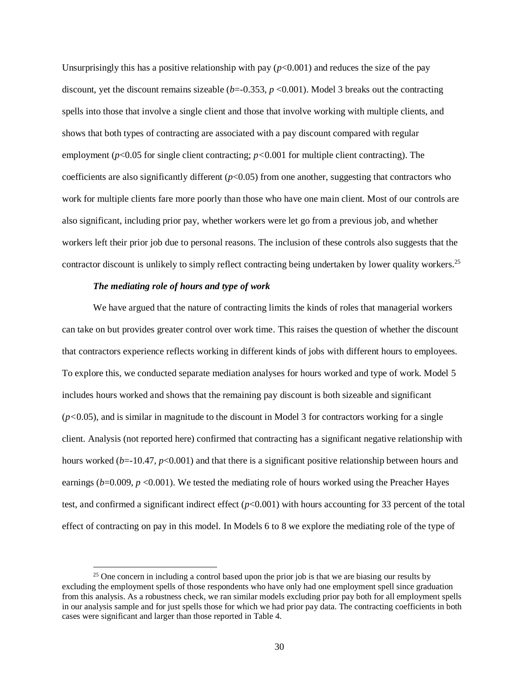Unsurprisingly this has a positive relationship with pay  $(p<0.001)$  and reduces the size of the pay discount, yet the discount remains sizeable  $(b=-0.353, p<0.001)$ . Model 3 breaks out the contracting spells into those that involve a single client and those that involve working with multiple clients, and shows that both types of contracting are associated with a pay discount compared with regular employment (*p*<0.05 for single client contracting; *p<*0.001 for multiple client contracting). The coefficients are also significantly different (*p*<0.05) from one another, suggesting that contractors who work for multiple clients fare more poorly than those who have one main client. Most of our controls are also significant, including prior pay, whether workers were let go from a previous job, and whether workers left their prior job due to personal reasons. The inclusion of these controls also suggests that the contractor discount is unlikely to simply reflect contracting being undertaken by lower quality workers.<sup>25</sup>

#### *The mediating role of hours and type of work*

 $\overline{a}$ 

We have argued that the nature of contracting limits the kinds of roles that managerial workers can take on but provides greater control over work time. This raises the question of whether the discount that contractors experience reflects working in different kinds of jobs with different hours to employees. To explore this, we conducted separate mediation analyses for hours worked and type of work. Model 5 includes hours worked and shows that the remaining pay discount is both sizeable and significant (*p<*0.05), and is similar in magnitude to the discount in Model 3 for contractors working for a single client. Analysis (not reported here) confirmed that contracting has a significant negative relationship with hours worked (*b*=-10.47, *p*<0.001) and that there is a significant positive relationship between hours and earnings ( $b=0.009$ ,  $p < 0.001$ ). We tested the mediating role of hours worked using the Preacher Hayes test, and confirmed a significant indirect effect  $(p<0.001)$  with hours accounting for 33 percent of the total effect of contracting on pay in this model. In Models 6 to 8 we explore the mediating role of the type of

<sup>&</sup>lt;sup>25</sup> One concern in including a control based upon the prior job is that we are biasing our results by excluding the employment spells of those respondents who have only had one employment spell since graduation from this analysis. As a robustness check, we ran similar models excluding prior pay both for all employment spells in our analysis sample and for just spells those for which we had prior pay data. The contracting coefficients in both cases were significant and larger than those reported in Table 4.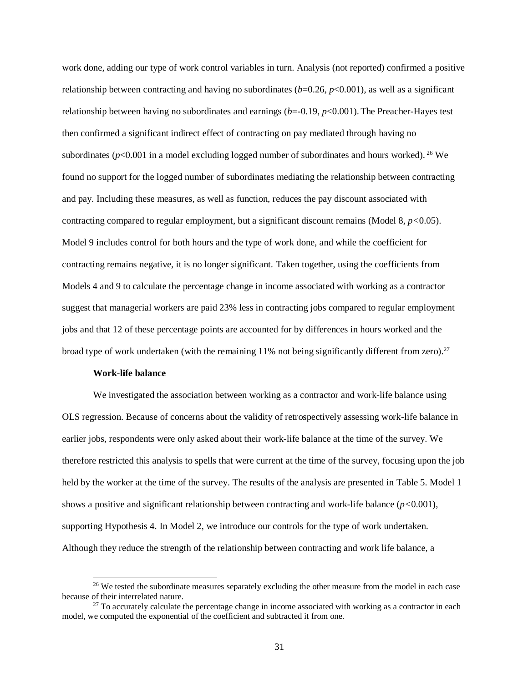work done, adding our type of work control variables in turn. Analysis (not reported) confirmed a positive relationship between contracting and having no subordinates  $(b=0.26, p<0.001)$ , as well as a significant relationship between having no subordinates and earnings  $(b=0.19, p<0.001)$ . The Preacher-Hayes test then confirmed a significant indirect effect of contracting on pay mediated through having no subordinates ( $p$ <0.001 in a model excluding logged number of subordinates and hours worked). <sup>26</sup> We found no support for the logged number of subordinates mediating the relationship between contracting and pay. Including these measures, as well as function, reduces the pay discount associated with contracting compared to regular employment, but a significant discount remains (Model 8, *p<*0.05). Model 9 includes control for both hours and the type of work done, and while the coefficient for contracting remains negative, it is no longer significant. Taken together, using the coefficients from Models 4 and 9 to calculate the percentage change in income associated with working as a contractor suggest that managerial workers are paid 23% less in contracting jobs compared to regular employment jobs and that 12 of these percentage points are accounted for by differences in hours worked and the broad type of work undertaken (with the remaining 11% not being significantly different from zero).<sup>27</sup>

#### **Work-life balance**

We investigated the association between working as a contractor and work-life balance using OLS regression. Because of concerns about the validity of retrospectively assessing work-life balance in earlier jobs, respondents were only asked about their work-life balance at the time of the survey. We therefore restricted this analysis to spells that were current at the time of the survey, focusing upon the job held by the worker at the time of the survey. The results of the analysis are presented in Table 5. Model 1 shows a positive and significant relationship between contracting and work-life balance (*p<*0.001), supporting Hypothesis 4. In Model 2, we introduce our controls for the type of work undertaken. Although they reduce the strength of the relationship between contracting and work life balance, a

<sup>&</sup>lt;sup>26</sup> We tested the subordinate measures separately excluding the other measure from the model in each case because of their interrelated nature.

 $27$  To accurately calculate the percentage change in income associated with working as a contractor in each model, we computed the exponential of the coefficient and subtracted it from one.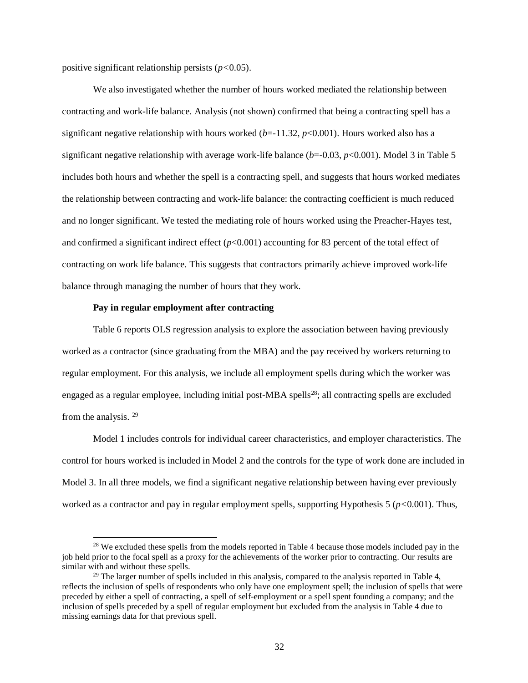positive significant relationship persists (*p<*0.05).

We also investigated whether the number of hours worked mediated the relationship between contracting and work-life balance. Analysis (not shown) confirmed that being a contracting spell has a significant negative relationship with hours worked  $(b=11.32, p<0.001)$ . Hours worked also has a significant negative relationship with average work-life balance (*b*=-0.03, *p*<0.001). Model 3 in Table 5 includes both hours and whether the spell is a contracting spell, and suggests that hours worked mediates the relationship between contracting and work-life balance: the contracting coefficient is much reduced and no longer significant. We tested the mediating role of hours worked using the Preacher-Hayes test, and confirmed a significant indirect effect  $(p<0.001)$  accounting for 83 percent of the total effect of contracting on work life balance. This suggests that contractors primarily achieve improved work-life balance through managing the number of hours that they work.

## **Pay in regular employment after contracting**

 $\overline{a}$ 

Table 6 reports OLS regression analysis to explore the association between having previously worked as a contractor (since graduating from the MBA) and the pay received by workers returning to regular employment. For this analysis, we include all employment spells during which the worker was engaged as a regular employee, including initial post-MBA spells<sup>28</sup>; all contracting spells are excluded from the analysis. <sup>29</sup>

Model 1 includes controls for individual career characteristics, and employer characteristics. The control for hours worked is included in Model 2 and the controls for the type of work done are included in Model 3. In all three models, we find a significant negative relationship between having ever previously worked as a contractor and pay in regular employment spells, supporting Hypothesis 5 ( $p$ <0.001). Thus,

<sup>&</sup>lt;sup>28</sup> We excluded these spells from the models reported in Table 4 because those models included pay in the job held prior to the focal spell as a proxy for the achievements of the worker prior to contracting. Our results are similar with and without these spells.

<sup>&</sup>lt;sup>29</sup> The larger number of spells included in this analysis, compared to the analysis reported in Table 4, reflects the inclusion of spells of respondents who only have one employment spell; the inclusion of spells that were preceded by either a spell of contracting, a spell of self-employment or a spell spent founding a company; and the inclusion of spells preceded by a spell of regular employment but excluded from the analysis in Table 4 due to missing earnings data for that previous spell.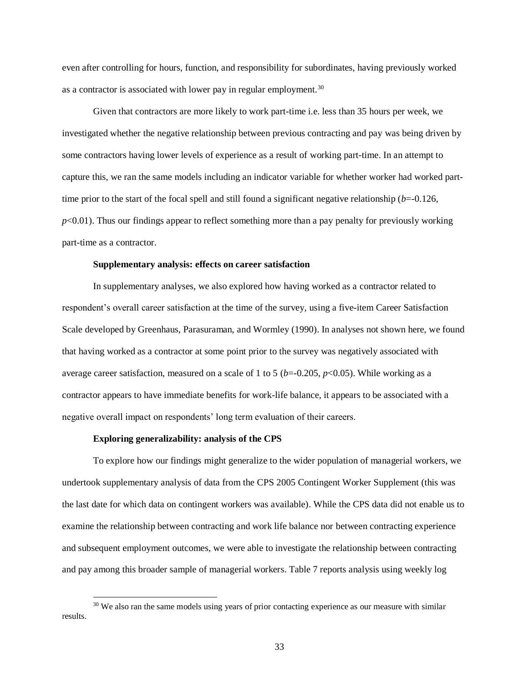even after controlling for hours, function, and responsibility for subordinates, having previously worked as a contractor is associated with lower pay in regular employment.<sup>30</sup>

Given that contractors are more likely to work part-time i.e. less than 35 hours per week, we investigated whether the negative relationship between previous contracting and pay was being driven by some contractors having lower levels of experience as a result of working part-time. In an attempt to capture this, we ran the same models including an indicator variable for whether worker had worked parttime prior to the start of the focal spell and still found a significant negative relationship (*b*=-0.126,  $p<0.01$ ). Thus our findings appear to reflect something more than a pay penalty for previously working part-time as a contractor.

#### **Supplementary analysis: effects on career satisfaction**

In supplementary analyses, we also explored how having worked as a contractor related to respondent's overall career satisfaction at the time of the survey, using a five-item Career Satisfaction Scale developed by Greenhaus, Parasuraman, and Wormley (1990). In analyses not shown here, we found that having worked as a contractor at some point prior to the survey was negatively associated with average career satisfaction, measured on a scale of 1 to 5 ( $b$ =-0.205,  $p$ <0.05). While working as a contractor appears to have immediate benefits for work-life balance, it appears to be associated with a negative overall impact on respondents' long term evaluation of their careers.

#### **Exploring generalizability: analysis of the CPS**

 $\overline{a}$ 

To explore how our findings might generalize to the wider population of managerial workers, we undertook supplementary analysis of data from the CPS 2005 Contingent Worker Supplement (this was the last date for which data on contingent workers was available). While the CPS data did not enable us to examine the relationship between contracting and work life balance nor between contracting experience and subsequent employment outcomes, we were able to investigate the relationship between contracting and pay among this broader sample of managerial workers. Table 7 reports analysis using weekly log

 $30$  We also ran the same models using years of prior contacting experience as our measure with similar results.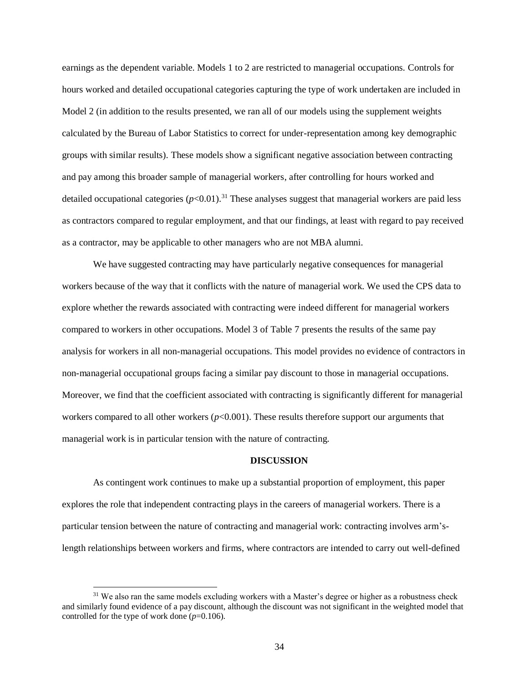earnings as the dependent variable. Models 1 to 2 are restricted to managerial occupations. Controls for hours worked and detailed occupational categories capturing the type of work undertaken are included in Model 2 (in addition to the results presented, we ran all of our models using the supplement weights calculated by the Bureau of Labor Statistics to correct for under-representation among key demographic groups with similar results). These models show a significant negative association between contracting and pay among this broader sample of managerial workers, after controlling for hours worked and detailed occupational categories  $(p<0.01)$ .<sup>31</sup> These analyses suggest that managerial workers are paid less as contractors compared to regular employment, and that our findings, at least with regard to pay received as a contractor, may be applicable to other managers who are not MBA alumni.

We have suggested contracting may have particularly negative consequences for managerial workers because of the way that it conflicts with the nature of managerial work. We used the CPS data to explore whether the rewards associated with contracting were indeed different for managerial workers compared to workers in other occupations. Model 3 of Table 7 presents the results of the same pay analysis for workers in all non-managerial occupations. This model provides no evidence of contractors in non-managerial occupational groups facing a similar pay discount to those in managerial occupations. Moreover, we find that the coefficient associated with contracting is significantly different for managerial workers compared to all other workers ( $p$ <0.001). These results therefore support our arguments that managerial work is in particular tension with the nature of contracting.

## **DISCUSSION**

As contingent work continues to make up a substantial proportion of employment, this paper explores the role that independent contracting plays in the careers of managerial workers. There is a particular tension between the nature of contracting and managerial work: contracting involves arm'slength relationships between workers and firms, where contractors are intended to carry out well-defined

l

<sup>&</sup>lt;sup>31</sup> We also ran the same models excluding workers with a Master's degree or higher as a robustness check and similarly found evidence of a pay discount, although the discount was not significant in the weighted model that controlled for the type of work done  $(p=0.106)$ .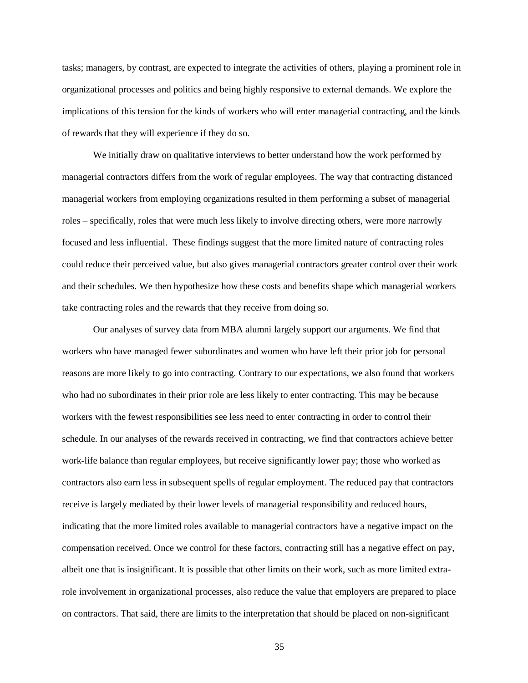tasks; managers, by contrast, are expected to integrate the activities of others, playing a prominent role in organizational processes and politics and being highly responsive to external demands. We explore the implications of this tension for the kinds of workers who will enter managerial contracting, and the kinds of rewards that they will experience if they do so.

We initially draw on qualitative interviews to better understand how the work performed by managerial contractors differs from the work of regular employees. The way that contracting distanced managerial workers from employing organizations resulted in them performing a subset of managerial roles – specifically, roles that were much less likely to involve directing others, were more narrowly focused and less influential. These findings suggest that the more limited nature of contracting roles could reduce their perceived value, but also gives managerial contractors greater control over their work and their schedules. We then hypothesize how these costs and benefits shape which managerial workers take contracting roles and the rewards that they receive from doing so.

Our analyses of survey data from MBA alumni largely support our arguments. We find that workers who have managed fewer subordinates and women who have left their prior job for personal reasons are more likely to go into contracting. Contrary to our expectations, we also found that workers who had no subordinates in their prior role are less likely to enter contracting. This may be because workers with the fewest responsibilities see less need to enter contracting in order to control their schedule. In our analyses of the rewards received in contracting, we find that contractors achieve better work-life balance than regular employees, but receive significantly lower pay; those who worked as contractors also earn less in subsequent spells of regular employment. The reduced pay that contractors receive is largely mediated by their lower levels of managerial responsibility and reduced hours, indicating that the more limited roles available to managerial contractors have a negative impact on the compensation received. Once we control for these factors, contracting still has a negative effect on pay, albeit one that is insignificant. It is possible that other limits on their work, such as more limited extrarole involvement in organizational processes, also reduce the value that employers are prepared to place on contractors. That said, there are limits to the interpretation that should be placed on non-significant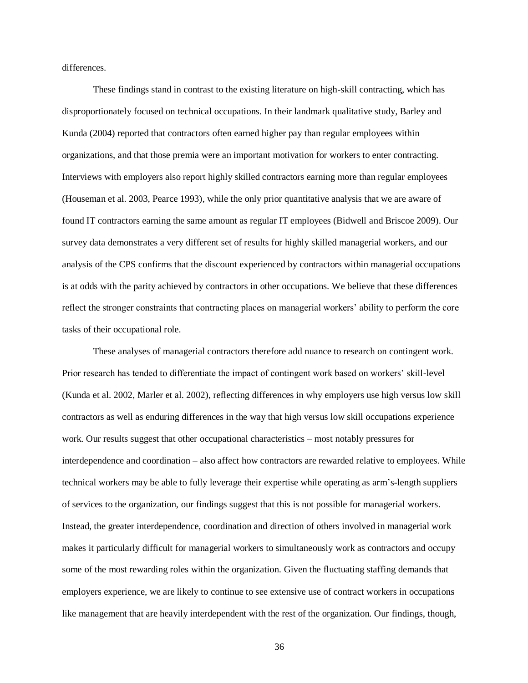differences.

These findings stand in contrast to the existing literature on high-skill contracting, which has disproportionately focused on technical occupations. In their landmark qualitative study, Barley and Kunda (2004) reported that contractors often earned higher pay than regular employees within organizations, and that those premia were an important motivation for workers to enter contracting. Interviews with employers also report highly skilled contractors earning more than regular employees (Houseman et al. 2003, Pearce 1993), while the only prior quantitative analysis that we are aware of found IT contractors earning the same amount as regular IT employees (Bidwell and Briscoe 2009). Our survey data demonstrates a very different set of results for highly skilled managerial workers, and our analysis of the CPS confirms that the discount experienced by contractors within managerial occupations is at odds with the parity achieved by contractors in other occupations. We believe that these differences reflect the stronger constraints that contracting places on managerial workers' ability to perform the core tasks of their occupational role.

These analyses of managerial contractors therefore add nuance to research on contingent work. Prior research has tended to differentiate the impact of contingent work based on workers' skill-level (Kunda et al. 2002, Marler et al. 2002), reflecting differences in why employers use high versus low skill contractors as well as enduring differences in the way that high versus low skill occupations experience work. Our results suggest that other occupational characteristics – most notably pressures for interdependence and coordination – also affect how contractors are rewarded relative to employees. While technical workers may be able to fully leverage their expertise while operating as arm's-length suppliers of services to the organization, our findings suggest that this is not possible for managerial workers. Instead, the greater interdependence, coordination and direction of others involved in managerial work makes it particularly difficult for managerial workers to simultaneously work as contractors and occupy some of the most rewarding roles within the organization. Given the fluctuating staffing demands that employers experience, we are likely to continue to see extensive use of contract workers in occupations like management that are heavily interdependent with the rest of the organization. Our findings, though,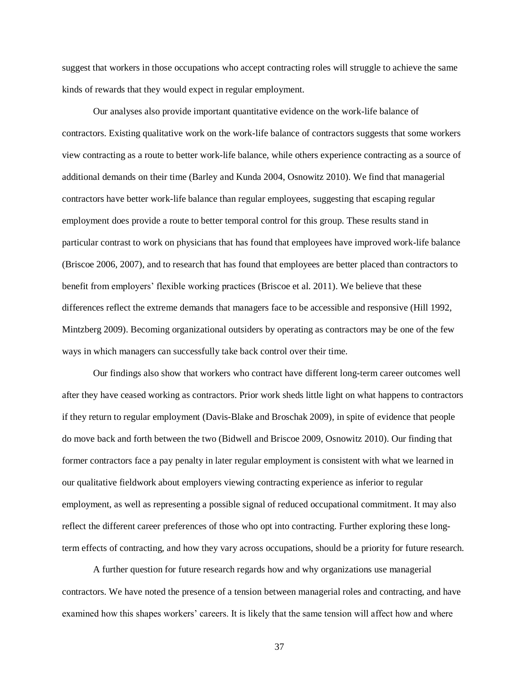suggest that workers in those occupations who accept contracting roles will struggle to achieve the same kinds of rewards that they would expect in regular employment.

Our analyses also provide important quantitative evidence on the work-life balance of contractors. Existing qualitative work on the work-life balance of contractors suggests that some workers view contracting as a route to better work-life balance, while others experience contracting as a source of additional demands on their time (Barley and Kunda 2004, Osnowitz 2010). We find that managerial contractors have better work-life balance than regular employees, suggesting that escaping regular employment does provide a route to better temporal control for this group. These results stand in particular contrast to work on physicians that has found that employees have improved work-life balance (Briscoe 2006, 2007), and to research that has found that employees are better placed than contractors to benefit from employers' flexible working practices (Briscoe et al. 2011). We believe that these differences reflect the extreme demands that managers face to be accessible and responsive (Hill 1992, Mintzberg 2009). Becoming organizational outsiders by operating as contractors may be one of the few ways in which managers can successfully take back control over their time.

Our findings also show that workers who contract have different long-term career outcomes well after they have ceased working as contractors. Prior work sheds little light on what happens to contractors if they return to regular employment (Davis-Blake and Broschak 2009), in spite of evidence that people do move back and forth between the two (Bidwell and Briscoe 2009, Osnowitz 2010). Our finding that former contractors face a pay penalty in later regular employment is consistent with what we learned in our qualitative fieldwork about employers viewing contracting experience as inferior to regular employment, as well as representing a possible signal of reduced occupational commitment. It may also reflect the different career preferences of those who opt into contracting. Further exploring these longterm effects of contracting, and how they vary across occupations, should be a priority for future research.

A further question for future research regards how and why organizations use managerial contractors. We have noted the presence of a tension between managerial roles and contracting, and have examined how this shapes workers' careers. It is likely that the same tension will affect how and where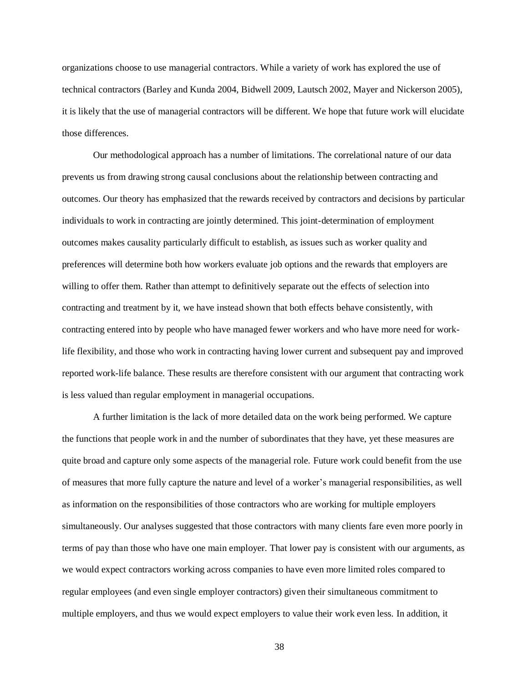organizations choose to use managerial contractors. While a variety of work has explored the use of technical contractors (Barley and Kunda 2004, Bidwell 2009, Lautsch 2002, Mayer and Nickerson 2005), it is likely that the use of managerial contractors will be different. We hope that future work will elucidate those differences.

Our methodological approach has a number of limitations. The correlational nature of our data prevents us from drawing strong causal conclusions about the relationship between contracting and outcomes. Our theory has emphasized that the rewards received by contractors and decisions by particular individuals to work in contracting are jointly determined. This joint-determination of employment outcomes makes causality particularly difficult to establish, as issues such as worker quality and preferences will determine both how workers evaluate job options and the rewards that employers are willing to offer them. Rather than attempt to definitively separate out the effects of selection into contracting and treatment by it, we have instead shown that both effects behave consistently, with contracting entered into by people who have managed fewer workers and who have more need for worklife flexibility, and those who work in contracting having lower current and subsequent pay and improved reported work-life balance. These results are therefore consistent with our argument that contracting work is less valued than regular employment in managerial occupations.

A further limitation is the lack of more detailed data on the work being performed. We capture the functions that people work in and the number of subordinates that they have, yet these measures are quite broad and capture only some aspects of the managerial role. Future work could benefit from the use of measures that more fully capture the nature and level of a worker's managerial responsibilities, as well as information on the responsibilities of those contractors who are working for multiple employers simultaneously. Our analyses suggested that those contractors with many clients fare even more poorly in terms of pay than those who have one main employer. That lower pay is consistent with our arguments, as we would expect contractors working across companies to have even more limited roles compared to regular employees (and even single employer contractors) given their simultaneous commitment to multiple employers, and thus we would expect employers to value their work even less. In addition, it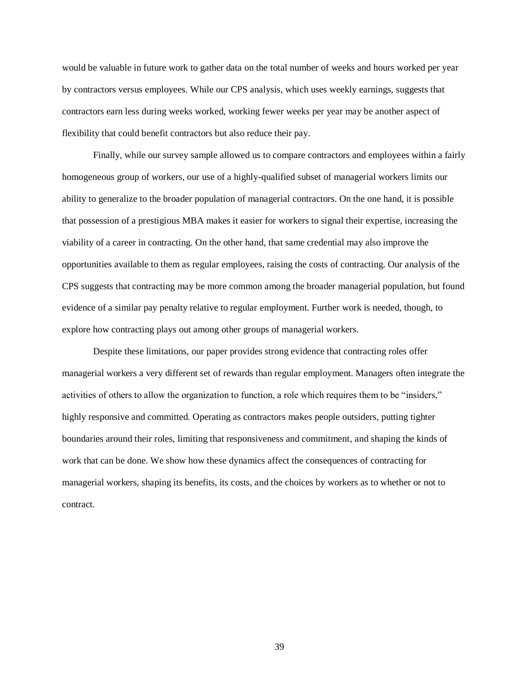would be valuable in future work to gather data on the total number of weeks and hours worked per year by contractors versus employees. While our CPS analysis, which uses weekly earnings, suggests that contractors earn less during weeks worked, working fewer weeks per year may be another aspect of flexibility that could benefit contractors but also reduce their pay.

Finally, while our survey sample allowed us to compare contractors and employees within a fairly homogeneous group of workers, our use of a highly-qualified subset of managerial workers limits our ability to generalize to the broader population of managerial contractors. On the one hand, it is possible that possession of a prestigious MBA makes it easier for workers to signal their expertise, increasing the viability of a career in contracting. On the other hand, that same credential may also improve the opportunities available to them as regular employees, raising the costs of contracting. Our analysis of the CPS suggests that contracting may be more common among the broader managerial population, but found evidence of a similar pay penalty relative to regular employment. Further work is needed, though, to explore how contracting plays out among other groups of managerial workers.

Despite these limitations, our paper provides strong evidence that contracting roles offer managerial workers a very different set of rewards than regular employment. Managers often integrate the activities of others to allow the organization to function, a role which requires them to be "insiders," highly responsive and committed. Operating as contractors makes people outsiders, putting tighter boundaries around their roles, limiting that responsiveness and commitment, and shaping the kinds of work that can be done. We show how these dynamics affect the consequences of contracting for managerial workers, shaping its benefits, its costs, and the choices by workers as to whether or not to contract.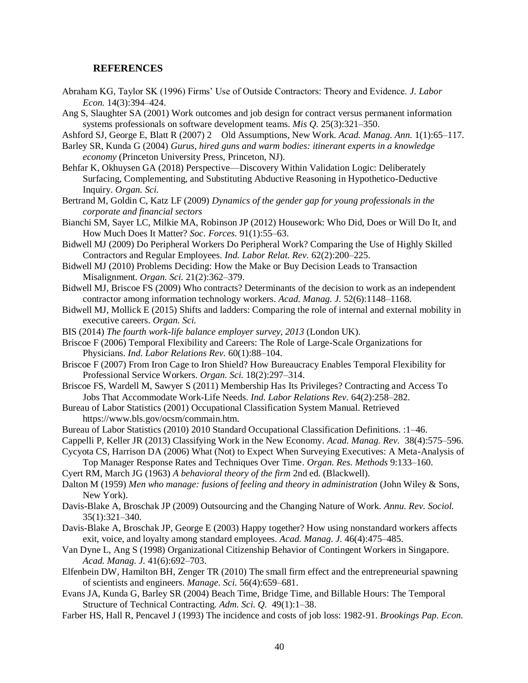#### **REFERENCES**

- Abraham KG, Taylor SK (1996) Firms' Use of Outside Contractors: Theory and Evidence. *J. Labor Econ.* 14(3):394–424.
- Ang S, Slaughter SA (2001) Work outcomes and job design for contract versus permanent information systems professionals on software development teams. *Mis Q.* 25(3):321–350.
- Ashford SJ, George E, Blatt R (2007) 2 Old Assumptions, New Work. *Acad. Manag. Ann.* 1(1):65–117.
- Barley SR, Kunda G (2004) *Gurus, hired guns and warm bodies: itinerant experts in a knowledge economy* (Princeton University Press, Princeton, NJ).
- Behfar K, Okhuysen GA (2018) Perspective—Discovery Within Validation Logic: Deliberately Surfacing, Complementing, and Substituting Abductive Reasoning in Hypothetico-Deductive Inquiry. *Organ. Sci.*
- Bertrand M, Goldin C, Katz LF (2009) *Dynamics of the gender gap for young professionals in the corporate and financial sectors*
- Bianchi SM, Sayer LC, Milkie MA, Robinson JP (2012) Housework: Who Did, Does or Will Do It, and How Much Does It Matter? *Soc. Forces.* 91(1):55–63.
- Bidwell MJ (2009) Do Peripheral Workers Do Peripheral Work? Comparing the Use of Highly Skilled Contractors and Regular Employees. *Ind. Labor Relat. Rev.* 62(2):200–225.
- Bidwell MJ (2010) Problems Deciding: How the Make or Buy Decision Leads to Transaction Misalignment. *Organ. Sci.* 21(2):362–379.
- Bidwell MJ, Briscoe FS (2009) Who contracts? Determinants of the decision to work as an independent contractor among information technology workers. *Acad. Manag. J.* 52(6):1148–1168.
- Bidwell MJ, Mollick E (2015) Shifts and ladders: Comparing the role of internal and external mobility in executive careers. *Organ. Sci.*
- BIS (2014) *The fourth work-life balance employer survey, 2013* (London UK).
- Briscoe F (2006) Temporal Flexibility and Careers: The Role of Large-Scale Organizations for Physicians. *Ind. Labor Relations Rev.* 60(1):88–104.
- Briscoe F (2007) From Iron Cage to Iron Shield? How Bureaucracy Enables Temporal Flexibility for Professional Service Workers. *Organ. Sci.* 18(2):297–314.
- Briscoe FS, Wardell M, Sawyer S (2011) Membership Has Its Privileges? Contracting and Access To Jobs That Accommodate Work-Life Needs. *Ind. Labor Relations Rev.* 64(2):258–282.
- Bureau of Labor Statistics (2001) Occupational Classification System Manual. Retrieved https://www.bls.gov/ocsm/commain.htm.
- Bureau of Labor Statistics (2010) 2010 Standard Occupational Classification Definitions. :1–46.
- Cappelli P, Keller JR (2013) Classifying Work in the New Economy. *Acad. Manag. Rev.* 38(4):575–596.
- Cycyota CS, Harrison DA (2006) What (Not) to Expect When Surveying Executives: A Meta-Analysis of
	- Top Manager Response Rates and Techniques Over Time. *Organ. Res. Methods* 9:133–160.
- Cyert RM, March JG (1963) *A behavioral theory of the firm* 2nd ed. (Blackwell).
- Dalton M (1959) *Men who manage: fusions of feeling and theory in administration* (John Wiley & Sons, New York).
- Davis-Blake A, Broschak JP (2009) Outsourcing and the Changing Nature of Work. *Annu. Rev. Sociol.* 35(1):321–340.
- Davis-Blake A, Broschak JP, George E (2003) Happy together? How using nonstandard workers affects exit, voice, and loyalty among standard employees. *Acad. Manag. J.* 46(4):475–485.
- Van Dyne L, Ang S (1998) Organizational Citizenship Behavior of Contingent Workers in Singapore. *Acad. Manag. J.* 41(6):692–703.
- Elfenbein DW, Hamilton BH, Zenger TR (2010) The small firm effect and the entrepreneurial spawning of scientists and engineers. *Manage. Sci.* 56(4):659–681.
- Evans JA, Kunda G, Barley SR (2004) Beach Time, Bridge Time, and Billable Hours: The Temporal Structure of Technical Contracting. *Adm. Sci. Q.* 49(1):1–38.
- Farber HS, Hall R, Pencavel J (1993) The incidence and costs of job loss: 1982-91. *Brookings Pap. Econ.*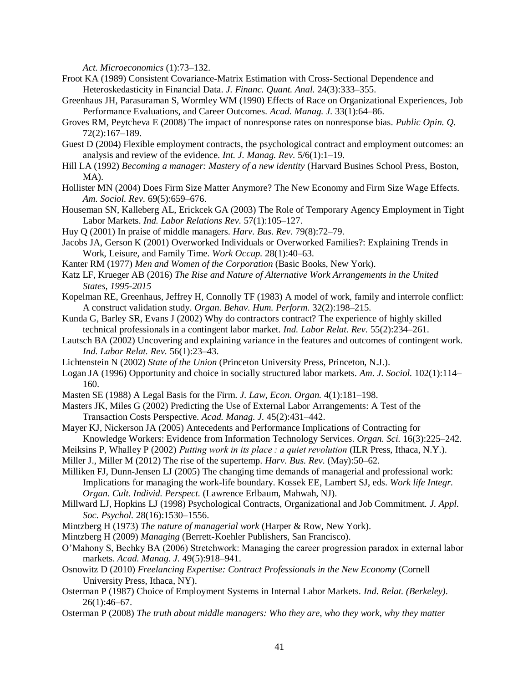*Act. Microeconomics* (1):73–132.

- Froot KA (1989) Consistent Covariance-Matrix Estimation with Cross-Sectional Dependence and Heteroskedasticity in Financial Data. *J. Financ. Quant. Anal.* 24(3):333–355.
- Greenhaus JH, Parasuraman S, Wormley WM (1990) Effects of Race on Organizational Experiences, Job Performance Evaluations, and Career Outcomes. *Acad. Manag. J.* 33(1):64–86.
- Groves RM, Peytcheva E (2008) The impact of nonresponse rates on nonresponse bias. *Public Opin. Q.* 72(2):167–189.
- Guest D (2004) Flexible employment contracts, the psychological contract and employment outcomes: an analysis and review of the evidence. *Int. J. Manag. Rev.* 5/6(1):1–19.
- Hill LA (1992) *Becoming a manager: Mastery of a new identity* (Harvard Busines School Press, Boston, MA).
- Hollister MN (2004) Does Firm Size Matter Anymore? The New Economy and Firm Size Wage Effects. *Am. Sociol. Rev.* 69(5):659–676.
- Houseman SN, Kalleberg AL, Erickcek GA (2003) The Role of Temporary Agency Employment in Tight Labor Markets. *Ind. Labor Relations Rev.* 57(1):105–127.
- Huy Q (2001) In praise of middle managers. *Harv. Bus. Rev.* 79(8):72–79.
- Jacobs JA, Gerson K (2001) Overworked Individuals or Overworked Families?: Explaining Trends in Work, Leisure, and Family Time. *Work Occup.* 28(1):40–63.
- Kanter RM (1977) *Men and Women of the Corporation* (Basic Books, New York).
- Katz LF, Krueger AB (2016) *The Rise and Nature of Alternative Work Arrangements in the United States, 1995-2015*
- Kopelman RE, Greenhaus, Jeffrey H, Connolly TF (1983) A model of work, family and interrole conflict: A construct validation study. *Organ. Behav. Hum. Perform.* 32(2):198–215.
- Kunda G, Barley SR, Evans J (2002) Why do contractors contract? The experience of highly skilled technical professionals in a contingent labor market. *Ind. Labor Relat. Rev.* 55(2):234–261.
- Lautsch BA (2002) Uncovering and explaining variance in the features and outcomes of contingent work. *Ind. Labor Relat. Rev.* 56(1):23–43.
- Lichtenstein N (2002) *State of the Union* (Princeton University Press, Princeton, N.J.).
- Logan JA (1996) Opportunity and choice in socially structured labor markets. *Am. J. Sociol.* 102(1):114– 160.
- Masten SE (1988) A Legal Basis for the Firm. *J. Law, Econ. Organ.* 4(1):181–198.
- Masters JK, Miles G (2002) Predicting the Use of External Labor Arrangements: A Test of the Transaction Costs Perspective. *Acad. Manag. J.* 45(2):431–442.
- Mayer KJ, Nickerson JA (2005) Antecedents and Performance Implications of Contracting for Knowledge Workers: Evidence from Information Technology Services. *Organ. Sci.* 16(3):225–242.
- Meiksins P, Whalley P (2002) *Putting work in its place : a quiet revolution* (ILR Press, Ithaca, N.Y.).
- Miller J., Miller M (2012) The rise of the supertemp. *Harv. Bus. Rev.* (May):50–62.
- Milliken FJ, Dunn-Jensen LJ (2005) The changing time demands of managerial and professional work: Implications for managing the work-life boundary. Kossek EE, Lambert SJ, eds. *Work life Integr. Organ. Cult. Individ. Perspect.* (Lawrence Erlbaum, Mahwah, NJ).
- Millward LJ, Hopkins LJ (1998) Psychological Contracts, Organizational and Job Commitment. *J. Appl. Soc. Psychol.* 28(16):1530–1556.
- Mintzberg H (1973) *The nature of managerial work* (Harper & Row, New York).
- Mintzberg H (2009) *Managing* (Berrett-Koehler Publishers, San Francisco).
- O'Mahony S, Bechky BA (2006) Stretchwork: Managing the career progression paradox in external labor markets. *Acad. Manag. J.* 49(5):918–941.
- Osnowitz D (2010) *Freelancing Expertise: Contract Professionals in the New Economy* (Cornell University Press, Ithaca, NY).
- Osterman P (1987) Choice of Employment Systems in Internal Labor Markets. *Ind. Relat. (Berkeley).* 26(1):46–67.
- Osterman P (2008) *The truth about middle managers: Who they are, who they work, why they matter*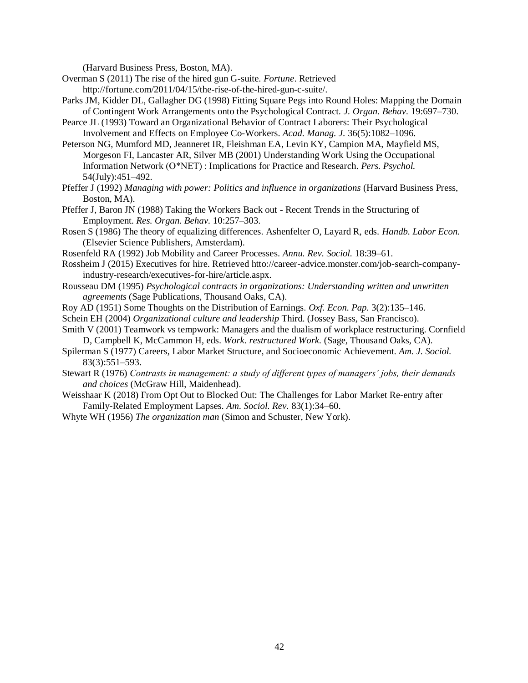(Harvard Business Press, Boston, MA).

- Overman S (2011) The rise of the hired gun G-suite. *Fortune*. Retrieved http://fortune.com/2011/04/15/the-rise-of-the-hired-gun-c-suite/.
- Parks JM, Kidder DL, Gallagher DG (1998) Fitting Square Pegs into Round Holes: Mapping the Domain of Contingent Work Arrangements onto the Psychological Contract. *J. Organ. Behav.* 19:697–730.
- Pearce JL (1993) Toward an Organizational Behavior of Contract Laborers: Their Psychological Involvement and Effects on Employee Co-Workers. *Acad. Manag. J.* 36(5):1082–1096.

Peterson NG, Mumford MD, Jeanneret IR, Fleishman EA, Levin KY, Campion MA, Mayfield MS, Morgeson FI, Lancaster AR, Silver MB (2001) Understanding Work Using the Occupational Information Network (O\*NET) : Implications for Practice and Research. *Pers. Psychol.* 54(July):451–492.

- Pfeffer J (1992) *Managing with power: Politics and influence in organizations* (Harvard Business Press, Boston, MA).
- Pfeffer J, Baron JN (1988) Taking the Workers Back out Recent Trends in the Structuring of Employment. *Res. Organ. Behav.* 10:257–303.
- Rosen S (1986) The theory of equalizing differences. Ashenfelter O, Layard R, eds. *Handb. Labor Econ.* (Elsevier Science Publishers, Amsterdam).
- Rosenfeld RA (1992) Job Mobility and Career Processes. *Annu. Rev. Sociol.* 18:39–61.
- Rossheim J (2015) Executives for hire. Retrieved htto://career-advice.monster.com/job-search-companyindustry-research/executives-for-hire/article.aspx.
- Rousseau DM (1995) *Psychological contracts in organizations: Understanding written and unwritten agreements* (Sage Publications, Thousand Oaks, CA).
- Roy AD (1951) Some Thoughts on the Distribution of Earnings. *Oxf. Econ. Pap.* 3(2):135–146.
- Schein EH (2004) *Organizational culture and leadership* Third. (Jossey Bass, San Francisco).
- Smith V (2001) Teamwork vs tempwork: Managers and the dualism of workplace restructuring. Cornfield D, Campbell K, McCammon H, eds. *Work. restructured Work.* (Sage, Thousand Oaks, CA).
- Spilerman S (1977) Careers, Labor Market Structure, and Socioeconomic Achievement. *Am. J. Sociol.* 83(3):551–593.
- Stewart R (1976) *Contrasts in management: a study of different types of managers' jobs, their demands and choices* (McGraw Hill, Maidenhead).
- Weisshaar K (2018) From Opt Out to Blocked Out: The Challenges for Labor Market Re-entry after Family-Related Employment Lapses. *Am. Sociol. Rev.* 83(1):34–60.
- Whyte WH (1956) *The organization man* (Simon and Schuster, New York).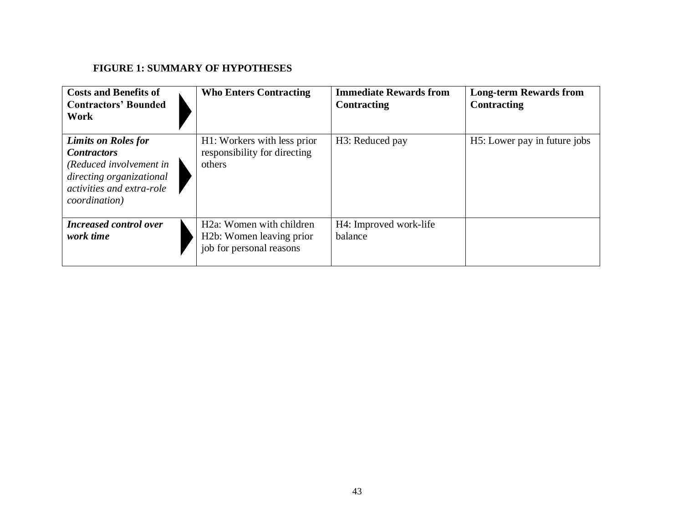## **FIGURE 1: SUMMARY OF HYPOTHESES**

| <b>Costs and Benefits of</b><br><b>Contractors' Bounded</b><br>Work                                                                                           | <b>Who Enters Contracting</b>                                                                              | <b>Immediate Rewards from</b><br><b>Contracting</b> | <b>Long-term Rewards from</b><br><b>Contracting</b> |
|---------------------------------------------------------------------------------------------------------------------------------------------------------------|------------------------------------------------------------------------------------------------------------|-----------------------------------------------------|-----------------------------------------------------|
| <b>Limits on Roles for</b><br><b>Contractors</b><br>(Reduced involvement in<br>directing organizational<br>activities and extra-role<br><i>coordination</i> ) | H1: Workers with less prior<br>responsibility for directing<br>others                                      | H <sub>3</sub> : Reduced pay                        | H <sub>5</sub> : Lower pay in future jobs           |
| <b>Increased control over</b><br>work time                                                                                                                    | H <sub>2a</sub> : Women with children<br>H <sub>2</sub> b: Women leaving prior<br>job for personal reasons | H4: Improved work-life<br>balance                   |                                                     |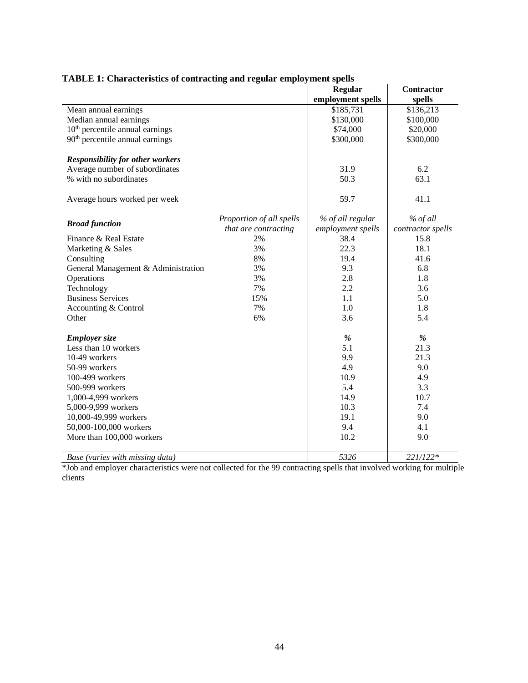| птоля то спатается от социалище ана гедиат спіргоз пісно врещя |                          |                   |                   |
|----------------------------------------------------------------|--------------------------|-------------------|-------------------|
|                                                                |                          | <b>Regular</b>    | <b>Contractor</b> |
|                                                                |                          | employment spells | spells            |
| Mean annual earnings                                           |                          | \$185,731         | \$136,213         |
| Median annual earnings                                         |                          | \$130,000         | \$100,000         |
| 10 <sup>th</sup> percentile annual earnings                    |                          | \$74,000          | \$20,000          |
| 90 <sup>th</sup> percentile annual earnings                    |                          | \$300,000         | \$300,000         |
| <b>Responsibility for other workers</b>                        |                          |                   |                   |
| Average number of subordinates                                 |                          | 31.9              | 6.2               |
| % with no subordinates                                         |                          | 50.3              | 63.1              |
| Average hours worked per week                                  |                          | 59.7              | 41.1              |
| <b>Broad function</b>                                          | Proportion of all spells | % of all regular  | % of all          |
|                                                                | that are contracting     | employment spells | contractor spells |
| Finance & Real Estate                                          | 2%                       | 38.4              | 15.8              |
| Marketing & Sales                                              | 3%                       | 22.3              | 18.1              |
| Consulting                                                     | 8%                       | 19.4              | 41.6              |
| General Management & Administration                            | 3%                       | 9.3               | 6.8               |
| Operations                                                     | 3%                       | 2.8               | 1.8               |
| Technology                                                     | 7%                       | 2.2               | 3.6               |
| <b>Business Services</b>                                       | 15%                      | 1.1               | 5.0               |
| Accounting & Control                                           | 7%                       | 1.0               | 1.8               |
| Other                                                          | 6%                       | 3.6               | 5.4               |
| <b>Employer</b> size                                           |                          | $\%$              | $\%$              |
| Less than 10 workers                                           |                          | 5.1               | 21.3              |
| 10-49 workers                                                  |                          | 9.9               | 21.3              |
| 50-99 workers                                                  |                          | 4.9               | 9.0               |
| 100-499 workers                                                |                          | 10.9              | 4.9               |
| 500-999 workers                                                |                          | 5.4               | 3.3               |
| 1,000-4,999 workers                                            |                          | 14.9              | 10.7              |
| 5,000-9,999 workers                                            |                          | 10.3              | 7.4               |
| 10,000-49,999 workers                                          |                          | 19.1              | 9.0               |
| 50,000-100,000 workers                                         |                          | 9.4               | 4.1               |
| More than 100,000 workers                                      |                          | 10.2              | 9.0               |
| Base (varies with missing data)                                |                          | 5326              | 221/122*          |
|                                                                |                          |                   |                   |

## **TABLE 1: Characteristics of contracting and regular employment spells**

\*Job and employer characteristics were not collected for the 99 contracting spells that involved working for multiple clients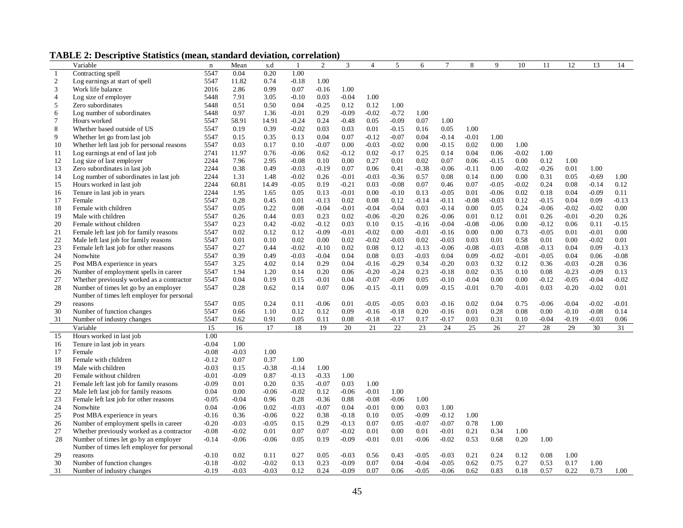**TABLE 2: Descriptive Statistics (mean, standard deviation, correlation)**

|                | $-1$ $-1$ $-1$ $-1$ $-1$ $-1$ $-1$ $-1$<br>Variable | $\mathbf n$ | Mean    | s.d     | 1       | $\overline{c}$ | 3        | $\overline{4}$ | 5       | 6       | $\overline{7}$ | 8       | 9       | 10      | 11      | 12      | 13      | 14                      |
|----------------|-----------------------------------------------------|-------------|---------|---------|---------|----------------|----------|----------------|---------|---------|----------------|---------|---------|---------|---------|---------|---------|-------------------------|
| $\mathbf{1}$   | Contracting spell                                   | 5547        | 0.04    | 0.20    | 1.00    |                |          |                |         |         |                |         |         |         |         |         |         |                         |
| $\mathfrak{2}$ | Log earnings at start of spell                      | 5547        | 11.82   | 0.74    | $-0.18$ | 1.00           |          |                |         |         |                |         |         |         |         |         |         |                         |
| 3              | Work life balance                                   | 2016        | 2.86    | 0.99    | 0.07    | $-0.16$        | 1.00     |                |         |         |                |         |         |         |         |         |         |                         |
| $\overline{4}$ | Log size of employer                                | 5448        | 7.91    | 3.05    | $-0.10$ | 0.03           | $-0.04$  | 1.00           |         |         |                |         |         |         |         |         |         |                         |
| 5              | Zero subordinates                                   | 5448        | 0.51    | 0.50    | 0.04    | $-0.25$        | 0.12     | 0.12           | 1.00    |         |                |         |         |         |         |         |         |                         |
| 6              | Log number of subordinates                          | 5448        | 0.97    | 1.36    | $-0.01$ | 0.29           | $-0.09$  | $-0.02$        | $-0.72$ | 1.00    |                |         |         |         |         |         |         |                         |
| $\overline{7}$ | Hours worked                                        | 5547        | 58.91   | 14.91   | $-0.24$ | 0.24           | $-0.48$  | 0.05           | $-0.09$ | 0.07    | 1.00           |         |         |         |         |         |         |                         |
| 8              | Whether based outside of US                         | 5547        | 0.19    | 0.39    | $-0.02$ | 0.03           | 0.03     | 0.01           | $-0.15$ | 0.16    | 0.05           | 1.00    |         |         |         |         |         |                         |
| 9              | Whether let go from last job                        | 5547        | 0.15    | 0.35    | 0.13    | 0.04           | 0.07     | $-0.12$        | $-0.07$ | 0.04    | $-0.14$        | $-0.01$ | 1.00    |         |         |         |         |                         |
| 10             | Whether left last job for personal reasons          | 5547        | 0.03    | 0.17    | 0.10    | $-0.07$        | $0.00\,$ | $-0.03$        | $-0.02$ | 0.00    | $-0.15$        | 0.02    | 0.00    | 1.00    |         |         |         |                         |
| 11             | Log earnings at end of last job                     | 2741        | 11.97   | 0.76    | $-0.06$ | 0.62           | $-0.12$  | 0.02           | $-0.17$ | 0.25    | 0.14           | 0.04    | 0.06    | $-0.02$ | 1.00    |         |         |                         |
| 12             | Log size of last employer                           | 2244        | 7.96    | 2.95    | $-0.08$ | 0.10           | 0.00     | 0.27           | 0.01    | 0.02    | 0.07           | 0.06    | $-0.15$ | 0.00    | 0.12    | 1.00    |         |                         |
| 13             | Zero subordinates in last job                       | 2244        | 0.38    | 0.49    | $-0.03$ | $-0.19$        | 0.07     | 0.06           | 0.41    | $-0.38$ | $-0.06$        | $-0.11$ | 0.00    | $-0.02$ | $-0.26$ | 0.01    | 1.00    |                         |
| 14             | Log number of subordinates in last job              | 2244        | 1.31    | 1.48    | $-0.02$ | 0.26           | $-0.01$  | $-0.03$        | $-0.36$ | 0.57    | 0.08           | 0.14    | 0.00    | 0.00    | 0.31    | 0.05    | $-0.69$ | 1.00                    |
| 15             | Hours worked in last job                            | 2244        | 60.81   | 14.49   | $-0.05$ | 0.19           | $-0.21$  | 0.03           | $-0.08$ | 0.07    | 0.46           | 0.07    | $-0.05$ | $-0.02$ | 0.24    | 0.08    | $-0.14$ | 0.12                    |
| 16             | Tenure in last job in years                         | 2244        | 1.95    | 1.65    | 0.05    | 0.13           | $-0.01$  | 0.00           | $-0.10$ | 0.13    | $-0.05$        | 0.01    | $-0.06$ | 0.02    | 0.18    | 0.04    | $-0.09$ | 0.11                    |
| 17             | Female                                              | 5547        | 0.28    | 0.45    | 0.01    | $-0.13$        | 0.02     | 0.08           | 0.12    | $-0.14$ | $-0.11$        | $-0.08$ | $-0.03$ | 0.12    | $-0.15$ | 0.04    | 0.09    | $-0.13$                 |
| 18             | Female with children                                | 5547        | 0.05    | 0.22    | 0.08    | $-0.04$        | $-0.01$  | $-0.04$        | $-0.04$ | 0.03    | $-0.14$        | 0.00    | 0.05    | 0.24    | $-0.06$ | $-0.02$ | $-0.02$ | 0.00                    |
| 19             | Male with children                                  | 5547        | 0.26    | 0.44    | 0.03    | 0.23           | 0.02     | $-0.06$        | $-0.20$ | 0.26    | $-0.06$        | 0.01    | 0.12    | 0.01    | 0.26    | $-0.01$ | $-0.20$ | 0.26                    |
| 20             | Female without children                             | 5547        | 0.23    | 0.42    | $-0.02$ | $-0.12$        | 0.03     | 0.10           | 0.15    | $-0.16$ | $-0.04$        | $-0.08$ | $-0.06$ | 0.00    | $-0.12$ | 0.06    | 0.11    | $-0.15$                 |
| 21             | Female left last job for family reasons             | 5547        | 0.02    | 0.12    | 0.12    | $-0.09$        | $-0.01$  | $-0.02$        | 0.00    | $-0.01$ | $-0.16$        | 0.00    | 0.00    | 0.73    | $-0.05$ | 0.01    | $-0.01$ | 0.00                    |
| 22             | Male left last job for family reasons               | 5547        | 0.01    | 0.10    | 0.02    | 0.00           | 0.02     | $-0.02$        | $-0.03$ | 0.02    | $-0.03$        | 0.03    | 0.01    | 0.58    | 0.01    | 0.00    | $-0.02$ | 0.01                    |
| 23             | Female left last job for other reasons              | 5547        | 0.27    | 0.44    | $-0.02$ | $-0.10$        | 0.02     | 0.08           | 0.12    | $-0.13$ | $-0.06$        | $-0.08$ | $-0.03$ | $-0.08$ | $-0.13$ | 0.04    | 0.09    | $-0.13$                 |
| 24             | Nonwhite                                            | 5547        | 0.39    | 0.49    | $-0.03$ | $-0.04$        | 0.04     | 0.08           | 0.03    | $-0.03$ | 0.04           | 0.09    | $-0.02$ | $-0.01$ | $-0.05$ | 0.04    | 0.06    | $-0.08$                 |
| 25             | Post MBA experience in years                        | 5547        | 3.25    | 4.02    | 0.14    | 0.29           | 0.04     | $-0.16$        | $-0.29$ | 0.34    | $-0.20$        | 0.03    | 0.32    | 0.12    | 0.36    | $-0.03$ | $-0.28$ | 0.36                    |
| 26             | Number of employment spells in career               | 5547        | 1.94    | 1.20    | 0.14    | 0.20           | 0.06     | $-0.20$        | $-0.24$ | 0.23    | $-0.18$        | 0.02    | 0.35    | 0.10    | 0.08    | $-0.23$ | $-0.09$ | 0.13                    |
| 27             | Whether previously worked as a contractor           | 5547        | 0.04    | 0.19    | 0.15    | $-0.01$        | 0.04     | $-0.07$        | $-0.09$ | 0.05    | $-0.10$        | $-0.04$ | 0.00    | 0.00    | $-0.12$ | $-0.05$ | $-0.04$ | $-0.02$                 |
| 28             | Number of times let go by an employer               | 5547        | 0.28    | 0.62    | 0.14    | 0.07           | 0.06     | $-0.15$        | $-0.11$ | 0.09    | $-0.15$        | $-0.01$ | 0.70    | $-0.01$ | 0.03    | $-0.20$ | $-0.02$ | 0.01                    |
|                | Number of times left employer for personal          |             |         |         |         |                |          |                |         |         |                |         |         |         |         |         |         |                         |
| 29             | reasons                                             | 5547        | 0.05    | 0.24    | 0.11    | $-0.06$        | 0.01     | $-0.05$        | $-0.05$ | 0.03    | $-0.16$        | 0.02    | 0.04    | 0.75    | $-0.06$ | $-0.04$ | $-0.02$ | $-0.01$                 |
| 30             | Number of function changes                          | 5547        | 0.66    | 1.10    | 0.12    | 0.12           | 0.09     | $-0.16$        | $-0.18$ | 0.20    | $-0.16$        | 0.01    | 0.28    | 0.08    | 0.00    | $-0.10$ | $-0.08$ | 0.14                    |
| 31             | Number of industry changes                          | 5547        | 0.62    | 0.91    | 0.05    | 0.11           | 0.08     | $-0.18$        | $-0.17$ | 0.17    | $-0.17$        | 0.03    | 0.31    | 0.10    | $-0.04$ | $-0.19$ | $-0.03$ | 0.06<br>$\overline{31}$ |
| 15             | Variable<br>Hours worked in last job                | 15<br>1.00  | 16      | 17      | 18      | 19             | 20       | 21             | 22      | 23      | 24             | 25      | 26      | 27      | 28      | 29      | 30      |                         |
| 16             | Tenure in last job in years                         | $-0.04$     | 1.00    |         |         |                |          |                |         |         |                |         |         |         |         |         |         |                         |
| 17             | Female                                              | $-0.08$     | $-0.03$ | 1.00    |         |                |          |                |         |         |                |         |         |         |         |         |         |                         |
| 18             | Female with children                                | $-0.12$     | 0.07    | 0.37    | 1.00    |                |          |                |         |         |                |         |         |         |         |         |         |                         |
| 19             | Male with children                                  | $-0.03$     | 0.15    | $-0.38$ | $-0.14$ | 1.00           |          |                |         |         |                |         |         |         |         |         |         |                         |
| 20             | Female without children                             | $-0.01$     | $-0.09$ | 0.87    | $-0.13$ | $-0.33$        | 1.00     |                |         |         |                |         |         |         |         |         |         |                         |
| 21             | Female left last job for family reasons             | $-0.09$     | 0.01    | 0.20    | 0.35    | $-0.07$        | 0.03     | 1.00           |         |         |                |         |         |         |         |         |         |                         |
| 22             | Male left last job for family reasons               | 0.04        | 0.00    | $-0.06$ | $-0.02$ | 0.12           | $-0.06$  | $-0.01$        | 1.00    |         |                |         |         |         |         |         |         |                         |
| 23             | Female left last job for other reasons              | $-0.05$     | $-0.04$ | 0.96    | 0.28    | $-0.36$        | 0.88     | $-0.08$        | $-0.06$ | 1.00    |                |         |         |         |         |         |         |                         |
| 24             | Nonwhite                                            | 0.04        | $-0.06$ | 0.02    | $-0.03$ | $-0.07$        | 0.04     | $-0.01$        | 0.00    | 0.03    | 1.00           |         |         |         |         |         |         |                         |
| 25             | Post MBA experience in years                        | $-0.16$     | 0.36    | $-0.06$ | 0.22    | 0.38           | $-0.18$  | 0.10           | 0.05    | $-0.09$ | $-0.12$        | 1.00    |         |         |         |         |         |                         |
| 26             | Number of employment spells in career               | $-0.20$     | $-0.03$ | $-0.05$ | 0.15    | 0.29           | $-0.13$  | 0.07           | 0.05    | $-0.07$ | $-0.07$        | 0.78    | 1.00    |         |         |         |         |                         |
| 27             | Whether previously worked as a contractor           | $-0.08$     | $-0.02$ | 0.01    | 0.07    | 0.07           | $-0.02$  | 0.01           | 0.00    | 0.01    | $-0.01$        | 0.21    | 0.34    | 1.00    |         |         |         |                         |
| 28             | Number of times let go by an employer               | $-0.14$     | $-0.06$ | $-0.06$ | 0.05    | 0.19           | $-0.09$  | $-0.01$        | 0.01    | $-0.06$ | $-0.02$        | 0.53    | 0.68    | 0.20    | 1.00    |         |         |                         |
|                | Number of times left employer for personal          |             |         |         |         |                |          |                |         |         |                |         |         |         |         |         |         |                         |
| 29             | reasons                                             | $-0.10$     | 0.02    | 0.11    | 0.27    | 0.05           | $-0.03$  | 0.56           | 0.43    | $-0.05$ | $-0.03$        | 0.21    | 0.24    | 0.12    | 0.08    | 1.00    |         |                         |
| 30             | Number of function changes                          | $-0.18$     | $-0.02$ | $-0.02$ | 0.13    | 0.23           | $-0.09$  | 0.07           | 0.04    | $-0.04$ | $-0.05$        | 0.62    | 0.75    | 0.27    | 0.53    | 0.17    | 1.00    |                         |
| 31             | Number of industry changes                          | $-0.19$     | $-0.03$ | $-0.03$ | 0.12    | 0.24           | $-0.09$  | 0.07           | 0.06    | $-0.05$ | $-0.06$        | 0.62    | 0.83    | 0.18    | 0.57    | 0.22    | 0.73    | 1.00                    |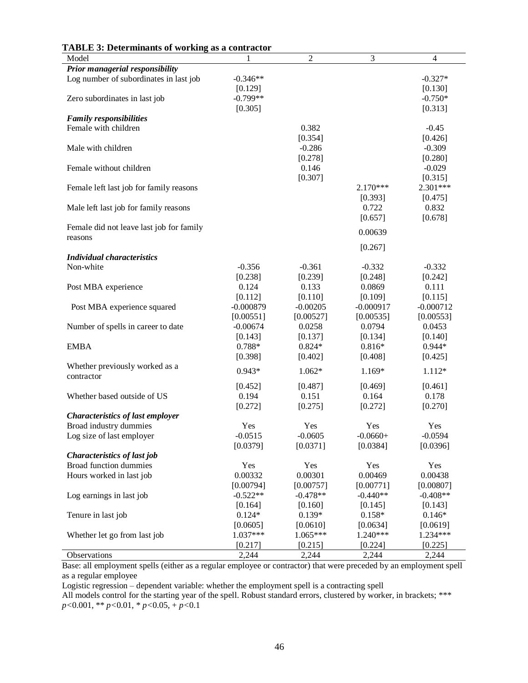| Prior managerial responsibility<br>Log number of subordinates in last job<br>$-0.346**$<br>$-0.327*$<br>[0.129]<br>[0.130]<br>$-0.799**$<br>$-0.750*$<br>Zero subordinates in last job<br>[0.305]<br>[0.313]<br><b>Family responsibilities</b><br>Female with children<br>0.382<br>$-0.45$<br>[0.354]<br>[0.426]<br>$-0.286$<br>$-0.309$<br>Male with children<br>[0.278]<br>[0.280]<br>Female without children<br>0.146<br>$-0.029$<br>[0.307]<br>[0.315]<br>$2.170***$<br>2.301***<br>Female left last job for family reasons<br>[0.393]<br>[0.475]<br>0.722<br>0.832<br>Male left last job for family reasons<br>[0.678]<br>[0.657]<br>Female did not leave last job for family<br>0.00639<br>reasons<br>[0.267]<br><b>Individual characteristics</b><br>Non-white<br>$-0.356$<br>$-0.361$<br>$-0.332$<br>$-0.332$<br>[0.238]<br>[0.239]<br>[0.248]<br>[0.242]<br>Post MBA experience<br>0.124<br>0.133<br>0.0869<br>0.111<br>[0.112]<br>[0.110]<br>[0.109]<br>[0.115]<br>$-0.000879$<br>$-0.00205$<br>$-0.000917$<br>$-0.000712$<br>Post MBA experience squared<br>[0.00551]<br>[0.00527]<br>[0.00535]<br>[0.00553]<br>0.0453<br>Number of spells in career to date<br>$-0.00674$<br>0.0258<br>0.0794<br>[0.137]<br>[0.134]<br>[0.140]<br>[0.143]<br>0.788*<br>$0.824*$<br>$0.816*$<br>$0.944*$<br><b>EMBA</b><br>[0.398]<br>[0.402]<br>[0.408]<br>[0.425]<br>Whether previously worked as a<br>$0.943*$<br>$1.062*$<br>1.169*<br>$1.112*$<br>contractor<br>[0.452]<br>[0.487]<br>[0.469]<br>[0.461]<br>0.194<br>0.151<br>0.164<br>0.178<br>Whether based outside of US<br>[0.272]<br>[0.275]<br>[0.272]<br>[0.270]<br><b>Characteristics of last employer</b><br>Broad industry dummies<br>Yes<br>Yes<br>Yes<br>Yes<br>$-0.0515$<br>$-0.0605$<br>$-0.0660+$<br>$-0.0594$<br>Log size of last employer<br>[0.0379]<br>[0.0371]<br>[0.0384]<br>[0.0396]<br>Characteristics of last job<br>Broad function dummies<br>Yes<br>Yes<br>Yes<br>Yes<br>Hours worked in last job<br>0.00332<br>0.00301<br>0.00469<br>0.00438<br>[0.00794]<br>[0.00757]<br>[0.00771]<br>[0.00807]<br>$-0.522**$<br>$-0.478**$<br>$-0.440**$<br>$-0.408**$<br>Log earnings in last job<br>[0.164]<br>[0.160]<br>[0.145]<br>[0.143]<br>$0.124*$<br>$0.139*$<br>$0.158*$<br>$0.146*$<br>Tenure in last job<br>[0.0605]<br>[0.0610]<br>[0.0634]<br>[0.0619]<br>$1.065***$<br>1.240***<br>1.037***<br>1.234***<br>Whether let go from last job<br>[0.217]<br>[0.224]<br>[0.225]<br>[0.215] | <b>TABLE 3: Determinants of working as a contractor</b><br>Model |       | $\overline{c}$ | 3     | 4     |
|-----------------------------------------------------------------------------------------------------------------------------------------------------------------------------------------------------------------------------------------------------------------------------------------------------------------------------------------------------------------------------------------------------------------------------------------------------------------------------------------------------------------------------------------------------------------------------------------------------------------------------------------------------------------------------------------------------------------------------------------------------------------------------------------------------------------------------------------------------------------------------------------------------------------------------------------------------------------------------------------------------------------------------------------------------------------------------------------------------------------------------------------------------------------------------------------------------------------------------------------------------------------------------------------------------------------------------------------------------------------------------------------------------------------------------------------------------------------------------------------------------------------------------------------------------------------------------------------------------------------------------------------------------------------------------------------------------------------------------------------------------------------------------------------------------------------------------------------------------------------------------------------------------------------------------------------------------------------------------------------------------------------------------------------------------------------------------------------------------------------------------------------------------------------------------------------------------------------------------------------------------------------------------------------------------------------------------------------------------------------------------------------------------------------------------------------------------------------|------------------------------------------------------------------|-------|----------------|-------|-------|
|                                                                                                                                                                                                                                                                                                                                                                                                                                                                                                                                                                                                                                                                                                                                                                                                                                                                                                                                                                                                                                                                                                                                                                                                                                                                                                                                                                                                                                                                                                                                                                                                                                                                                                                                                                                                                                                                                                                                                                                                                                                                                                                                                                                                                                                                                                                                                                                                                                                                 |                                                                  |       |                |       |       |
|                                                                                                                                                                                                                                                                                                                                                                                                                                                                                                                                                                                                                                                                                                                                                                                                                                                                                                                                                                                                                                                                                                                                                                                                                                                                                                                                                                                                                                                                                                                                                                                                                                                                                                                                                                                                                                                                                                                                                                                                                                                                                                                                                                                                                                                                                                                                                                                                                                                                 |                                                                  |       |                |       |       |
|                                                                                                                                                                                                                                                                                                                                                                                                                                                                                                                                                                                                                                                                                                                                                                                                                                                                                                                                                                                                                                                                                                                                                                                                                                                                                                                                                                                                                                                                                                                                                                                                                                                                                                                                                                                                                                                                                                                                                                                                                                                                                                                                                                                                                                                                                                                                                                                                                                                                 |                                                                  |       |                |       |       |
|                                                                                                                                                                                                                                                                                                                                                                                                                                                                                                                                                                                                                                                                                                                                                                                                                                                                                                                                                                                                                                                                                                                                                                                                                                                                                                                                                                                                                                                                                                                                                                                                                                                                                                                                                                                                                                                                                                                                                                                                                                                                                                                                                                                                                                                                                                                                                                                                                                                                 |                                                                  |       |                |       |       |
|                                                                                                                                                                                                                                                                                                                                                                                                                                                                                                                                                                                                                                                                                                                                                                                                                                                                                                                                                                                                                                                                                                                                                                                                                                                                                                                                                                                                                                                                                                                                                                                                                                                                                                                                                                                                                                                                                                                                                                                                                                                                                                                                                                                                                                                                                                                                                                                                                                                                 |                                                                  |       |                |       |       |
|                                                                                                                                                                                                                                                                                                                                                                                                                                                                                                                                                                                                                                                                                                                                                                                                                                                                                                                                                                                                                                                                                                                                                                                                                                                                                                                                                                                                                                                                                                                                                                                                                                                                                                                                                                                                                                                                                                                                                                                                                                                                                                                                                                                                                                                                                                                                                                                                                                                                 |                                                                  |       |                |       |       |
|                                                                                                                                                                                                                                                                                                                                                                                                                                                                                                                                                                                                                                                                                                                                                                                                                                                                                                                                                                                                                                                                                                                                                                                                                                                                                                                                                                                                                                                                                                                                                                                                                                                                                                                                                                                                                                                                                                                                                                                                                                                                                                                                                                                                                                                                                                                                                                                                                                                                 |                                                                  |       |                |       |       |
|                                                                                                                                                                                                                                                                                                                                                                                                                                                                                                                                                                                                                                                                                                                                                                                                                                                                                                                                                                                                                                                                                                                                                                                                                                                                                                                                                                                                                                                                                                                                                                                                                                                                                                                                                                                                                                                                                                                                                                                                                                                                                                                                                                                                                                                                                                                                                                                                                                                                 |                                                                  |       |                |       |       |
|                                                                                                                                                                                                                                                                                                                                                                                                                                                                                                                                                                                                                                                                                                                                                                                                                                                                                                                                                                                                                                                                                                                                                                                                                                                                                                                                                                                                                                                                                                                                                                                                                                                                                                                                                                                                                                                                                                                                                                                                                                                                                                                                                                                                                                                                                                                                                                                                                                                                 |                                                                  |       |                |       |       |
|                                                                                                                                                                                                                                                                                                                                                                                                                                                                                                                                                                                                                                                                                                                                                                                                                                                                                                                                                                                                                                                                                                                                                                                                                                                                                                                                                                                                                                                                                                                                                                                                                                                                                                                                                                                                                                                                                                                                                                                                                                                                                                                                                                                                                                                                                                                                                                                                                                                                 |                                                                  |       |                |       |       |
|                                                                                                                                                                                                                                                                                                                                                                                                                                                                                                                                                                                                                                                                                                                                                                                                                                                                                                                                                                                                                                                                                                                                                                                                                                                                                                                                                                                                                                                                                                                                                                                                                                                                                                                                                                                                                                                                                                                                                                                                                                                                                                                                                                                                                                                                                                                                                                                                                                                                 |                                                                  |       |                |       |       |
|                                                                                                                                                                                                                                                                                                                                                                                                                                                                                                                                                                                                                                                                                                                                                                                                                                                                                                                                                                                                                                                                                                                                                                                                                                                                                                                                                                                                                                                                                                                                                                                                                                                                                                                                                                                                                                                                                                                                                                                                                                                                                                                                                                                                                                                                                                                                                                                                                                                                 |                                                                  |       |                |       |       |
|                                                                                                                                                                                                                                                                                                                                                                                                                                                                                                                                                                                                                                                                                                                                                                                                                                                                                                                                                                                                                                                                                                                                                                                                                                                                                                                                                                                                                                                                                                                                                                                                                                                                                                                                                                                                                                                                                                                                                                                                                                                                                                                                                                                                                                                                                                                                                                                                                                                                 |                                                                  |       |                |       |       |
|                                                                                                                                                                                                                                                                                                                                                                                                                                                                                                                                                                                                                                                                                                                                                                                                                                                                                                                                                                                                                                                                                                                                                                                                                                                                                                                                                                                                                                                                                                                                                                                                                                                                                                                                                                                                                                                                                                                                                                                                                                                                                                                                                                                                                                                                                                                                                                                                                                                                 |                                                                  |       |                |       |       |
|                                                                                                                                                                                                                                                                                                                                                                                                                                                                                                                                                                                                                                                                                                                                                                                                                                                                                                                                                                                                                                                                                                                                                                                                                                                                                                                                                                                                                                                                                                                                                                                                                                                                                                                                                                                                                                                                                                                                                                                                                                                                                                                                                                                                                                                                                                                                                                                                                                                                 |                                                                  |       |                |       |       |
|                                                                                                                                                                                                                                                                                                                                                                                                                                                                                                                                                                                                                                                                                                                                                                                                                                                                                                                                                                                                                                                                                                                                                                                                                                                                                                                                                                                                                                                                                                                                                                                                                                                                                                                                                                                                                                                                                                                                                                                                                                                                                                                                                                                                                                                                                                                                                                                                                                                                 |                                                                  |       |                |       |       |
|                                                                                                                                                                                                                                                                                                                                                                                                                                                                                                                                                                                                                                                                                                                                                                                                                                                                                                                                                                                                                                                                                                                                                                                                                                                                                                                                                                                                                                                                                                                                                                                                                                                                                                                                                                                                                                                                                                                                                                                                                                                                                                                                                                                                                                                                                                                                                                                                                                                                 |                                                                  |       |                |       |       |
|                                                                                                                                                                                                                                                                                                                                                                                                                                                                                                                                                                                                                                                                                                                                                                                                                                                                                                                                                                                                                                                                                                                                                                                                                                                                                                                                                                                                                                                                                                                                                                                                                                                                                                                                                                                                                                                                                                                                                                                                                                                                                                                                                                                                                                                                                                                                                                                                                                                                 |                                                                  |       |                |       |       |
|                                                                                                                                                                                                                                                                                                                                                                                                                                                                                                                                                                                                                                                                                                                                                                                                                                                                                                                                                                                                                                                                                                                                                                                                                                                                                                                                                                                                                                                                                                                                                                                                                                                                                                                                                                                                                                                                                                                                                                                                                                                                                                                                                                                                                                                                                                                                                                                                                                                                 |                                                                  |       |                |       |       |
|                                                                                                                                                                                                                                                                                                                                                                                                                                                                                                                                                                                                                                                                                                                                                                                                                                                                                                                                                                                                                                                                                                                                                                                                                                                                                                                                                                                                                                                                                                                                                                                                                                                                                                                                                                                                                                                                                                                                                                                                                                                                                                                                                                                                                                                                                                                                                                                                                                                                 |                                                                  |       |                |       |       |
|                                                                                                                                                                                                                                                                                                                                                                                                                                                                                                                                                                                                                                                                                                                                                                                                                                                                                                                                                                                                                                                                                                                                                                                                                                                                                                                                                                                                                                                                                                                                                                                                                                                                                                                                                                                                                                                                                                                                                                                                                                                                                                                                                                                                                                                                                                                                                                                                                                                                 |                                                                  |       |                |       |       |
|                                                                                                                                                                                                                                                                                                                                                                                                                                                                                                                                                                                                                                                                                                                                                                                                                                                                                                                                                                                                                                                                                                                                                                                                                                                                                                                                                                                                                                                                                                                                                                                                                                                                                                                                                                                                                                                                                                                                                                                                                                                                                                                                                                                                                                                                                                                                                                                                                                                                 |                                                                  |       |                |       |       |
|                                                                                                                                                                                                                                                                                                                                                                                                                                                                                                                                                                                                                                                                                                                                                                                                                                                                                                                                                                                                                                                                                                                                                                                                                                                                                                                                                                                                                                                                                                                                                                                                                                                                                                                                                                                                                                                                                                                                                                                                                                                                                                                                                                                                                                                                                                                                                                                                                                                                 |                                                                  |       |                |       |       |
|                                                                                                                                                                                                                                                                                                                                                                                                                                                                                                                                                                                                                                                                                                                                                                                                                                                                                                                                                                                                                                                                                                                                                                                                                                                                                                                                                                                                                                                                                                                                                                                                                                                                                                                                                                                                                                                                                                                                                                                                                                                                                                                                                                                                                                                                                                                                                                                                                                                                 |                                                                  |       |                |       |       |
|                                                                                                                                                                                                                                                                                                                                                                                                                                                                                                                                                                                                                                                                                                                                                                                                                                                                                                                                                                                                                                                                                                                                                                                                                                                                                                                                                                                                                                                                                                                                                                                                                                                                                                                                                                                                                                                                                                                                                                                                                                                                                                                                                                                                                                                                                                                                                                                                                                                                 |                                                                  |       |                |       |       |
|                                                                                                                                                                                                                                                                                                                                                                                                                                                                                                                                                                                                                                                                                                                                                                                                                                                                                                                                                                                                                                                                                                                                                                                                                                                                                                                                                                                                                                                                                                                                                                                                                                                                                                                                                                                                                                                                                                                                                                                                                                                                                                                                                                                                                                                                                                                                                                                                                                                                 |                                                                  |       |                |       |       |
|                                                                                                                                                                                                                                                                                                                                                                                                                                                                                                                                                                                                                                                                                                                                                                                                                                                                                                                                                                                                                                                                                                                                                                                                                                                                                                                                                                                                                                                                                                                                                                                                                                                                                                                                                                                                                                                                                                                                                                                                                                                                                                                                                                                                                                                                                                                                                                                                                                                                 |                                                                  |       |                |       |       |
|                                                                                                                                                                                                                                                                                                                                                                                                                                                                                                                                                                                                                                                                                                                                                                                                                                                                                                                                                                                                                                                                                                                                                                                                                                                                                                                                                                                                                                                                                                                                                                                                                                                                                                                                                                                                                                                                                                                                                                                                                                                                                                                                                                                                                                                                                                                                                                                                                                                                 |                                                                  |       |                |       |       |
|                                                                                                                                                                                                                                                                                                                                                                                                                                                                                                                                                                                                                                                                                                                                                                                                                                                                                                                                                                                                                                                                                                                                                                                                                                                                                                                                                                                                                                                                                                                                                                                                                                                                                                                                                                                                                                                                                                                                                                                                                                                                                                                                                                                                                                                                                                                                                                                                                                                                 |                                                                  |       |                |       |       |
|                                                                                                                                                                                                                                                                                                                                                                                                                                                                                                                                                                                                                                                                                                                                                                                                                                                                                                                                                                                                                                                                                                                                                                                                                                                                                                                                                                                                                                                                                                                                                                                                                                                                                                                                                                                                                                                                                                                                                                                                                                                                                                                                                                                                                                                                                                                                                                                                                                                                 |                                                                  |       |                |       |       |
|                                                                                                                                                                                                                                                                                                                                                                                                                                                                                                                                                                                                                                                                                                                                                                                                                                                                                                                                                                                                                                                                                                                                                                                                                                                                                                                                                                                                                                                                                                                                                                                                                                                                                                                                                                                                                                                                                                                                                                                                                                                                                                                                                                                                                                                                                                                                                                                                                                                                 |                                                                  |       |                |       |       |
|                                                                                                                                                                                                                                                                                                                                                                                                                                                                                                                                                                                                                                                                                                                                                                                                                                                                                                                                                                                                                                                                                                                                                                                                                                                                                                                                                                                                                                                                                                                                                                                                                                                                                                                                                                                                                                                                                                                                                                                                                                                                                                                                                                                                                                                                                                                                                                                                                                                                 |                                                                  |       |                |       |       |
|                                                                                                                                                                                                                                                                                                                                                                                                                                                                                                                                                                                                                                                                                                                                                                                                                                                                                                                                                                                                                                                                                                                                                                                                                                                                                                                                                                                                                                                                                                                                                                                                                                                                                                                                                                                                                                                                                                                                                                                                                                                                                                                                                                                                                                                                                                                                                                                                                                                                 |                                                                  |       |                |       |       |
|                                                                                                                                                                                                                                                                                                                                                                                                                                                                                                                                                                                                                                                                                                                                                                                                                                                                                                                                                                                                                                                                                                                                                                                                                                                                                                                                                                                                                                                                                                                                                                                                                                                                                                                                                                                                                                                                                                                                                                                                                                                                                                                                                                                                                                                                                                                                                                                                                                                                 |                                                                  |       |                |       |       |
|                                                                                                                                                                                                                                                                                                                                                                                                                                                                                                                                                                                                                                                                                                                                                                                                                                                                                                                                                                                                                                                                                                                                                                                                                                                                                                                                                                                                                                                                                                                                                                                                                                                                                                                                                                                                                                                                                                                                                                                                                                                                                                                                                                                                                                                                                                                                                                                                                                                                 |                                                                  |       |                |       |       |
|                                                                                                                                                                                                                                                                                                                                                                                                                                                                                                                                                                                                                                                                                                                                                                                                                                                                                                                                                                                                                                                                                                                                                                                                                                                                                                                                                                                                                                                                                                                                                                                                                                                                                                                                                                                                                                                                                                                                                                                                                                                                                                                                                                                                                                                                                                                                                                                                                                                                 |                                                                  |       |                |       |       |
|                                                                                                                                                                                                                                                                                                                                                                                                                                                                                                                                                                                                                                                                                                                                                                                                                                                                                                                                                                                                                                                                                                                                                                                                                                                                                                                                                                                                                                                                                                                                                                                                                                                                                                                                                                                                                                                                                                                                                                                                                                                                                                                                                                                                                                                                                                                                                                                                                                                                 |                                                                  |       |                |       |       |
|                                                                                                                                                                                                                                                                                                                                                                                                                                                                                                                                                                                                                                                                                                                                                                                                                                                                                                                                                                                                                                                                                                                                                                                                                                                                                                                                                                                                                                                                                                                                                                                                                                                                                                                                                                                                                                                                                                                                                                                                                                                                                                                                                                                                                                                                                                                                                                                                                                                                 |                                                                  |       |                |       |       |
|                                                                                                                                                                                                                                                                                                                                                                                                                                                                                                                                                                                                                                                                                                                                                                                                                                                                                                                                                                                                                                                                                                                                                                                                                                                                                                                                                                                                                                                                                                                                                                                                                                                                                                                                                                                                                                                                                                                                                                                                                                                                                                                                                                                                                                                                                                                                                                                                                                                                 |                                                                  |       |                |       |       |
|                                                                                                                                                                                                                                                                                                                                                                                                                                                                                                                                                                                                                                                                                                                                                                                                                                                                                                                                                                                                                                                                                                                                                                                                                                                                                                                                                                                                                                                                                                                                                                                                                                                                                                                                                                                                                                                                                                                                                                                                                                                                                                                                                                                                                                                                                                                                                                                                                                                                 |                                                                  |       |                |       |       |
|                                                                                                                                                                                                                                                                                                                                                                                                                                                                                                                                                                                                                                                                                                                                                                                                                                                                                                                                                                                                                                                                                                                                                                                                                                                                                                                                                                                                                                                                                                                                                                                                                                                                                                                                                                                                                                                                                                                                                                                                                                                                                                                                                                                                                                                                                                                                                                                                                                                                 |                                                                  |       |                |       |       |
|                                                                                                                                                                                                                                                                                                                                                                                                                                                                                                                                                                                                                                                                                                                                                                                                                                                                                                                                                                                                                                                                                                                                                                                                                                                                                                                                                                                                                                                                                                                                                                                                                                                                                                                                                                                                                                                                                                                                                                                                                                                                                                                                                                                                                                                                                                                                                                                                                                                                 |                                                                  |       |                |       |       |
|                                                                                                                                                                                                                                                                                                                                                                                                                                                                                                                                                                                                                                                                                                                                                                                                                                                                                                                                                                                                                                                                                                                                                                                                                                                                                                                                                                                                                                                                                                                                                                                                                                                                                                                                                                                                                                                                                                                                                                                                                                                                                                                                                                                                                                                                                                                                                                                                                                                                 |                                                                  |       |                |       |       |
|                                                                                                                                                                                                                                                                                                                                                                                                                                                                                                                                                                                                                                                                                                                                                                                                                                                                                                                                                                                                                                                                                                                                                                                                                                                                                                                                                                                                                                                                                                                                                                                                                                                                                                                                                                                                                                                                                                                                                                                                                                                                                                                                                                                                                                                                                                                                                                                                                                                                 |                                                                  |       |                |       |       |
|                                                                                                                                                                                                                                                                                                                                                                                                                                                                                                                                                                                                                                                                                                                                                                                                                                                                                                                                                                                                                                                                                                                                                                                                                                                                                                                                                                                                                                                                                                                                                                                                                                                                                                                                                                                                                                                                                                                                                                                                                                                                                                                                                                                                                                                                                                                                                                                                                                                                 |                                                                  |       |                |       |       |
|                                                                                                                                                                                                                                                                                                                                                                                                                                                                                                                                                                                                                                                                                                                                                                                                                                                                                                                                                                                                                                                                                                                                                                                                                                                                                                                                                                                                                                                                                                                                                                                                                                                                                                                                                                                                                                                                                                                                                                                                                                                                                                                                                                                                                                                                                                                                                                                                                                                                 |                                                                  |       |                |       |       |
|                                                                                                                                                                                                                                                                                                                                                                                                                                                                                                                                                                                                                                                                                                                                                                                                                                                                                                                                                                                                                                                                                                                                                                                                                                                                                                                                                                                                                                                                                                                                                                                                                                                                                                                                                                                                                                                                                                                                                                                                                                                                                                                                                                                                                                                                                                                                                                                                                                                                 |                                                                  |       |                |       |       |
|                                                                                                                                                                                                                                                                                                                                                                                                                                                                                                                                                                                                                                                                                                                                                                                                                                                                                                                                                                                                                                                                                                                                                                                                                                                                                                                                                                                                                                                                                                                                                                                                                                                                                                                                                                                                                                                                                                                                                                                                                                                                                                                                                                                                                                                                                                                                                                                                                                                                 |                                                                  |       |                |       |       |
|                                                                                                                                                                                                                                                                                                                                                                                                                                                                                                                                                                                                                                                                                                                                                                                                                                                                                                                                                                                                                                                                                                                                                                                                                                                                                                                                                                                                                                                                                                                                                                                                                                                                                                                                                                                                                                                                                                                                                                                                                                                                                                                                                                                                                                                                                                                                                                                                                                                                 |                                                                  |       |                |       |       |
|                                                                                                                                                                                                                                                                                                                                                                                                                                                                                                                                                                                                                                                                                                                                                                                                                                                                                                                                                                                                                                                                                                                                                                                                                                                                                                                                                                                                                                                                                                                                                                                                                                                                                                                                                                                                                                                                                                                                                                                                                                                                                                                                                                                                                                                                                                                                                                                                                                                                 |                                                                  |       |                |       |       |
|                                                                                                                                                                                                                                                                                                                                                                                                                                                                                                                                                                                                                                                                                                                                                                                                                                                                                                                                                                                                                                                                                                                                                                                                                                                                                                                                                                                                                                                                                                                                                                                                                                                                                                                                                                                                                                                                                                                                                                                                                                                                                                                                                                                                                                                                                                                                                                                                                                                                 | Observations                                                     | 2,244 | 2,244          | 2,244 | 2,244 |

## **TABLE 3: Determinants of working as a contractor**

Base: all employment spells (either as a regular employee or contractor) that were preceded by an employment spell as a regular employee

Logistic regression – dependent variable: whether the employment spell is a contracting spell All models control for the starting year of the spell. Robust standard errors, clustered by worker, in brackets; \*\*\* *p<*0.001, \*\* *p<*0.01, \* *p<*0.05, + *p<*0.1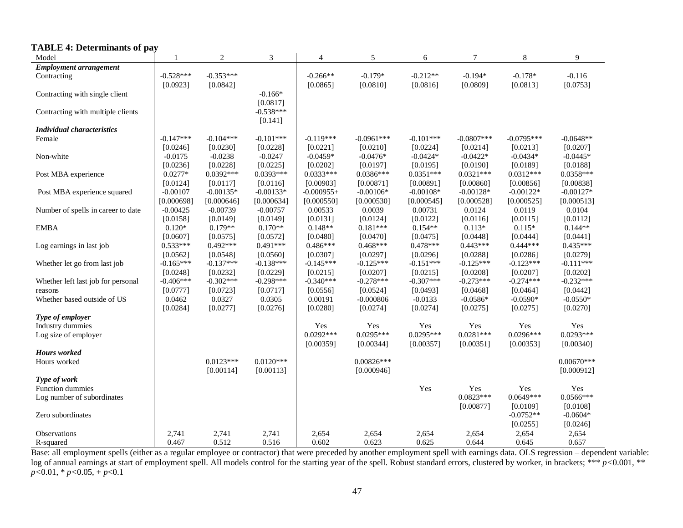## **TABLE 4: Determinants of pay**

| Model                              | $\mathbf{1}$ | $\overline{2}$ | 3           | $\overline{4}$ | 5            | 6           | $\tau$       | $\,8\,$      | 9            |
|------------------------------------|--------------|----------------|-------------|----------------|--------------|-------------|--------------|--------------|--------------|
| <b>Employment arrangement</b>      |              |                |             |                |              |             |              |              |              |
| Contracting                        | $-0.528***$  | $-0.353***$    |             | $-0.266**$     | $-0.179*$    | $-0.212**$  | $-0.194*$    | $-0.178*$    | $-0.116$     |
|                                    | [0.0923]     | [0.0842]       |             | [0.0865]       | [0.0810]     | [0.0816]    | [0.0809]     | [0.0813]     | [0.0753]     |
| Contracting with single client     |              |                | $-0.166*$   |                |              |             |              |              |              |
|                                    |              |                | [0.0817]    |                |              |             |              |              |              |
| Contracting with multiple clients  |              |                | $-0.538***$ |                |              |             |              |              |              |
|                                    |              |                | [0.141]     |                |              |             |              |              |              |
| <b>Individual characteristics</b>  |              |                |             |                |              |             |              |              |              |
| Female                             | $-0.147***$  | $-0.104***$    | $-0.101***$ | $-0.119***$    | $-0.0961***$ | $-0.101***$ | $-0.0807***$ | $-0.0795***$ | $-0.0648**$  |
|                                    | [0.0246]     | [0.0230]       | [0.0228]    | [0.0221]       | [0.0210]     | [0.0224]    | [0.0214]     | [0.0213]     | [0.0207]     |
| Non-white                          | $-0.0175$    | $-0.0238$      | $-0.0247$   | $-0.0459*$     | $-0.0476*$   | $-0.0424*$  | $-0.0422*$   | $-0.0434*$   | $-0.0445*$   |
|                                    | [0.0236]     | [0.0228]       | [0.0225]    | [0.0202]       | [0.0197]     | [0.0195]    | [0.0190]     | [0.0189]     | [0.0188]     |
| Post MBA experience                | $0.0277*$    | $0.0392***$    | $0.0393***$ | $0.0333***$    | $0.0386***$  | $0.0351***$ | $0.0321***$  | $0.0312***$  | $0.0358***$  |
|                                    | [0.0124]     | [0.0117]       | [0.0116]    | [0.00903]      | [0.00871]    | [0.00891]   | [0.00860]    | [0.00856]    | [0.00838]    |
| Post MBA experience squared        | $-0.00107$   | $-0.00135*$    | $-0.00133*$ | $-0.000955+$   | $-0.00106*$  | $-0.00108*$ | $-0.00128*$  | $-0.00122*$  | $-0.00127*$  |
|                                    | [0.000698]   | [0.000646]     | [0.000634]  | [0.000550]     | [0.000530]   | [0.000545]  | [0.000528]   | [0.000525]   | [0.000513]   |
| Number of spells in career to date | $-0.00425$   | $-0.00739$     | $-0.00757$  | 0.00533        | 0.0039       | 0.00731     | 0.0124       | 0.0119       | 0.0104       |
|                                    | [0.0158]     | [0.0149]       | [0.0149]    | [0.0131]       | [0.0124]     | [0.0122]    | [0.0116]     | [0.0115]     | [0.0112]     |
| <b>EMBA</b>                        | $0.120*$     | $0.179**$      | $0.170**$   | $0.148**$      | $0.181***$   | $0.154**$   | $0.113*$     | $0.115*$     | $0.144**$    |
|                                    | [0.0607]     | [0.0575]       | [0.0572]    | [0.0480]       | [0.0470]     | [0.0475]    | [0.0448]     | [0.0444]     | [0.0441]     |
| Log earnings in last job           | $0.533***$   | $0.492***$     | $0.491***$  | $0.486***$     | $0.468***$   | $0.478***$  | $0.443***$   | $0.444***$   | $0.435***$   |
|                                    | [0.0562]     | [0.0548]       | [0.0560]    | [0.0307]       | [0.0297]     | [0.0296]    | [0.0288]     | [0.0286]     | [0.0279]     |
| Whether let go from last job       | $-0.165***$  | $-0.137***$    | $-0.138***$ | $-0.145***$    | $-0.125***$  | $-0.151***$ | $-0.125***$  | $-0.123***$  | $-0.111***$  |
|                                    | [0.0248]     | [0.0232]       | [0.0229]    | [0.0215]       | [0.0207]     | [0.0215]    | [0.0208]     | [0.0207]     | [0.0202]     |
| Whether left last job for personal | $-0.406***$  | $-0.302***$    | $-0.298***$ | $-0.340***$    | $-0.278***$  | $-0.307***$ | $-0.273***$  | $-0.274***$  | $-0.232***$  |
| reasons                            | [0.0777]     | [0.0723]       | [0.0717]    | [0.0556]       | [0.0524]     | [0.0493]    | [0.0468]     | [0.0464]     | [0.0442]     |
| Whether based outside of US        | 0.0462       | 0.0327         | 0.0305      | 0.00191        | $-0.000806$  | $-0.0133$   | $-0.0586*$   | $-0.0590*$   | $-0.0550*$   |
|                                    | [0.0284]     | [0.0277]       | [0.0276]    | [0.0280]       | [0.0274]     | [0.0274]    | [0.0275]     | [0.0275]     | [0.0270]     |
| Type of employer                   |              |                |             |                |              |             |              |              |              |
| Industry dummies                   |              |                |             | Yes            | Yes          | Yes         | Yes          | Yes          | Yes          |
| Log size of employer               |              |                |             | $0.0292***$    | $0.0295***$  | $0.0295***$ | $0.0281***$  | $0.0296***$  | $0.0293***$  |
|                                    |              |                |             | [0.00359]      | [0.00344]    | [0.00357]   | [0.00351]    | [0.00353]    | [0.00340]    |
| Hours worked                       |              |                |             |                |              |             |              |              |              |
| Hours worked                       |              | $0.0123***$    | $0.0120***$ |                | $0.00826***$ |             |              |              | $0.00670***$ |
|                                    |              | [0.00114]      | [0.00113]   |                | [0.000946]   |             |              |              | [0.000912]   |
| Type of work                       |              |                |             |                |              |             |              |              |              |
| Function dummies                   |              |                |             |                |              | Yes         | Yes          | Yes          | Yes          |
| Log number of subordinates         |              |                |             |                |              |             | $0.0823***$  | $0.0649***$  | $0.0566***$  |
|                                    |              |                |             |                |              |             | [0.00877]    | [0.0109]     | [0.0108]     |
| Zero subordinates                  |              |                |             |                |              |             |              | $-0.0752**$  | $-0.0604*$   |
|                                    |              |                |             |                |              |             |              | [0.0255]     | [0.0246]     |
| Observations                       | 2,741        | 2,741          | 2,741       | 2,654          | 2,654        | 2,654       | 2,654        | 2,654        | 2,654        |
| R-squared                          | 0.467        | 0.512          | 0.516       | 0.602          | 0.623        | 0.625       | 0.644        | 0.645        | 0.657        |

Base: all employment spells (either as a regular employee or contractor) that were preceded by another employment spell with earnings data. OLS regression – dependent variable: log of annual earnings at start of employment spell. All models control for the starting year of the spell. Robust standard errors, clustered by worker, in brackets; \*\*\* *p*<0.001, \*\*  $p < 0.01$ ,  $\binom{p}{0.05}$ ,  $\binom{p}{0.1}$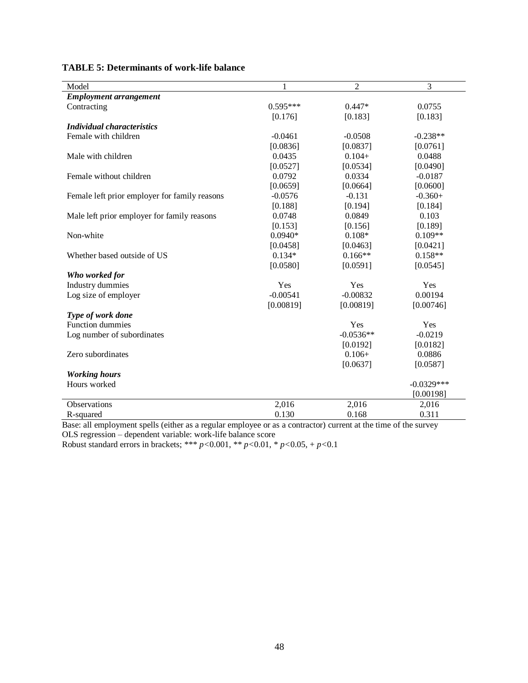| Model                                         |            | $\overline{c}$ | 3            |
|-----------------------------------------------|------------|----------------|--------------|
| <b>Employment arrangement</b>                 |            |                |              |
| Contracting                                   | $0.595***$ | $0.447*$       | 0.0755       |
|                                               | [0.176]    | [0.183]        | [0.183]      |
| <b>Individual characteristics</b>             |            |                |              |
| Female with children                          | $-0.0461$  | $-0.0508$      | $-0.238**$   |
|                                               | [0.0836]   | [0.0837]       | [0.0761]     |
| Male with children                            | 0.0435     | $0.104+$       | 0.0488       |
|                                               | [0.0527]   | [0.0534]       | [0.0490]     |
| Female without children                       | 0.0792     | 0.0334         | $-0.0187$    |
|                                               | [0.0659]   | [0.0664]       | [0.0600]     |
| Female left prior employer for family reasons | $-0.0576$  | $-0.131$       | $-0.360+$    |
|                                               | [0.188]    | [0.194]        | [0.184]      |
| Male left prior employer for family reasons   | 0.0748     | 0.0849         | 0.103        |
|                                               | [0.153]    | [0.156]        | [0.189]      |
| Non-white                                     | $0.0940*$  | $0.108*$       | $0.109**$    |
|                                               | [0.0458]   | [0.0463]       | [0.0421]     |
| Whether based outside of US                   | $0.134*$   | $0.166**$      | $0.158**$    |
|                                               | [0.0580]   | [0.0591]       | [0.0545]     |
| Who worked for                                |            |                |              |
| Industry dummies                              | Yes        | Yes            | Yes          |
| Log size of employer                          | $-0.00541$ | $-0.00832$     | 0.00194      |
|                                               | [0.00819]  | [0.00819]      | [0.00746]    |
| Type of work done                             |            |                |              |
| <b>Function dummies</b>                       |            | Yes            | Yes          |
| Log number of subordinates                    |            | $-0.0536**$    | $-0.0219$    |
|                                               |            | [0.0192]       | [0.0182]     |
| Zero subordinates                             |            | $0.106+$       | 0.0886       |
|                                               |            | [0.0637]       | [0.0587]     |
| <b>Working hours</b>                          |            |                |              |
| Hours worked                                  |            |                | $-0.0329***$ |
|                                               |            |                | [0.00198]    |
| <b>Observations</b>                           | 2,016      | 2,016          | 2,016        |
| R-squared                                     | 0.130      | 0.168          | 0.311        |

## **TABLE 5: Determinants of work-life balance**

Base: all employment spells (either as a regular employee or as a contractor) current at the time of the survey OLS regression – dependent variable: work-life balance score

Robust standard errors in brackets; \*\*\* *p<*0.001, \*\* *p<*0.01, \* *p<*0.05, + *p<*0.1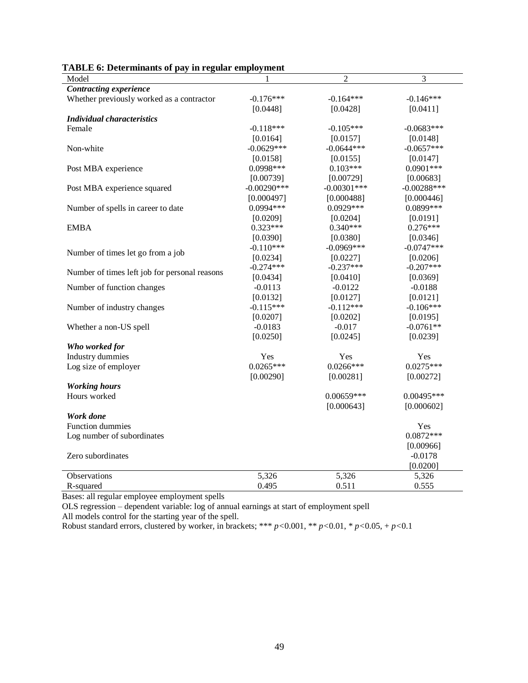| плоно от осепшивно от рау не гедиат ещ        |                |                |               |
|-----------------------------------------------|----------------|----------------|---------------|
| Model                                         |                | $\overline{2}$ | 3             |
| Contracting experience                        |                |                |               |
| Whether previously worked as a contractor     | $-0.176***$    | $-0.164***$    | $-0.146***$   |
|                                               | [0.0448]       | [0.0428]       | [0.0411]      |
| <b>Individual characteristics</b>             |                |                |               |
| Female                                        | $-0.118***$    | $-0.105***$    | $-0.0683***$  |
|                                               | [0.0164]       | [0.0157]       | [0.0148]      |
| Non-white                                     | $-0.0629***$   | $-0.0644***$   | $-0.0657***$  |
|                                               | [0.0158]       | [0.0155]       | [0.0147]      |
| Post MBA experience                           | $0.0998***$    | $0.103***$     | $0.0901***$   |
|                                               | [0.00739]      | [0.00729]      | [0.00683]     |
| Post MBA experience squared                   | $-0.00290$ *** | $-0.00301$ *** | $-0.00288***$ |
|                                               | [0.000497]     | [0.000488]     | [0.000446]    |
| Number of spells in career to date            | $0.0994***$    | $0.0929***$    | 0.0899***     |
|                                               | [0.0209]       | [0.0204]       | [0.0191]      |
| <b>EMBA</b>                                   | $0.323***$     | $0.340***$     | $0.276***$    |
|                                               | [0.0390]       | [0.0380]       | [0.0346]      |
|                                               | $-0.110***$    | $-0.0969***$   | $-0.0747***$  |
| Number of times let go from a job             | [0.0234]       | [0.0227]       | [0.0206]      |
|                                               | $-0.274***$    | $-0.237***$    | $-0.207***$   |
| Number of times left job for personal reasons | [0.0434]       | [0.0410]       | [0.0369]      |
| Number of function changes                    | $-0.0113$      | $-0.0122$      | $-0.0188$     |
|                                               | [0.0132]       | [0.0127]       | [0.0121]      |
| Number of industry changes                    | $-0.115***$    | $-0.112***$    | $-0.106***$   |
|                                               | [0.0207]       | [0.0202]       | [0.0195]      |
| Whether a non-US spell                        | $-0.0183$      | $-0.017$       | $-0.0761**$   |
|                                               | [0.0250]       | [0.0245]       | [0.0239]      |
| Who worked for                                |                |                |               |
| <b>Industry dummies</b>                       | Yes            | Yes            | Yes           |
| Log size of employer                          | $0.0265***$    | $0.0266***$    | $0.0275***$   |
|                                               | [0.00290]      | [0.00281]      | [0.00272]     |
| <b>Working</b> hours                          |                |                |               |
| Hours worked                                  |                | $0.00659***$   | $0.00495***$  |
|                                               |                | [0.000643]     | [0.000602]    |
| Work done                                     |                |                |               |
| <b>Function dummies</b>                       |                |                | Yes           |
|                                               |                |                | $0.0872***$   |
| Log number of subordinates                    |                |                |               |
|                                               |                |                | [0.00966]     |
| Zero subordinates                             |                |                | $-0.0178$     |
|                                               |                |                | [0.0200]      |
| Observations                                  | 5,326          | 5,326          | 5,326         |
| R-squared                                     | 0.495          | 0.511          | 0.555         |

## **TABLE 6: Determinants of pay in regular employment**

Bases: all regular employee employment spells

OLS regression – dependent variable: log of annual earnings at start of employment spell All models control for the starting year of the spell.

Robust standard errors, clustered by worker, in brackets;  $*** p < 0.001$ ,  $** p < 0.01$ ,  $* p < 0.05$ ,  $+ p < 0.1$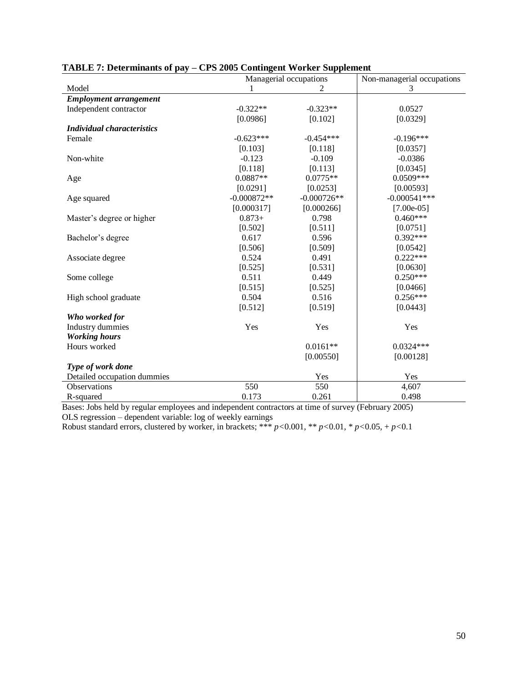|                                   |               | Managerial occupations | Non-managerial occupations |
|-----------------------------------|---------------|------------------------|----------------------------|
| Model                             |               | $\overline{2}$         | 3                          |
| <b>Employment arrangement</b>     |               |                        |                            |
| Independent contractor            | $-0.322**$    | $-0.323**$             | 0.0527                     |
|                                   | [0.0986]      | [0.102]                | [0.0329]                   |
| <b>Individual characteristics</b> |               |                        |                            |
| Female                            | $-0.623***$   | $-0.454***$            | $-0.196***$                |
|                                   | [0.103]       | [0.118]                | [0.0357]                   |
| Non-white                         | $-0.123$      | $-0.109$               | $-0.0386$                  |
|                                   | [0.118]       | [0.113]                | [0.0345]                   |
| Age                               | $0.0887**$    | $0.0775**$             | $0.0509***$                |
|                                   | [0.0291]      | [0.0253]               | [0.00593]                  |
| Age squared                       | $-0.000872**$ | $-0.000726**$          | $-0.000541***$             |
|                                   | [0.000317]    | [0.000266]             | $[7.00e-05]$               |
| Master's degree or higher         | $0.873+$      | 0.798                  | $0.460***$                 |
|                                   | [0.502]       | [0.511]                | [0.0751]                   |
| Bachelor's degree                 | 0.617         | 0.596                  | $0.392***$                 |
|                                   | [0.506]       | [0.509]                | [0.0542]                   |
| Associate degree                  | 0.524         | 0.491                  | $0.222***$                 |
|                                   | [0.525]       | [0.531]                | [0.0630]                   |
| Some college                      | 0.511         | 0.449                  | $0.250***$                 |
|                                   | [0.515]       | [0.525]                | [0.0466]                   |
| High school graduate              | 0.504         | 0.516                  | $0.256***$                 |
|                                   | [0.512]       | [0.519]                | [0.0443]                   |
| Who worked for                    |               |                        |                            |
| <b>Industry dummies</b>           | Yes           | Yes                    | Yes                        |
| <b>Working hours</b>              |               |                        |                            |
| Hours worked                      |               | $0.0161**$             | $0.0324***$                |
|                                   |               | [0.00550]              | [0.00128]                  |
| Type of work done                 |               |                        |                            |
| Detailed occupation dummies       |               | Yes                    | Yes                        |
| Observations                      | 550           | 550                    | 4,607                      |
| R-squared                         | 0.173         | 0.261                  | 0.498                      |

## **TABLE 7: Determinants of pay – CPS 2005 Contingent Worker Supplement**

Bases: Jobs held by regular employees and independent contractors at time of survey (February 2005) OLS regression – dependent variable: log of weekly earnings

Robust standard errors, clustered by worker, in brackets; \*\*\*  $p < 0.001$ , \*\*  $p < 0.01$ , \*  $p < 0.05$ , +  $p < 0.1$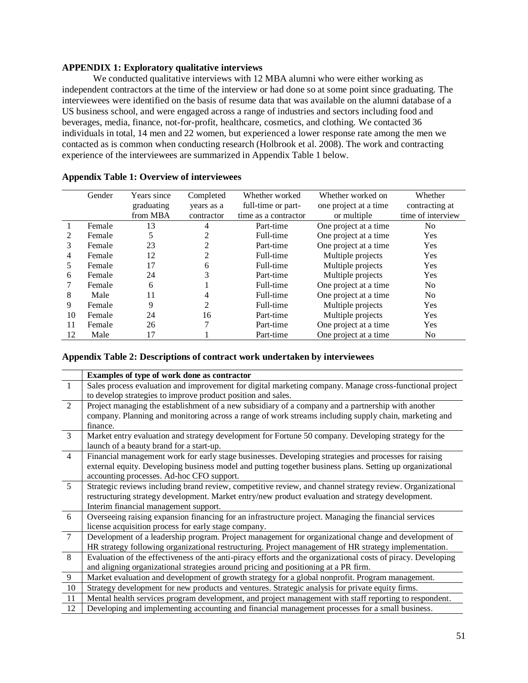## **APPENDIX 1: Exploratory qualitative interviews**

We conducted qualitative interviews with 12 MBA alumni who were either working as independent contractors at the time of the interview or had done so at some point since graduating. The interviewees were identified on the basis of resume data that was available on the alumni database of a US business school, and were engaged across a range of industries and sectors including food and beverages, media, finance, not-for-profit, healthcare, cosmetics, and clothing. We contacted 36 individuals in total, 14 men and 22 women, but experienced a lower response rate among the men we contacted as is common when conducting research (Holbrook et al. 2008). The work and contracting experience of the interviewees are summarized in Appendix Table 1 below.

|    | Gender | Years since | Completed      | Whether worked       | Whether worked on     | Whether           |
|----|--------|-------------|----------------|----------------------|-----------------------|-------------------|
|    |        | graduating  | years as a     | full-time or part-   | one project at a time | contracting at    |
|    |        | from MBA    | contractor     | time as a contractor | or multiple           | time of interview |
|    | Female | 13          | 4              | Part-time            | One project at a time | No                |
| 2  | Female | 5           | 2              | Full-time            | One project at a time | <b>Yes</b>        |
| 3  | Female | 23          | $\mathfrak{D}$ | Part-time            | One project at a time | Yes               |
| 4  | Female | 12          | $\overline{2}$ | Full-time            | Multiple projects     | Yes               |
| 5  | Female | 17          | 6              | Full-time            | Multiple projects     | Yes               |
| 6  | Female | 24          | 3              | Part-time            | Multiple projects     | Yes               |
|    | Female | 6           |                | Full-time            | One project at a time | N <sub>0</sub>    |
| 8  | Male   | 11          | 4              | Full-time            | One project at a time | No.               |
| 9  | Female | 9           | 2              | Full-time            | Multiple projects     | Yes               |
| 10 | Female | 24          | 16             | Part-time            | Multiple projects     | Yes               |
| 11 | Female | 26          | 7              | Part-time            | One project at a time | Yes               |
| 12 | Male   | 17          |                | Part-time            | One project at a time | No.               |

## **Appendix Table 1: Overview of interviewees**

#### **Appendix Table 2: Descriptions of contract work undertaken by interviewees**

|                | Examples of type of work done as contractor                                                                   |
|----------------|---------------------------------------------------------------------------------------------------------------|
| $\overline{1}$ | Sales process evaluation and improvement for digital marketing company. Manage cross-functional project       |
|                | to develop strategies to improve product position and sales.                                                  |
| 2              | Project managing the establishment of a new subsidiary of a company and a partnership with another            |
|                | company. Planning and monitoring across a range of work streams including supply chain, marketing and         |
|                | finance.                                                                                                      |
| 3              | Market entry evaluation and strategy development for Fortune 50 company. Developing strategy for the          |
|                | launch of a beauty brand for a start-up.                                                                      |
| $\overline{4}$ | Financial management work for early stage businesses. Developing strategies and processes for raising         |
|                | external equity. Developing business model and putting together business plans. Setting up organizational     |
|                | accounting processes. Ad-hoc CFO support.                                                                     |
| $\overline{5}$ | Strategic reviews including brand review, competitive review, and channel strategy review. Organizational     |
|                | restructuring strategy development. Market entry/new product evaluation and strategy development.             |
|                | Interim financial management support.                                                                         |
| 6              | Overseeing raising expansion financing for an infrastructure project. Managing the financial services         |
|                | license acquisition process for early stage company.                                                          |
| $\tau$         | Development of a leadership program. Project management for organizational change and development of          |
|                | HR strategy following organizational restructuring. Project management of HR strategy implementation.         |
| 8              | Evaluation of the effectiveness of the anti-piracy efforts and the organizational costs of piracy. Developing |
|                | and aligning organizational strategies around pricing and positioning at a PR firm.                           |
| 9              | Market evaluation and development of growth strategy for a global nonprofit. Program management.              |
| 10             | Strategy development for new products and ventures. Strategic analysis for private equity firms.              |
| 11             | Mental health services program development, and project management with staff reporting to respondent.        |
| 12             | Developing and implementing accounting and financial management processes for a small business.               |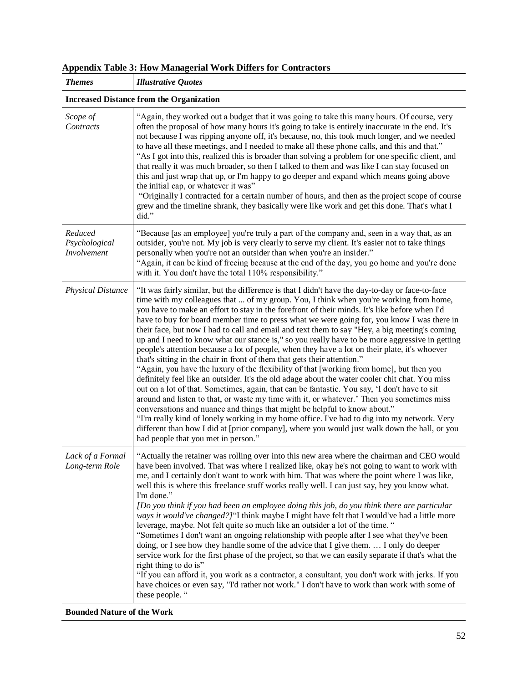| <b>Themes</b>                           | <b>Illustrative Quotes</b>                                                                                                                                                                                                                                                                                                                                                                                                                                                                                                                                                                                                                                                                                                                                                                                                                                                                                                                                                                                                                                                                                                                                                                                                                                                                                                                                                                                                                                                               |
|-----------------------------------------|------------------------------------------------------------------------------------------------------------------------------------------------------------------------------------------------------------------------------------------------------------------------------------------------------------------------------------------------------------------------------------------------------------------------------------------------------------------------------------------------------------------------------------------------------------------------------------------------------------------------------------------------------------------------------------------------------------------------------------------------------------------------------------------------------------------------------------------------------------------------------------------------------------------------------------------------------------------------------------------------------------------------------------------------------------------------------------------------------------------------------------------------------------------------------------------------------------------------------------------------------------------------------------------------------------------------------------------------------------------------------------------------------------------------------------------------------------------------------------------|
|                                         | <b>Increased Distance from the Organization</b>                                                                                                                                                                                                                                                                                                                                                                                                                                                                                                                                                                                                                                                                                                                                                                                                                                                                                                                                                                                                                                                                                                                                                                                                                                                                                                                                                                                                                                          |
| Scope of<br>Contracts                   | "Again, they worked out a budget that it was going to take this many hours. Of course, very<br>often the proposal of how many hours it's going to take is entirely inaccurate in the end. It's<br>not because I was ripping anyone off, it's because, no, this took much longer, and we needed<br>to have all these meetings, and I needed to make all these phone calls, and this and that."<br>"As I got into this, realized this is broader than solving a problem for one specific client, and<br>that really it was much broader, so then I talked to them and was like I can stay focused on<br>this and just wrap that up, or I'm happy to go deeper and expand which means going above<br>the initial cap, or whatever it was"<br>"Originally I contracted for a certain number of hours, and then as the project scope of course<br>grew and the timeline shrank, they basically were like work and get this done. That's what I<br>did."                                                                                                                                                                                                                                                                                                                                                                                                                                                                                                                                       |
| Reduced<br>Psychological<br>Involvement | "Because [as an employee] you're truly a part of the company and, seen in a way that, as an<br>outsider, you're not. My job is very clearly to serve my client. It's easier not to take things<br>personally when you're not an outsider than when you're an insider."<br>"Again, it can be kind of freeing because at the end of the day, you go home and you're done<br>with it. You don't have the total 110% responsibility."                                                                                                                                                                                                                                                                                                                                                                                                                                                                                                                                                                                                                                                                                                                                                                                                                                                                                                                                                                                                                                                        |
| <b>Physical Distance</b>                | "It was fairly similar, but the difference is that I didn't have the day-to-day or face-to-face<br>time with my colleagues that  of my group. You, I think when you're working from home,<br>you have to make an effort to stay in the forefront of their minds. It's like before when I'd<br>have to buy for board member time to press what we were going for, you know I was there in<br>their face, but now I had to call and email and text them to say "Hey, a big meeting's coming<br>up and I need to know what our stance is," so you really have to be more aggressive in getting<br>people's attention because a lot of people, when they have a lot on their plate, it's whoever<br>that's sitting in the chair in front of them that gets their attention."<br>"Again, you have the luxury of the flexibility of that [working from home], but then you<br>definitely feel like an outsider. It's the old adage about the water cooler chit chat. You miss<br>out on a lot of that. Sometimes, again, that can be fantastic. You say, 'I don't have to sit<br>around and listen to that, or waste my time with it, or whatever.' Then you sometimes miss<br>conversations and nuance and things that might be helpful to know about."<br>"I'm really kind of lonely working in my home office. I've had to dig into my network. Very<br>different than how I did at [prior company], where you would just walk down the hall, or you<br>had people that you met in person." |
| Lack of a Formal<br>Long-term Role      | "Actually the retainer was rolling over into this new area where the chairman and CEO would<br>have been involved. That was where I realized like, okay he's not going to want to work with<br>me, and I certainly don't want to work with him. That was where the point where I was like,<br>well this is where this freelance stuff works really well. I can just say, hey you know what.<br>I'm done."<br>[Do you think if you had been an employee doing this job, do you think there are particular<br>ways it would've changed?]"I think maybe I might have felt that I would've had a little more<br>leverage, maybe. Not felt quite so much like an outsider a lot of the time. "<br>"Sometimes I don't want an ongoing relationship with people after I see what they've been<br>doing, or I see how they handle some of the advice that I give them.  I only do deeper<br>service work for the first phase of the project, so that we can easily separate if that's what the<br>right thing to do is"<br>"If you can afford it, you work as a contractor, a consultant, you don't work with jerks. If you<br>have choices or even say, "I'd rather not work." I don't have to work than work with some of<br>these people. "                                                                                                                                                                                                                                                   |

## **Appendix Table 3: How Managerial Work Differs for Contractors**

**Bounded Nature of the Work**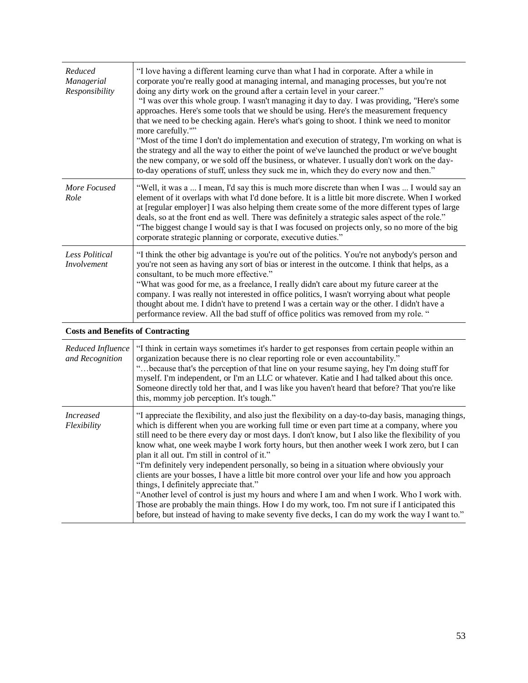| Reduced<br>Managerial<br>Responsibility  | "I love having a different learning curve than what I had in corporate. After a while in<br>corporate you're really good at managing internal, and managing processes, but you're not<br>doing any dirty work on the ground after a certain level in your career."<br>"I was over this whole group. I wasn't managing it day to day. I was providing, "Here's some<br>approaches. Here's some tools that we should be using. Here's the measurement frequency<br>that we need to be checking again. Here's what's going to shoot. I think we need to monitor<br>more carefully.""<br>"Most of the time I don't do implementation and execution of strategy, I'm working on what is<br>the strategy and all the way to either the point of we've launched the product or we've bought<br>the new company, or we sold off the business, or whatever. I usually don't work on the day-<br>to-day operations of stuff, unless they suck me in, which they do every now and then." |
|------------------------------------------|-------------------------------------------------------------------------------------------------------------------------------------------------------------------------------------------------------------------------------------------------------------------------------------------------------------------------------------------------------------------------------------------------------------------------------------------------------------------------------------------------------------------------------------------------------------------------------------------------------------------------------------------------------------------------------------------------------------------------------------------------------------------------------------------------------------------------------------------------------------------------------------------------------------------------------------------------------------------------------|
| More Focused<br>Role                     | "Well, it was a  I mean, I'd say this is much more discrete than when I was  I would say an<br>element of it overlaps with what I'd done before. It is a little bit more discrete. When I worked<br>at [regular employer] I was also helping them create some of the more different types of large<br>deals, so at the front end as well. There was definitely a strategic sales aspect of the role."<br>"The biggest change I would say is that I was focused on projects only, so no more of the big<br>corporate strategic planning or corporate, executive duties."                                                                                                                                                                                                                                                                                                                                                                                                       |
| <b>Less Political</b><br>Involvement     | "I think the other big advantage is you're out of the politics. You're not anybody's person and<br>you're not seen as having any sort of bias or interest in the outcome. I think that helps, as a<br>consultant, to be much more effective."<br>"What was good for me, as a freelance, I really didn't care about my future career at the<br>company. I was really not interested in office politics, I wasn't worrying about what people<br>thought about me. I didn't have to pretend I was a certain way or the other. I didn't have a<br>performance review. All the bad stuff of office politics was removed from my role. "                                                                                                                                                                                                                                                                                                                                            |
| <b>Costs and Benefits of Contracting</b> |                                                                                                                                                                                                                                                                                                                                                                                                                                                                                                                                                                                                                                                                                                                                                                                                                                                                                                                                                                               |
| Reduced Influence<br>and Recognition     | "I think in certain ways sometimes it's harder to get responses from certain people within an<br>organization because there is no clear reporting role or even accountability."<br>"because that's the perception of that line on your resume saying, hey I'm doing stuff for<br>myself. I'm independent, or I'm an LLC or whatever. Katie and I had talked about this once.<br>Someone directly told her that, and I was like you haven't heard that before? That you're like<br>this, mommy job perception. It's tough."                                                                                                                                                                                                                                                                                                                                                                                                                                                    |
| <b>Increased</b><br>Flexibility          | "I appreciate the flexibility, and also just the flexibility on a day-to-day basis, managing things,<br>which is different when you are working full time or even part time at a company, where you<br>still need to be there every day or most days. I don't know, but I also like the flexibility of you<br>know what, one week maybe I work forty hours, but then another week I work zero, but I can<br>plan it all out. I'm still in control of it."<br>"I'm definitely very independent personally, so being in a situation where obviously your<br>clients are your bosses, I have a little bit more control over your life and how you approach<br>things, I definitely appreciate that."<br>"Another level of control is just my hours and where I am and when I work. Who I work with.<br>Those are probably the main things. How I do my work, too. I'm not sure if I anticipated this                                                                             |

before, but instead of having to make seventy five decks, I can do my work the way I want to."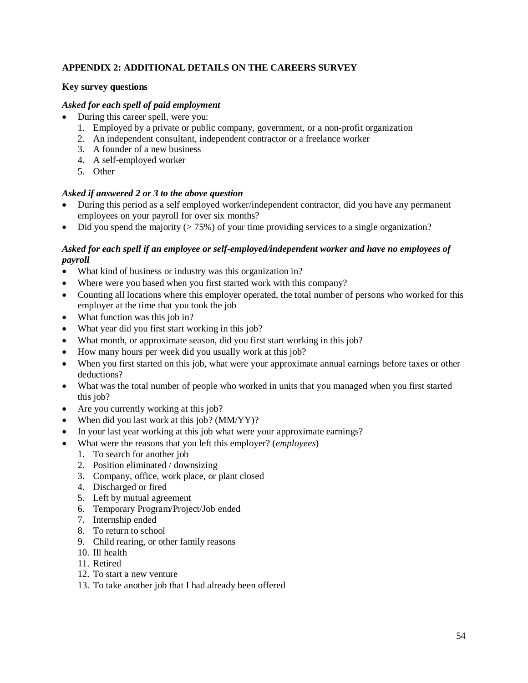## **APPENDIX 2: ADDITIONAL DETAILS ON THE CAREERS SURVEY**

## **Key survey questions**

## *Asked for each spell of paid employment*

- During this career spell, were you:
	- 1. Employed by a private or public company, government, or a non-profit organization
	- 2. An independent consultant, independent contractor or a freelance worker
	- 3. A founder of a new business
	- 4. A self-employed worker
	- 5. Other

## *Asked if answered 2 or 3 to the above question*

- During this period as a self employed worker/independent contractor, did you have any permanent employees on your payroll for over six months?
- Did you spend the majority  $(5.75%)$  of your time providing services to a single organization?

## *Asked for each spell if an employee or self-employed/independent worker and have no employees of payroll*

- What kind of business or industry was this organization in?
- Where were you based when you first started work with this company?
- Counting all locations where this employer operated, the total number of persons who worked for this employer at the time that you took the job
- What function was this job in?
- What year did you first start working in this job?
- What month, or approximate season, did you first start working in this job?
- How many hours per week did you usually work at this job?
- When you first started on this job, what were your approximate annual earnings before taxes or other deductions?
- What was the total number of people who worked in units that you managed when you first started this job?
- Are you currently working at this job?
- When did you last work at this job? (MM/YY)?
- In your last year working at this job what were your approximate earnings?
- What were the reasons that you left this employer? (*employees*)
	- 1. To search for another job
	- 2. Position eliminated / downsizing
	- 3. Company, office, work place, or plant closed
	- 4. Discharged or fired
	- 5. Left by mutual agreement
	- 6. Temporary Program/Project/Job ended
	- 7. Internship ended
	- 8. To return to school
	- 9. Child rearing, or other family reasons
	- 10. Ill health
	- 11. Retired
	- 12. To start a new venture
	- 13. To take another job that I had already been offered